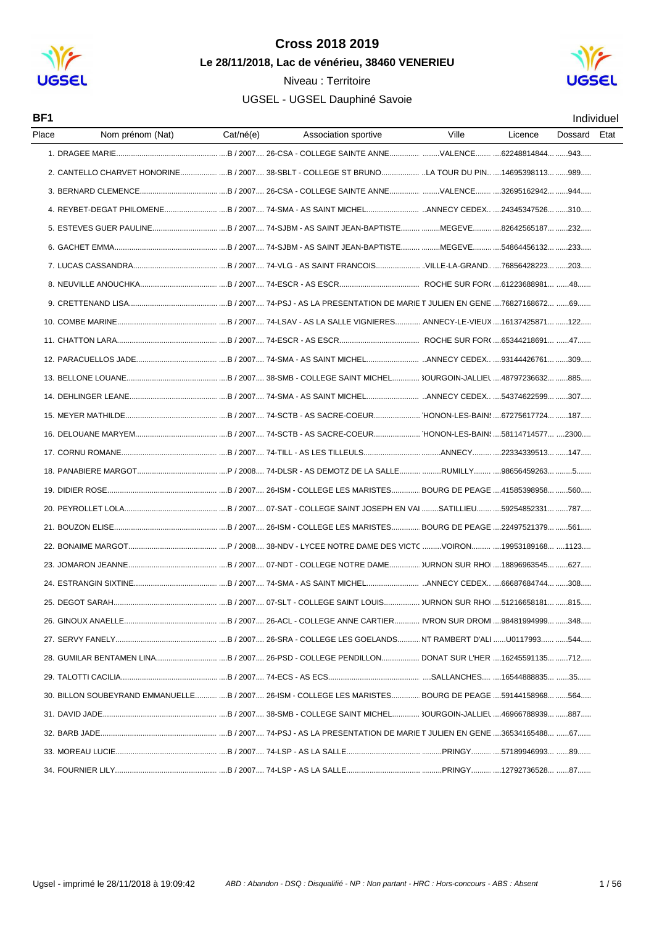

### Niveau : Territoire



| BF1   |                                                                                                        |           |                      |       |         |         | <b>Individuel</b> |
|-------|--------------------------------------------------------------------------------------------------------|-----------|----------------------|-------|---------|---------|-------------------|
| Place | Nom prénom (Nat)                                                                                       | Cat/né(e) | Association sportive | Ville | Licence | Dossard | Etat              |
|       |                                                                                                        |           |                      |       |         |         |                   |
|       | 2. CANTELLO CHARVET HONORINE B/2007 38-SBLT - COLLEGE ST BRUNO LA TOUR DU PIN 14695398113 989          |           |                      |       |         |         |                   |
|       |                                                                                                        |           |                      |       |         |         |                   |
|       |                                                                                                        |           |                      |       |         |         |                   |
|       |                                                                                                        |           |                      |       |         |         |                   |
|       |                                                                                                        |           |                      |       |         |         |                   |
|       |                                                                                                        |           |                      |       |         |         |                   |
|       |                                                                                                        |           |                      |       |         |         |                   |
|       |                                                                                                        |           |                      |       |         |         |                   |
|       |                                                                                                        |           |                      |       |         |         |                   |
|       |                                                                                                        |           |                      |       |         |         |                   |
|       |                                                                                                        |           |                      |       |         |         |                   |
|       |                                                                                                        |           |                      |       |         |         |                   |
|       |                                                                                                        |           |                      |       |         |         |                   |
|       |                                                                                                        |           |                      |       |         |         |                   |
|       |                                                                                                        |           |                      |       |         |         |                   |
|       |                                                                                                        |           |                      |       |         |         |                   |
|       |                                                                                                        |           |                      |       |         |         |                   |
|       |                                                                                                        |           |                      |       |         |         |                   |
|       |                                                                                                        |           |                      |       |         |         |                   |
|       |                                                                                                        |           |                      |       |         |         |                   |
|       |                                                                                                        |           |                      |       |         |         |                   |
|       |                                                                                                        |           |                      |       |         |         |                   |
|       |                                                                                                        |           |                      |       |         |         |                   |
|       |                                                                                                        |           |                      |       |         |         |                   |
|       |                                                                                                        |           |                      |       |         |         |                   |
|       |                                                                                                        |           |                      |       |         |         |                   |
|       |                                                                                                        |           |                      |       |         |         |                   |
|       |                                                                                                        |           |                      |       |         |         |                   |
|       | 30. BILLON SOUBEYRAND EMMANUELLE B / 2007 26-ISM - COLLEGE LES MARISTES BOURG DE PEAGE 59144158968 564 |           |                      |       |         |         |                   |
|       |                                                                                                        |           |                      |       |         |         |                   |
|       |                                                                                                        |           |                      |       |         |         |                   |
|       |                                                                                                        |           |                      |       |         |         |                   |
|       |                                                                                                        |           |                      |       |         |         |                   |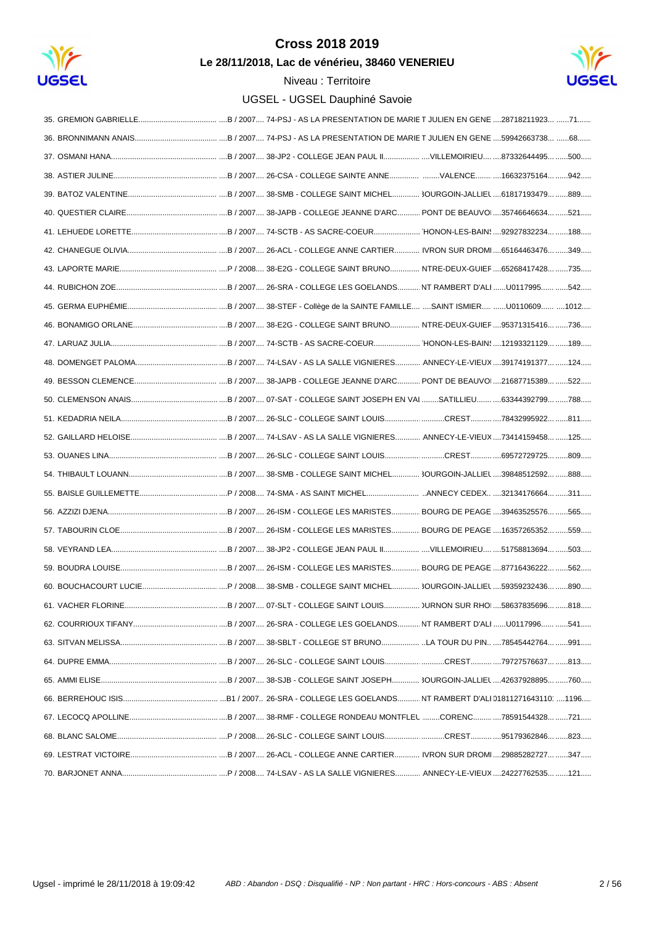

Le 28/11/2018, Lac de vénérieu, 38460 VENERIEU



| 61. VACHER FLORINE |  |
|--------------------|--|
|                    |  |
|                    |  |
|                    |  |
|                    |  |
|                    |  |
|                    |  |
|                    |  |
|                    |  |
|                    |  |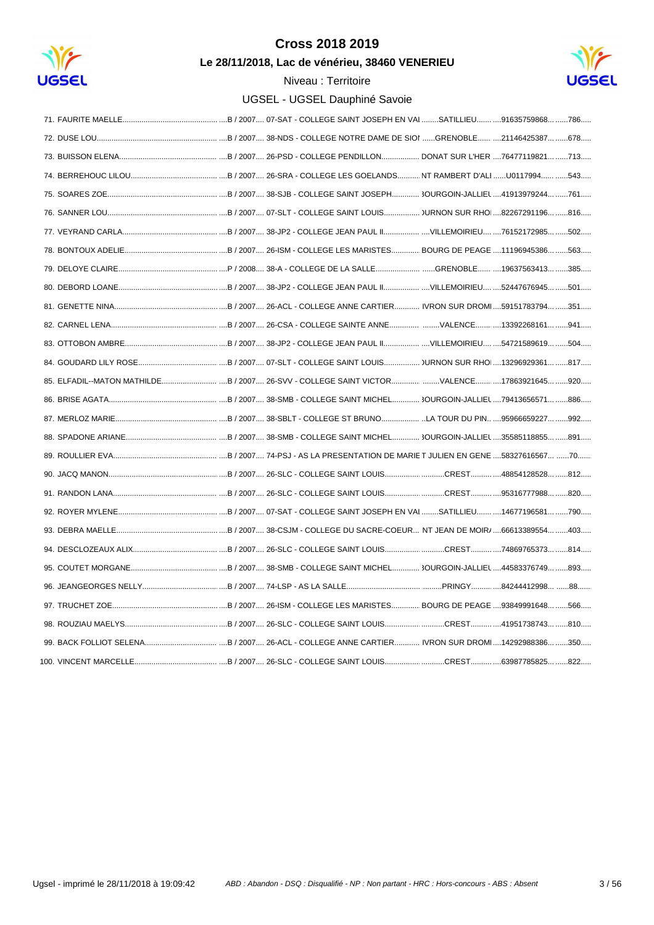

Le 28/11/2018, Lac de vénérieu, 38460 VENERIEU



| 85. ELFADIL--MATON MATHILDEB / 2007 26-SVV - COLLEGE SAINT VICTOR17863921645 920 |
|----------------------------------------------------------------------------------|
|                                                                                  |
|                                                                                  |
|                                                                                  |
|                                                                                  |
|                                                                                  |
|                                                                                  |
|                                                                                  |
|                                                                                  |
|                                                                                  |
|                                                                                  |
|                                                                                  |
|                                                                                  |
|                                                                                  |
|                                                                                  |
|                                                                                  |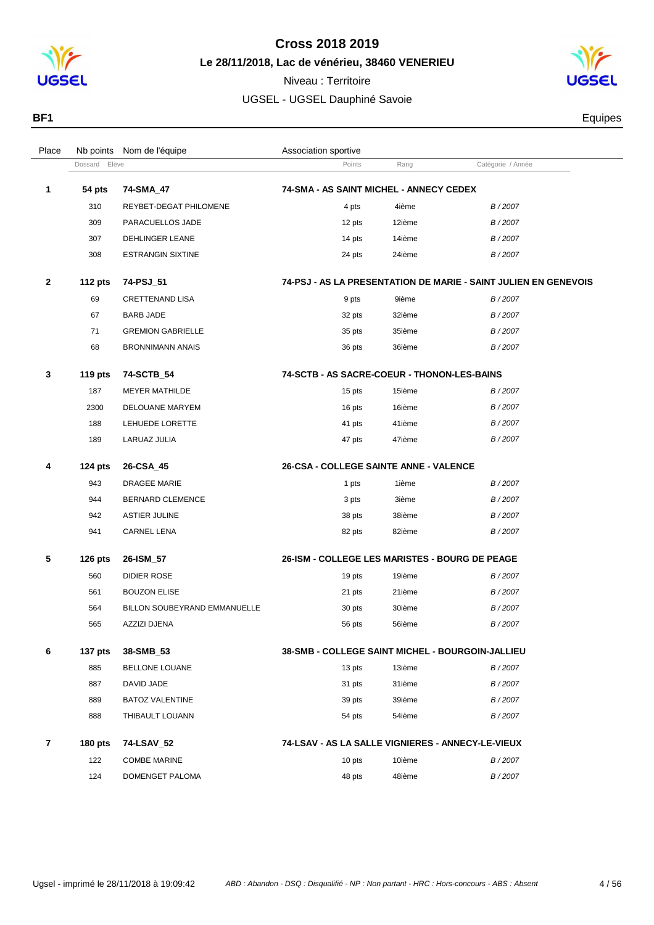

**Le 28/11/2018, Lac de vénérieu, 38460 VENERIEU**



| BF <sub>1</sub> | Equipes |
|-----------------|---------|
|                 |         |

| Place          | Nb points      | Nom de l'équipe              | Association sportive                              |        |                                                                 |  |
|----------------|----------------|------------------------------|---------------------------------------------------|--------|-----------------------------------------------------------------|--|
|                | Dossard Elève  |                              | Points                                            | Rang   | Catégorie / Année                                               |  |
| 1              | 54 pts         | 74-SMA_47                    | 74-SMA - AS SAINT MICHEL - ANNECY CEDEX           |        |                                                                 |  |
|                | 310            | REYBET-DEGAT PHILOMENE       | 4 pts                                             | 4ième  | B/2007                                                          |  |
|                | 309            | PARACUELLOS JADE             | 12 pts                                            | 12ième | B/2007                                                          |  |
|                | 307            | DEHLINGER LEANE              | 14 pts                                            | 14ième | B/2007                                                          |  |
|                | 308            | <b>ESTRANGIN SIXTINE</b>     | 24 pts                                            | 24ième | B/2007                                                          |  |
| $\mathbf{2}$   | <b>112 pts</b> | 74-PSJ_51                    |                                                   |        | 74-PSJ - AS LA PRESENTATION DE MARIE - SAINT JULIEN EN GENEVOIS |  |
|                | 69             | CRETTENAND LISA              | 9 pts                                             | 9ième  | B/2007                                                          |  |
|                | 67             | BARB JADE                    | 32 pts                                            | 32ième | B/2007                                                          |  |
|                | 71             | <b>GREMION GABRIELLE</b>     | 35 pts                                            | 35ième | B/2007                                                          |  |
|                | 68             | <b>BRONNIMANN ANAIS</b>      | 36 pts                                            | 36ième | B/2007                                                          |  |
| 3              | <b>119 pts</b> | 74-SCTB_54                   | 74-SCTB - AS SACRE-COEUR - THONON-LES-BAINS       |        |                                                                 |  |
|                | 187            | <b>MEYER MATHILDE</b>        | 15 pts                                            | 15ième | B/2007                                                          |  |
|                | 2300           | DELOUANE MARYEM              | 16 pts                                            | 16ième | B/2007                                                          |  |
|                | 188            | LEHUEDE LORETTE              | 41 pts                                            | 41ième | B/2007                                                          |  |
|                | 189            | LARUAZ JULIA                 | 47 pts                                            | 47ième | B/2007                                                          |  |
| 4              | 124 pts        | 26-CSA_45                    | 26-CSA - COLLEGE SAINTE ANNE - VALENCE            |        |                                                                 |  |
|                | 943            | <b>DRAGEE MARIE</b>          | 1 pts                                             | 1ième  | B/2007                                                          |  |
|                | 944            | BERNARD CLEMENCE             | 3 pts                                             | 3ième  | B/2007                                                          |  |
|                | 942            | <b>ASTIER JULINE</b>         | 38 pts                                            | 38ième | B/2007                                                          |  |
|                | 941            | CARNEL LENA                  | 82 pts                                            | 82ième | B/2007                                                          |  |
| 5              | $126$ pts      | 26-ISM_57                    | 26-ISM - COLLEGE LES MARISTES - BOURG DE PEAGE    |        |                                                                 |  |
|                | 560            | DIDIER ROSE                  | 19 pts                                            | 19ième | B/2007                                                          |  |
|                | 561            | <b>BOUZON ELISE</b>          | 21 pts                                            | 21ième | B/2007                                                          |  |
|                | 564            | BILLON SOUBEYRAND EMMANUELLE | 30 pts                                            | 30ième | B/2007                                                          |  |
|                | 565            | <b>AZZIZI DJENA</b>          | 56 pts                                            | 56ième | B/2007                                                          |  |
| 6              | <b>137 pts</b> | 38-SMB_53                    | 38-SMB - COLLEGE SAINT MICHEL - BOURGOIN-JALLIEU  |        |                                                                 |  |
|                | 885            | BELLONE LOUANE               | 13 pts                                            | 13ième | B/2007                                                          |  |
|                | 887            | DAVID JADE                   | 31 pts                                            | 31ième | B/2007                                                          |  |
|                | 889            | <b>BATOZ VALENTINE</b>       | 39 pts                                            | 39ième | B/2007                                                          |  |
|                | 888            | THIBAULT LOUANN              | 54 pts                                            | 54ième | B/2007                                                          |  |
| $\overline{7}$ | <b>180 pts</b> | 74-LSAV_52                   | 74-LSAV - AS LA SALLE VIGNIERES - ANNECY-LE-VIEUX |        |                                                                 |  |
|                | 122            | <b>COMBE MARINE</b>          | 10 pts                                            | 10ième | B/2007                                                          |  |
|                | 124            | DOMENGET PALOMA              | 48 pts                                            | 48ième | B/2007                                                          |  |
|                |                |                              |                                                   |        |                                                                 |  |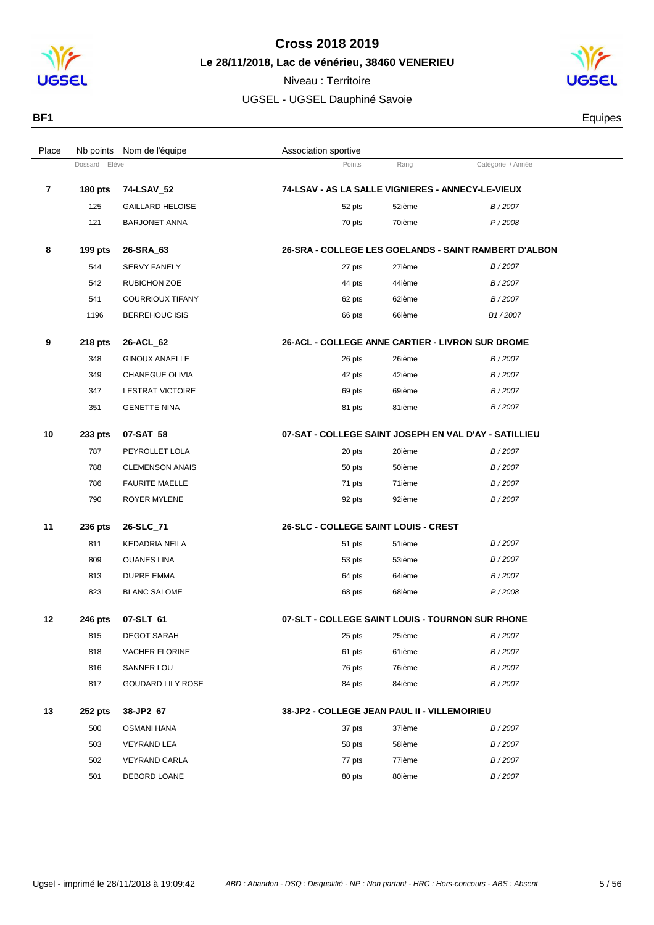

Niveau : Territoire



Dossard Elève **Catégorie / Année**<br>
Points Rang Catégorie / Année

125 GAILLARD HELOISE **12007** 52 pts 52 pts 52ième B/2007

**180 pts 74-LSAV\_52 74-LSAV - AS LA SALLE VIGNIERES - ANNECY-LE-VIEUX**

Place Nb points Nom de l'équipe  $\blacksquare$  Association sportive



**BF1** Equipes

|    | 121            | <b>BARJONET ANNA</b>     | 70 pts<br>70ième<br>P/2008                            |
|----|----------------|--------------------------|-------------------------------------------------------|
| 8  | 199 $pts$      | 26-SRA 63                | 26-SRA - COLLEGE LES GOELANDS - SAINT RAMBERT D'ALBON |
|    | 544            | <b>SERVY FANELY</b>      | B/2007<br>27 pts<br>27ième                            |
|    | 542            | <b>RUBICHON ZOE</b>      | 44ième<br>B/2007<br>44 pts                            |
|    | 541            | <b>COURRIOUX TIFANY</b>  | B/2007<br>62 pts<br>62ième                            |
|    | 1196           | <b>BERREHOUC ISIS</b>    | B <sub>1</sub> /2007<br>66 pts<br>66ième              |
| 9  | 218 pts        | 26-ACL_62                | 26-ACL - COLLEGE ANNE CARTIER - LIVRON SUR DROME      |
|    | 348            | <b>GINOUX ANAELLE</b>    | B/2007<br>26 pts<br>26ième                            |
|    | 349            | CHANEGUE OLIVIA          | B/2007<br>42ième<br>42 pts                            |
|    | 347            | <b>LESTRAT VICTOIRE</b>  | 69ième<br>B/2007<br>69 pts                            |
|    | 351            | <b>GENETTE NINA</b>      | B/2007<br>81ième<br>81 pts                            |
| 10 | 233 pts        | 07-SAT_58                | 07-SAT - COLLEGE SAINT JOSEPH EN VAL D'AY - SATILLIEU |
|    | 787            | PEYROLLET LOLA           | B/2007<br>20 pts<br>20ième                            |
|    | 788            | <b>CLEMENSON ANAIS</b>   | B/2007<br>50ième<br>50 pts                            |
|    | 786            | <b>FAURITE MAELLE</b>    | 71ième<br>71 pts<br>B/2007                            |
|    | 790            | <b>ROYER MYLENE</b>      | 92ième<br>B/2007<br>92 pts                            |
| 11 | 236 pts        | 26-SLC_71                | <b>26-SLC - COLLEGE SAINT LOUIS - CREST</b>           |
|    | 811            | KEDADRIA NEILA           | B/2007<br>51ième<br>51 pts                            |
|    | 809            | <b>OUANES LINA</b>       | 53ième<br>B/2007<br>53 pts                            |
|    | 813            | <b>DUPRE EMMA</b>        | 64ième<br>B/2007<br>64 pts                            |
|    | 823            | <b>BLANC SALOME</b>      | 68ième<br>P/2008<br>68 pts                            |
| 12 | 246 pts        | 07-SLT_61                | 07-SLT - COLLEGE SAINT LOUIS - TOURNON SUR RHONE      |
|    | 815            | <b>DEGOT SARAH</b>       | 25 pts<br>25ième<br>B/2007                            |
|    | 818            | <b>VACHER FLORINE</b>    | 61ième<br>B/2007<br>61 pts                            |
|    | 816            | SANNER LOU               | 76ième<br>76 pts<br>B/2007                            |
|    | 817            | <b>GOUDARD LILY ROSE</b> | 84ième<br>B/2007<br>84 pts                            |
| 13 | <b>252 pts</b> | 38-JP2 67                | 38-JP2 - COLLEGE JEAN PAUL II - VILLEMOIRIEU          |

| 500 | OSMANI HANA          | 37 pts | 37ième | B/2007 |
|-----|----------------------|--------|--------|--------|
| 503 | <b>VEYRAND LEA</b>   | 58 pts | 58ième | B/2007 |
| 502 | <b>VEYRAND CARLA</b> | 77 pts | 77ième | B/2007 |
| 501 | DEBORD LOANE         | 80 pts | 80ième | B/2007 |
|     |                      |        |        |        |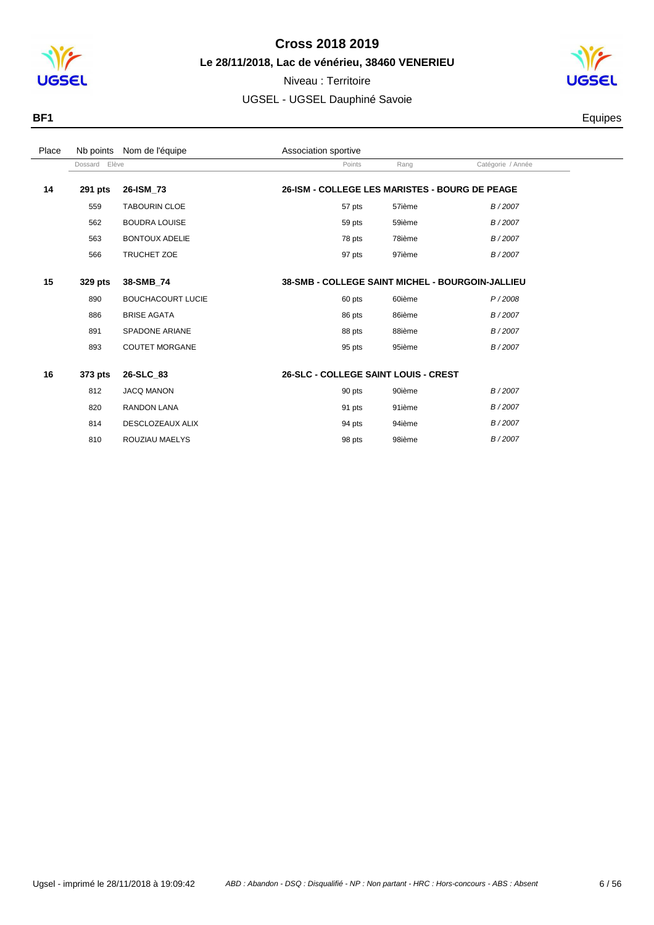



| Place | Nb points     | Nom de l'équipe          | Association sportive |        |                                                         |                   |
|-------|---------------|--------------------------|----------------------|--------|---------------------------------------------------------|-------------------|
|       | Dossard Elève |                          |                      | Points | Rang                                                    | Catégorie / Année |
| 14    | 291 pts       | 26-ISM 73                |                      |        | 26-ISM - COLLEGE LES MARISTES - BOURG DE PEAGE          |                   |
|       | 559           | <b>TABOURIN CLOE</b>     |                      | 57 pts | 57ième                                                  | B/2007            |
|       | 562           | <b>BOUDRA LOUISE</b>     |                      | 59 pts | 59ième                                                  | B/2007            |
|       | 563           | <b>BONTOUX ADELIE</b>    |                      | 78 pts | 78ième                                                  | B/2007            |
|       | 566           | TRUCHET ZOE              |                      | 97 pts | 97ième                                                  | B/2007            |
|       |               |                          |                      |        |                                                         |                   |
| 15    | 329 pts       | 38-SMB_74                |                      |        | <b>38-SMB - COLLEGE SAINT MICHEL - BOURGOIN-JALLIEU</b> |                   |
|       | 890           | <b>BOUCHACOURT LUCIE</b> |                      | 60 pts | 60ième                                                  | P/2008            |
|       | 886           | <b>BRISE AGATA</b>       |                      | 86 pts | 86ième                                                  | B/2007            |
|       | 891           | <b>SPADONE ARIANE</b>    |                      | 88 pts | 88ième                                                  | B/2007            |
|       | 893           | <b>COUTET MORGANE</b>    |                      | 95 pts | 95ième                                                  | B/2007            |
|       |               |                          |                      |        |                                                         |                   |
| 16    | 373 pts       | 26-SLC_83                |                      |        | <b>26-SLC - COLLEGE SAINT LOUIS - CREST</b>             |                   |
|       | 812           | <b>JACQ MANON</b>        |                      | 90 pts | 90ième                                                  | B/2007            |
|       | 820           | <b>RANDON LANA</b>       |                      | 91 pts | 91ième                                                  | B/2007            |
|       | 814           | DESCLOZEAUX ALIX         |                      | 94 pts | 94ième                                                  | B/2007            |
|       | 810           | ROUZIAU MAELYS           |                      | 98 pts | 98ième                                                  | B/2007            |
|       |               |                          |                      |        |                                                         |                   |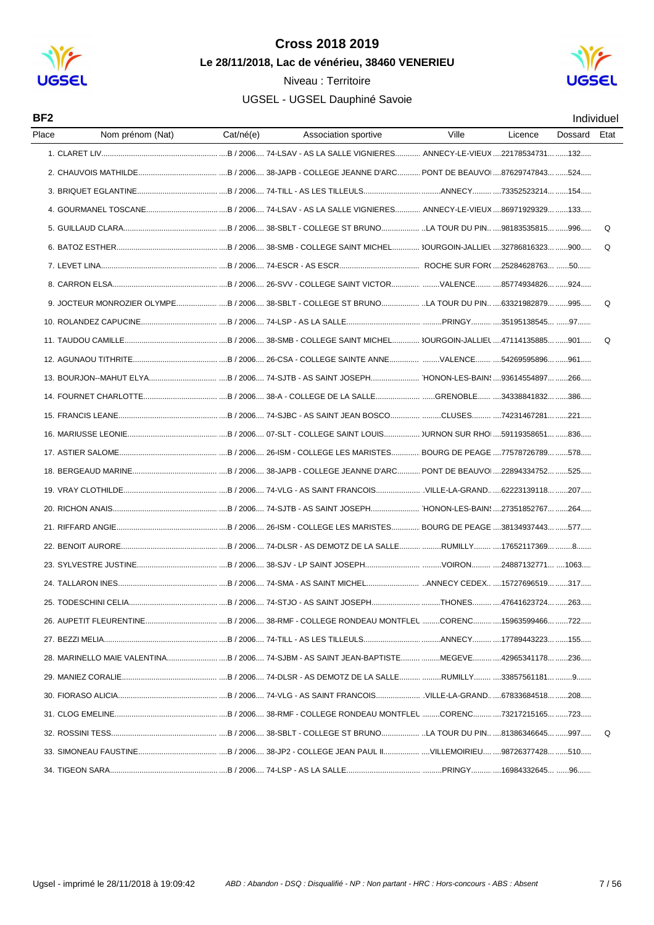



| BF <sub>2</sub> |                                                                                              |           |                      |       |         |         | Individuel |
|-----------------|----------------------------------------------------------------------------------------------|-----------|----------------------|-------|---------|---------|------------|
| Place           | Nom prénom (Nat)                                                                             | Cat/né(e) | Association sportive | Ville | Licence | Dossard | Etat       |
|                 |                                                                                              |           |                      |       |         |         |            |
|                 |                                                                                              |           |                      |       |         |         |            |
|                 |                                                                                              |           |                      |       |         |         |            |
|                 |                                                                                              |           |                      |       |         |         |            |
|                 |                                                                                              |           |                      |       |         |         | Q          |
|                 |                                                                                              |           |                      |       |         |         | O          |
|                 |                                                                                              |           |                      |       |         |         |            |
|                 |                                                                                              |           |                      |       |         |         |            |
|                 | 9. JOCTEUR MONROZIER OLYMPE B/2006 38-SBLT - COLLEGE ST BRUNO LA TOUR DU PIN 63321982879 995 |           |                      |       |         |         | Q          |
|                 |                                                                                              |           |                      |       |         |         |            |
|                 |                                                                                              |           |                      |       |         |         | Q          |
|                 |                                                                                              |           |                      |       |         |         |            |
|                 |                                                                                              |           |                      |       |         |         |            |
|                 |                                                                                              |           |                      |       |         |         |            |
|                 |                                                                                              |           |                      |       |         |         |            |
|                 |                                                                                              |           |                      |       |         |         |            |
|                 |                                                                                              |           |                      |       |         |         |            |
|                 |                                                                                              |           |                      |       |         |         |            |
|                 |                                                                                              |           |                      |       |         |         |            |
|                 |                                                                                              |           |                      |       |         |         |            |
|                 |                                                                                              |           |                      |       |         |         |            |
|                 |                                                                                              |           |                      |       |         |         |            |
|                 |                                                                                              |           |                      |       |         |         |            |
|                 |                                                                                              |           |                      |       |         |         |            |
|                 |                                                                                              |           |                      |       |         |         |            |
|                 |                                                                                              |           |                      |       |         |         |            |
|                 |                                                                                              |           |                      |       |         |         |            |
|                 |                                                                                              |           |                      |       |         |         |            |
|                 |                                                                                              |           |                      |       |         |         |            |
|                 |                                                                                              |           |                      |       |         |         |            |
|                 |                                                                                              |           |                      |       |         |         |            |
|                 |                                                                                              |           |                      |       |         |         | Q          |
|                 |                                                                                              |           |                      |       |         |         |            |
|                 |                                                                                              |           |                      |       |         |         |            |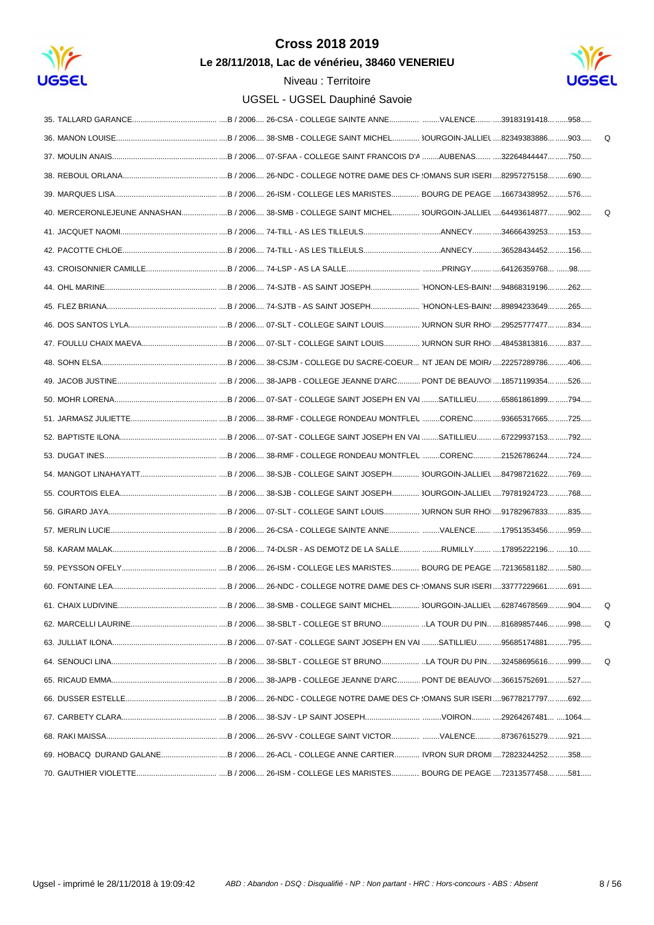

Le 28/11/2018, Lac de vénérieu, 38460 VENERIEU



|                                                                                                     |  |                                                                         |  |  | Q |
|-----------------------------------------------------------------------------------------------------|--|-------------------------------------------------------------------------|--|--|---|
|                                                                                                     |  |                                                                         |  |  |   |
|                                                                                                     |  |                                                                         |  |  |   |
|                                                                                                     |  |                                                                         |  |  |   |
| 40. MERCERONLEJEUNE ANNASHANB / 2006 38-SMB - COLLEGE SAINT MICHEL 3OURGOIN-JALLIEL 64493614877 902 |  |                                                                         |  |  | Q |
|                                                                                                     |  |                                                                         |  |  |   |
|                                                                                                     |  |                                                                         |  |  |   |
|                                                                                                     |  |                                                                         |  |  |   |
|                                                                                                     |  |                                                                         |  |  |   |
|                                                                                                     |  |                                                                         |  |  |   |
|                                                                                                     |  |                                                                         |  |  |   |
|                                                                                                     |  |                                                                         |  |  |   |
|                                                                                                     |  |                                                                         |  |  |   |
|                                                                                                     |  |                                                                         |  |  |   |
|                                                                                                     |  |                                                                         |  |  |   |
|                                                                                                     |  |                                                                         |  |  |   |
|                                                                                                     |  |                                                                         |  |  |   |
|                                                                                                     |  |                                                                         |  |  |   |
|                                                                                                     |  |                                                                         |  |  |   |
|                                                                                                     |  |                                                                         |  |  |   |
|                                                                                                     |  |                                                                         |  |  |   |
|                                                                                                     |  |                                                                         |  |  |   |
|                                                                                                     |  |                                                                         |  |  |   |
|                                                                                                     |  |                                                                         |  |  |   |
|                                                                                                     |  |                                                                         |  |  |   |
| 61. CHAIX LUDIVINE                                                                                  |  | B / 2006 38-SMB - COLLEGE SAINT MICHEL 3OURGOIN-JALLIEL 62874678569 904 |  |  |   |
|                                                                                                     |  |                                                                         |  |  | Q |
|                                                                                                     |  |                                                                         |  |  |   |
|                                                                                                     |  |                                                                         |  |  | Q |
|                                                                                                     |  |                                                                         |  |  |   |
|                                                                                                     |  |                                                                         |  |  |   |
|                                                                                                     |  |                                                                         |  |  |   |
|                                                                                                     |  |                                                                         |  |  |   |
| 69. HOBACQ DURAND GALANEB / 2006 26-ACL - COLLEGE ANNE CARTIER IVRON SUR DROM 72823244252 358       |  |                                                                         |  |  |   |
|                                                                                                     |  |                                                                         |  |  |   |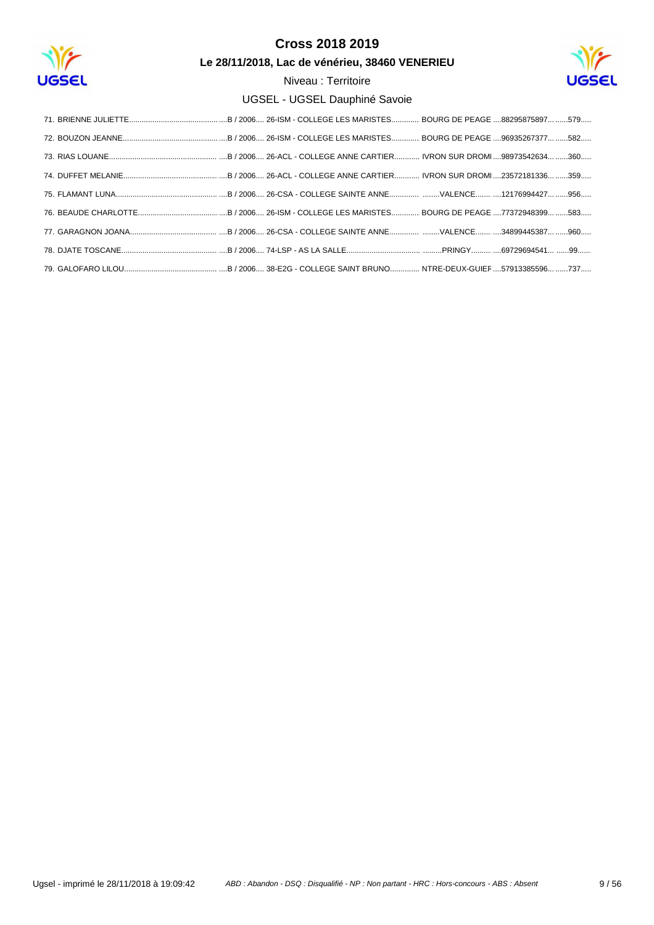

Le 28/11/2018, Lac de vénérieu, 38460 VENERIEU

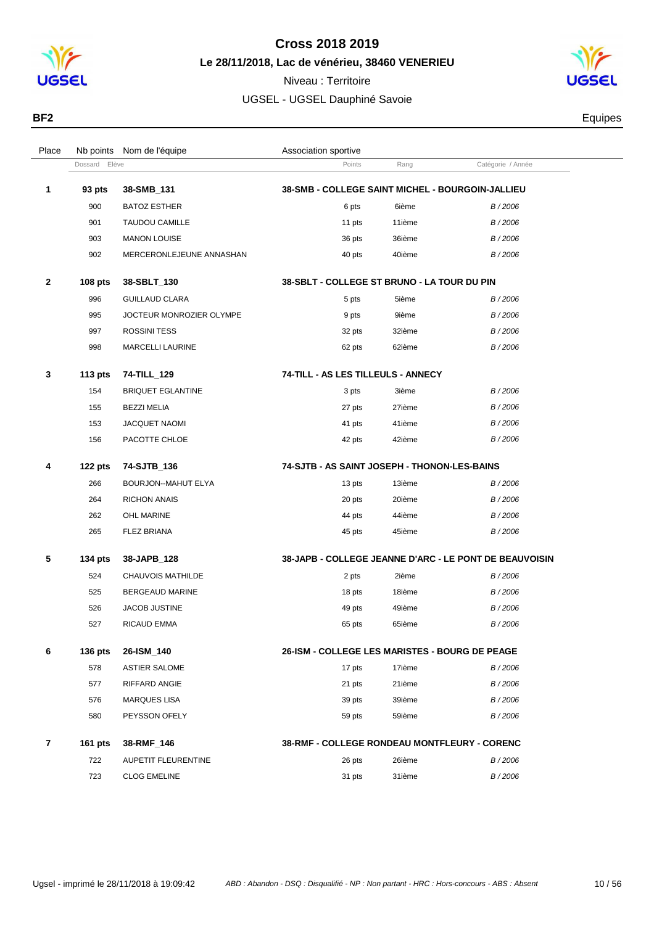

Dossard Elève **Points** Rang Catégorie / Année

**93 pts 38-SMB\_131 38-SMB - COLLEGE SAINT MICHEL - BOURGOIN-JALLIEU**

Place Nb points Nom de l'équipe  $\blacksquare$  Association sportive

Niveau : Territoire UGSEL - UGSEL Dauphiné Savoie



**BF2** Equipes

|   | 900            | <b>BATOZ ESTHER</b>        | 6 pts                                                 | 6ième  | B/2006                                                 |
|---|----------------|----------------------------|-------------------------------------------------------|--------|--------------------------------------------------------|
|   | 901            | <b>TAUDOU CAMILLE</b>      | 11 pts                                                | 11ième | B/2006                                                 |
|   | 903            | <b>MANON LOUISE</b>        | 36 pts                                                | 36ième | B/2006                                                 |
|   | 902            | MERCERONLEJEUNE ANNASHAN   | 40 pts                                                | 40ième | B/2006                                                 |
| 2 | <b>108 pts</b> | 38-SBLT_130                | 38-SBLT - COLLEGE ST BRUNO - LA TOUR DU PIN           |        |                                                        |
|   | 996            | <b>GUILLAUD CLARA</b>      | 5 pts                                                 | 5ième  | B/2006                                                 |
|   | 995            | JOCTEUR MONROZIER OLYMPE   | 9 pts                                                 | 9ième  | B/2006                                                 |
|   | 997            | <b>ROSSINI TESS</b>        | 32 pts                                                | 32ième | B/2006                                                 |
|   | 998            | <b>MARCELLI LAURINE</b>    | 62 pts                                                | 62ième | B/2006                                                 |
| 3 | 113 $pts$      | 74-TILL_129                | 74-TILL - AS LES TILLEULS - ANNECY                    |        |                                                        |
|   | 154            | <b>BRIQUET EGLANTINE</b>   | 3 pts                                                 | 3ième  | B/2006                                                 |
|   | 155            | <b>BEZZI MELIA</b>         | 27 pts                                                | 27ième | B/2006                                                 |
|   | 153            | JACQUET NAOMI              | 41 pts                                                | 41ième | B/2006                                                 |
|   | 156            | PACOTTE CHLOE              | 42 pts                                                | 42ième | B/2006                                                 |
| 4 | 122 pts        | 74-SJTB_136                | 74-SJTB - AS SAINT JOSEPH - THONON-LES-BAINS          |        |                                                        |
|   | 266            | <b>BOURJON--MAHUT ELYA</b> | 13 pts                                                | 13ième | B/2006                                                 |
|   | 264            | <b>RICHON ANAIS</b>        | 20 pts                                                | 20ième | B/2006                                                 |
|   | 262            | <b>OHL MARINE</b>          | 44 pts                                                | 44ième | B/2006                                                 |
|   | 265            | <b>FLEZ BRIANA</b>         | 45 pts                                                | 45ième | B/2006                                                 |
| 5 | <b>134 pts</b> | 38-JAPB_128                |                                                       |        | 38-JAPB - COLLEGE JEANNE D'ARC - LE PONT DE BEAUVOISIN |
|   | 524            | CHAUVOIS MATHILDE          | 2 pts                                                 | 2ième  | B/2006                                                 |
|   | 525            | <b>BERGEAUD MARINE</b>     | 18 pts                                                | 18ième | B/2006                                                 |
|   | 526            | <b>JACOB JUSTINE</b>       | 49 pts                                                | 49ième | B/2006                                                 |
|   | 527            | <b>RICAUD EMMA</b>         | 65 pts                                                | 65ième | B/2006                                                 |
| 6 | <b>136 pts</b> | 26-ISM_140                 | <b>26-ISM - COLLEGE LES MARISTES - BOURG DE PEAGE</b> |        |                                                        |
|   | 578            | <b>ASTIER SALOME</b>       | 17 pts                                                | 17ième | B/2006                                                 |
|   | 577            | RIFFARD ANGIE              | 21 pts                                                | 21ième | B/2006                                                 |
|   | 576            | <b>MARQUES LISA</b>        | 39 pts                                                | 39ième | B/2006                                                 |
|   | 580            | PEYSSON OFELY              | 59 pts                                                | 59ième | B/2006                                                 |
| 7 | 161 pts        | 38-RMF_146                 | 38-RMF - COLLEGE RONDEAU MONTFLEURY - CORENC          |        |                                                        |
|   | 722            | <b>AUPETIT FLEURENTINE</b> | 26 pts                                                | 26ième | B/2006                                                 |

CLOG EMELINE 31 pts 31ième B / 2006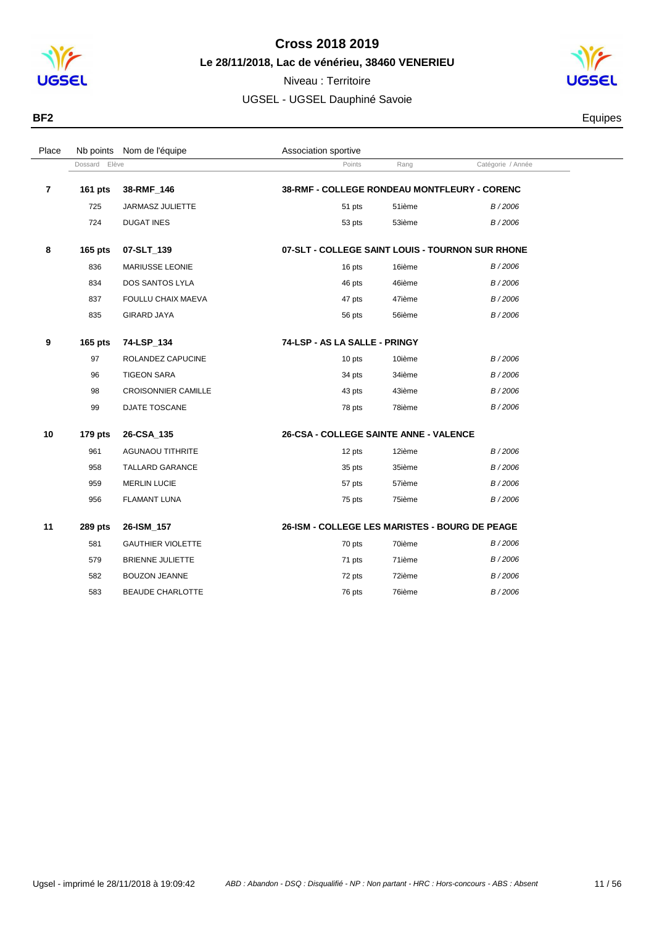

**Le 28/11/2018, Lac de vénérieu, 38460 VENERIEU**



| BF <sub>2</sub> | Equipes |
|-----------------|---------|
|                 |         |

| Place          | Nb points      | Nom de l'équipe            | Association sportive                             |        |                   |  |
|----------------|----------------|----------------------------|--------------------------------------------------|--------|-------------------|--|
|                | Dossard Elève  |                            | Points                                           | Rang   | Catégorie / Année |  |
| $\overline{7}$ | <b>161 pts</b> | 38-RMF_146                 | 38-RMF - COLLEGE RONDEAU MONTFLEURY - CORENC     |        |                   |  |
|                | 725            | JARMASZ JULIETTE           | 51 pts                                           | 51ième | B/2006            |  |
|                | 724            | <b>DUGAT INES</b>          | 53 pts                                           | 53ième | B/2006            |  |
| 8              | 165 pts        | 07-SLT_139                 | 07-SLT - COLLEGE SAINT LOUIS - TOURNON SUR RHONE |        |                   |  |
|                | 836            | MARIUSSE LEONIE            | 16 pts                                           | 16ième | B/2006            |  |
|                | 834            | DOS SANTOS LYLA            | 46 pts                                           | 46ième | B/2006            |  |
|                | 837            | FOULLU CHAIX MAEVA         | 47 pts                                           | 47ième | B/2006            |  |
|                | 835            | <b>GIRARD JAYA</b>         | 56 pts                                           | 56ième | B/2006            |  |
| 9              | $165$ pts      | 74-LSP 134                 | 74-LSP - AS LA SALLE - PRINGY                    |        |                   |  |
|                | 97             | ROLANDEZ CAPUCINE          | 10 pts                                           | 10ième | B/2006            |  |
|                | 96             | <b>TIGEON SARA</b>         | 34 pts                                           | 34ième | B/2006            |  |
|                | 98             | <b>CROISONNIER CAMILLE</b> | 43 pts                                           | 43ième | B/2006            |  |
|                | 99             | <b>DJATE TOSCANE</b>       | 78 pts                                           | 78ième | B/2006            |  |
| 10             | $179$ pts      | 26-CSA_135                 | 26-CSA - COLLEGE SAINTE ANNE - VALENCE           |        |                   |  |
|                | 961            | <b>AGUNAOU TITHRITE</b>    | 12 pts                                           | 12ième | B/2006            |  |
|                | 958            | <b>TALLARD GARANCE</b>     | 35 pts                                           | 35ième | B/2006            |  |
|                | 959            | <b>MERLIN LUCIE</b>        | 57 pts                                           | 57ième | B/2006            |  |
|                | 956            | <b>FLAMANT LUNA</b>        | 75 pts                                           | 75ième | B/2006            |  |
| 11             | <b>289 pts</b> | 26-ISM_157                 | 26-ISM - COLLEGE LES MARISTES - BOURG DE PEAGE   |        |                   |  |
|                | 581            | <b>GAUTHIER VIOLETTE</b>   | 70 pts                                           | 70ième | B/2006            |  |
|                | 579            | <b>BRIENNE JULIETTE</b>    | 71 pts                                           | 71ième | B/2006            |  |
|                | 582            | <b>BOUZON JEANNE</b>       | 72 pts                                           | 72ième | B/2006            |  |
|                | 583            | <b>BEAUDE CHARLOTTE</b>    | 76 pts                                           | 76ième | B/2006            |  |
|                |                |                            |                                                  |        |                   |  |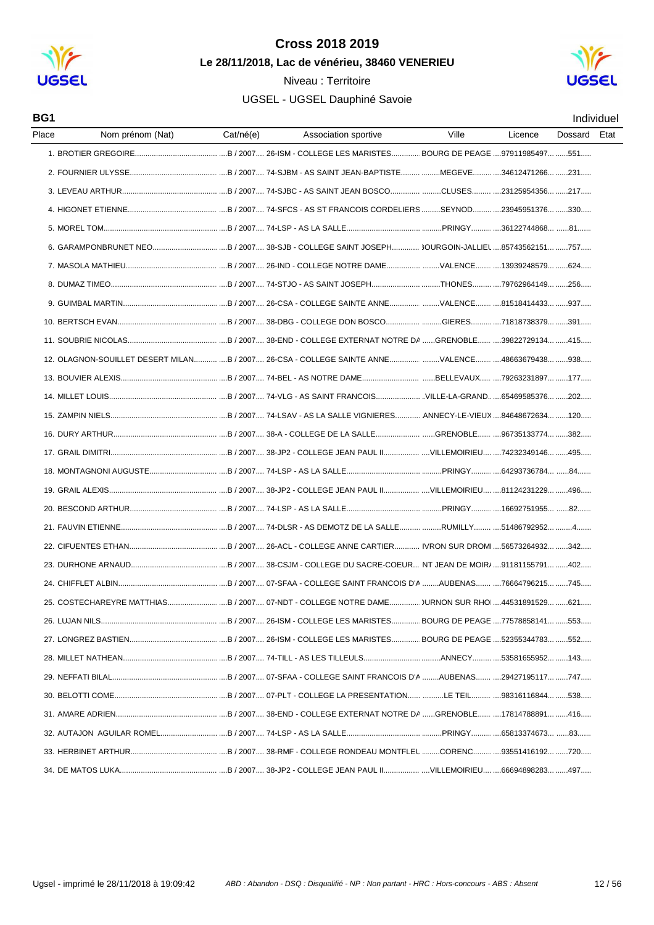

Niveau : Territoire



| BG1   |                                                                                                            |           |                      |       |         |         | Individuel |
|-------|------------------------------------------------------------------------------------------------------------|-----------|----------------------|-------|---------|---------|------------|
| Place | Nom prénom (Nat)                                                                                           | Cat/né(e) | Association sportive | Ville | Licence | Dossard | Etat       |
|       |                                                                                                            |           |                      |       |         |         |            |
|       |                                                                                                            |           |                      |       |         |         |            |
|       |                                                                                                            |           |                      |       |         |         |            |
|       |                                                                                                            |           |                      |       |         |         |            |
|       | 5. MOREL TOM…………………………………………………B / 2007…. 74-LSP - AS LA SALLE………………………………………PRINGY…………36122744868… ……81…… |           |                      |       |         |         |            |
|       |                                                                                                            |           |                      |       |         |         |            |
|       |                                                                                                            |           |                      |       |         |         |            |
|       |                                                                                                            |           |                      |       |         |         |            |
|       |                                                                                                            |           |                      |       |         |         |            |
|       |                                                                                                            |           |                      |       |         |         |            |
|       |                                                                                                            |           |                      |       |         |         |            |
|       | 12. OLAGNON-SOUILLET DESERT MILAN B / 2007 26-CSA - COLLEGE SAINTE ANNE VALENCE 48663679438 938            |           |                      |       |         |         |            |
|       |                                                                                                            |           |                      |       |         |         |            |
|       |                                                                                                            |           |                      |       |         |         |            |
|       |                                                                                                            |           |                      |       |         |         |            |
|       |                                                                                                            |           |                      |       |         |         |            |
|       |                                                                                                            |           |                      |       |         |         |            |
|       |                                                                                                            |           |                      |       |         |         |            |
|       |                                                                                                            |           |                      |       |         |         |            |
|       |                                                                                                            |           |                      |       |         |         |            |
|       |                                                                                                            |           |                      |       |         |         |            |
|       |                                                                                                            |           |                      |       |         |         |            |
|       |                                                                                                            |           |                      |       |         |         |            |
|       |                                                                                                            |           |                      |       |         |         |            |
|       | 25. COSTECHAREYRE MATTHIASB / 2007 07-NDT - COLLEGE NOTRE DAME URNON SUR RHO 44531891529 621               |           |                      |       |         |         |            |
|       |                                                                                                            |           |                      |       |         |         |            |
|       |                                                                                                            |           |                      |       |         |         |            |
|       |                                                                                                            |           |                      |       |         |         |            |
|       |                                                                                                            |           |                      |       |         |         |            |
|       |                                                                                                            |           |                      |       |         |         |            |
|       |                                                                                                            |           |                      |       |         |         |            |
|       |                                                                                                            |           |                      |       |         |         |            |
|       |                                                                                                            |           |                      |       |         |         |            |
|       |                                                                                                            |           |                      |       |         |         |            |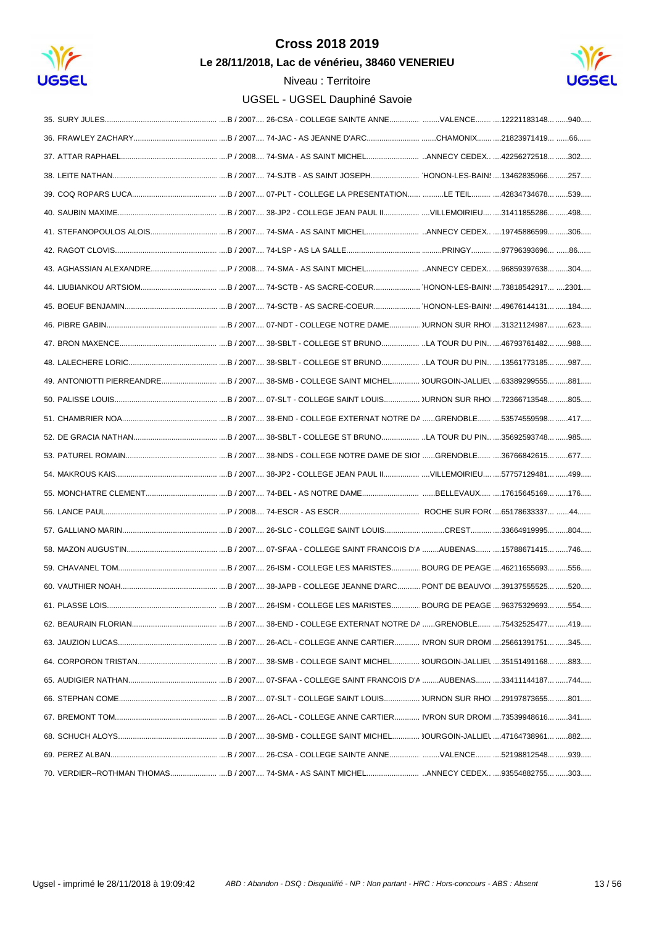

Le 28/11/2018, Lac de vénérieu, 38460 VENERIEU



| 61. PLASSE LOIS. | B / 2007 26-ISM - COLLEGE LES MARISTES<br>BOURG DE PEAGE 96375329693<br>.554. |
|------------------|-------------------------------------------------------------------------------|
|                  |                                                                               |
|                  |                                                                               |
|                  |                                                                               |
|                  |                                                                               |
|                  |                                                                               |
|                  |                                                                               |
|                  |                                                                               |
|                  |                                                                               |
|                  |                                                                               |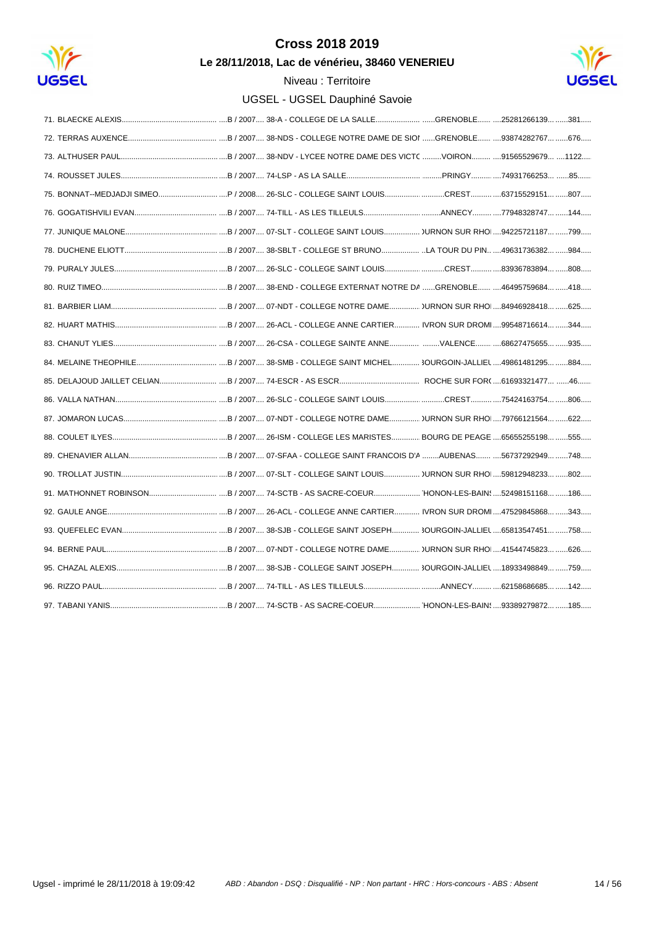

Le 28/11/2018, Lac de vénérieu, 38460 VENERIEU

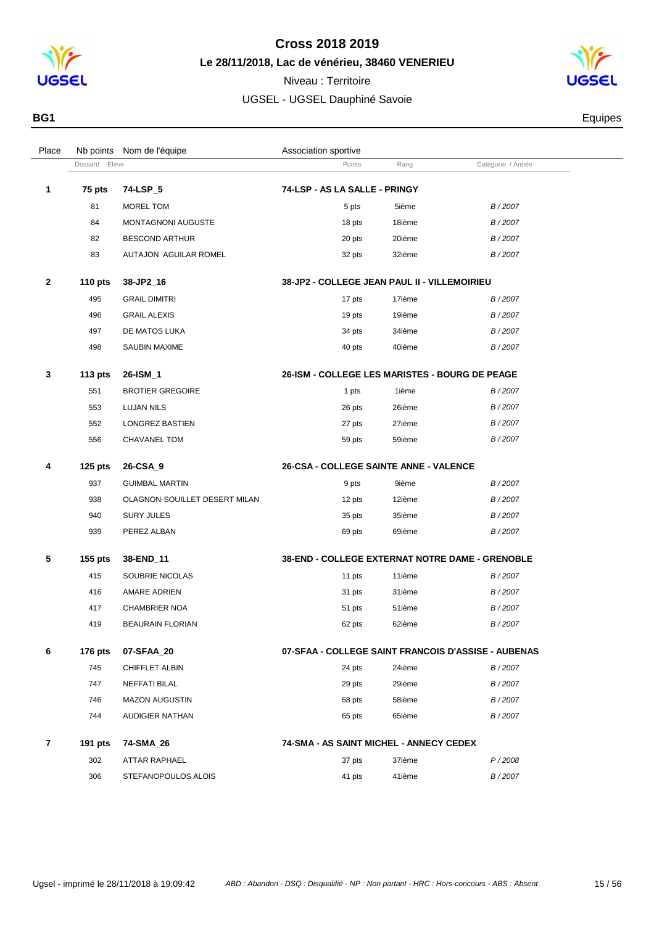

**1 75 pts 74-LSP\_5** 

### **Cross 2018 2019**

**Le 28/11/2018, Lac de vénérieu, 38460 VENERIEU**

Dossard Elève **Points** Rang Catégorie / Année

Place Nb points Nom de l'équipe  $\blacksquare$  Association sportive

Niveau : Territoire UGSEL - UGSEL Dauphiné Savoie



**BG1** Equipes

| 1 | 75 pts    | 74-LSP_5                      | 74-LSP - AS LA SALLE - PRINGY                         |        |        |  |
|---|-----------|-------------------------------|-------------------------------------------------------|--------|--------|--|
|   | 81        | MOREL TOM                     | 5 pts                                                 | 5ième  | B/2007 |  |
|   | 84        | MONTAGNONI AUGUSTE            | 18 pts                                                | 18ième | B/2007 |  |
|   | 82        | <b>BESCOND ARTHUR</b>         | 20 pts                                                | 20ième | B/2007 |  |
|   | 83        | AUTAJON AGUILAR ROMEL         | 32 pts                                                | 32ième | B/2007 |  |
| 2 | 110 $pts$ | 38-JP2_16                     | 38-JP2 - COLLEGE JEAN PAUL II - VILLEMOIRIEU          |        |        |  |
|   | 495       | <b>GRAIL DIMITRI</b>          | 17 pts                                                | 17ième | B/2007 |  |
|   | 496       | <b>GRAIL ALEXIS</b>           | 19 pts                                                | 19ième | B/2007 |  |
|   | 497       | DE MATOS LUKA                 | 34 pts                                                | 34ième | B/2007 |  |
|   | 498       | <b>SAUBIN MAXIME</b>          | 40 pts                                                | 40ième | B/2007 |  |
| 3 | 113 $pts$ | 26-ISM 1                      | <b>26-ISM - COLLEGE LES MARISTES - BOURG DE PEAGE</b> |        |        |  |
|   | 551       | <b>BROTIER GREGOIRE</b>       | 1 pts                                                 | 1ième  | B/2007 |  |
|   | 553       | <b>LUJAN NILS</b>             | 26 pts                                                | 26ième | B/2007 |  |
|   | 552       | <b>LONGREZ BASTIEN</b>        | 27 pts                                                | 27ième | B/2007 |  |
|   | 556       | <b>CHAVANEL TOM</b>           | 59 pts                                                | 59ième | B/2007 |  |
| 4 | $125$ pts | 26-CSA 9                      | 26-CSA - COLLEGE SAINTE ANNE - VALENCE                |        |        |  |
|   | 937       | <b>GUIMBAL MARTIN</b>         | 9 pts                                                 | 9ième  | B/2007 |  |
|   | 938       | OLAGNON-SOUILLET DESERT MILAN | 12 pts                                                | 12ième | B/2007 |  |
|   | 940       | <b>SURY JULES</b>             | 35 pts                                                | 35ième | B/2007 |  |
|   | 939       | PEREZ ALBAN                   | 69 pts                                                | 69ième | B/2007 |  |
| 5 | $155$ pts | 38-END_11                     | 38-END - COLLEGE EXTERNAT NOTRE DAME - GRENOBLE       |        |        |  |
|   | 415       | SOUBRIE NICOLAS               | 11 pts                                                | 11ième | B/2007 |  |
|   |           |                               |                                                       |        |        |  |

### **4 125 pts 26-CSA\_9 26-CSA - COLLEGE SAINTE ANNE - VALENCE** 937 GUIMBAL MAR 938 OLAGNON-SO 940 SURY JULES 939 PEREZ ALBAN **5 155 pts 38-END\_11 38-END - COLLEGE EXTERNAT NOTRE DAME - GRENOBLE** 415 SOUBRIE NICO 416 AMARE ADRIEN 31 pts 31 pts 31ième B/2007 417 CHAMBRIER NOA **51** pts 51 pts 51ième B/2007 419 BEAURAIN FLORIAN 62 pts 62 pts 62ième B / 2007 **6 176 pts 07-SFAA\_20 07-SFAA - COLLEGE SAINT FRANCOIS D'ASSISE - AUBENAS** 745 CHIFFLET ALBIN 24 pts 24ième B/2007 747 NEFFATI BILAL 29 pts 29ième B / 2007 746 MAZON AUGUSTIN 58 pts 58ième B / 2007 744 AUDIGIER NATHAN **1988 12007 65** pts 65ième B/2007

|     | 191 pts 74-SMA 26   | 74-SMA - AS SAINT MICHEL - ANNECY CEDEX |        |  |
|-----|---------------------|-----------------------------------------|--------|--|
| 302 | ATTAR RAPHAEL       | 37ième<br>37 pts                        | P/2008 |  |
| 306 | STEFANOPOULOS ALOIS | 41ième<br>41 pts                        | B/2007 |  |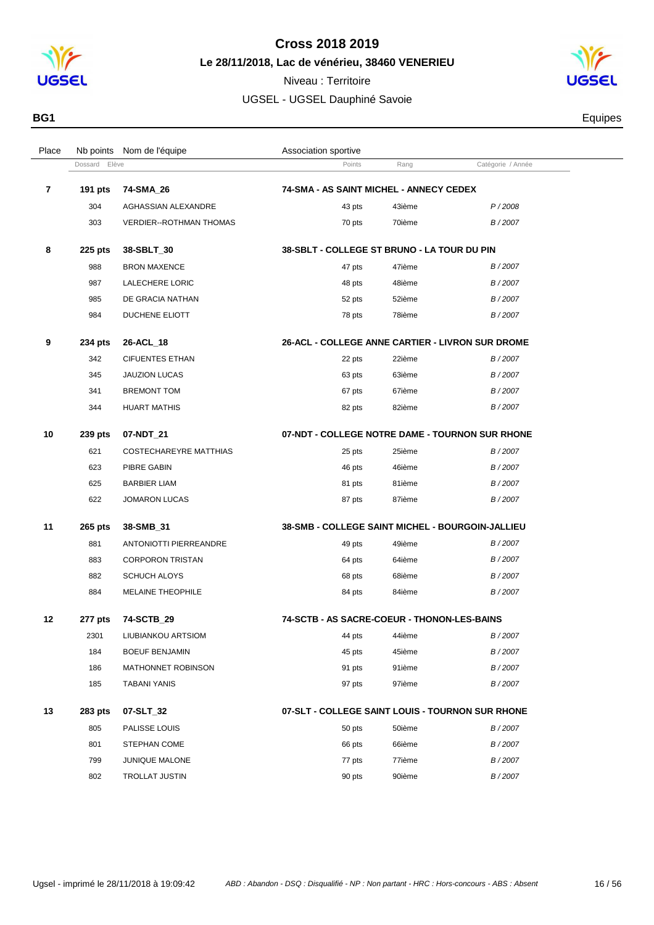



| BG1 | <b>Thuipes</b> |
|-----|----------------|
|     |                |

| Place |               | Nb points Nom de l'équipe      | Association sportive                             |        |                   |  |
|-------|---------------|--------------------------------|--------------------------------------------------|--------|-------------------|--|
|       | Dossard Elève |                                | Points                                           | Rang   | Catégorie / Année |  |
| 7     | 191 pts       | 74-SMA_26                      | 74-SMA - AS SAINT MICHEL - ANNECY CEDEX          |        |                   |  |
|       | 304           | AGHASSIAN ALEXANDRE            | 43 pts                                           | 43ième | P/2008            |  |
|       | 303           | <b>VERDIER--ROTHMAN THOMAS</b> | 70 pts                                           | 70ième | B/2007            |  |
| 8     | 225 pts       | 38-SBLT_30                     | 38-SBLT - COLLEGE ST BRUNO - LA TOUR DU PIN      |        |                   |  |
|       | 988           | <b>BRON MAXENCE</b>            | 47 pts                                           | 47ième | B/2007            |  |
|       | 987           | LALECHERE LORIC                | 48 pts                                           | 48ième | B/2007            |  |
|       | 985           | DE GRACIA NATHAN               | 52 pts                                           | 52ième | B/2007            |  |
|       | 984           | DUCHENE ELIOTT                 | 78 pts                                           | 78ième | B/2007            |  |
| 9     | 234 pts       | 26-ACL_18                      | 26-ACL - COLLEGE ANNE CARTIER - LIVRON SUR DROME |        |                   |  |
|       | 342           | <b>CIFUENTES ETHAN</b>         | 22 pts                                           | 22ième | B/2007            |  |
|       | 345           | <b>JAUZION LUCAS</b>           | 63 pts                                           | 63ième | B/2007            |  |
|       | 341           | <b>BREMONT TOM</b>             | 67 pts                                           | 67ième | B/2007            |  |
|       | 344           | <b>HUART MATHIS</b>            | 82 pts                                           | 82ième | B/2007            |  |
| 10    | 239 pts       | 07-NDT_21                      | 07-NDT - COLLEGE NOTRE DAME - TOURNON SUR RHONE  |        |                   |  |
|       | 621           | COSTECHAREYRE MATTHIAS         | 25 pts                                           | 25ième | B/2007            |  |
|       | 623           | PIBRE GABIN                    | 46 pts                                           | 46ième | B/2007            |  |
|       | 625           | <b>BARBIER LIAM</b>            | 81 pts                                           | 81ième | B/2007            |  |
|       | 622           | <b>JOMARON LUCAS</b>           | 87 pts                                           | 87ième | B/2007            |  |
| 11    | 265 pts       | 38-SMB_31                      | 38-SMB - COLLEGE SAINT MICHEL - BOURGOIN-JALLIEU |        |                   |  |
|       | 881           | <b>ANTONIOTTI PIERREANDRE</b>  | 49 pts                                           | 49ième | B/2007            |  |
|       | 883           | <b>CORPORON TRISTAN</b>        | 64 pts                                           | 64ième | B/2007            |  |
|       | 882           | <b>SCHUCH ALOYS</b>            | 68 pts                                           | 68ième | B/2007            |  |
|       | 884           | MELAINE THEOPHILE              | 84 pts                                           | 84ième | B/2007            |  |
| 12    | 277 pts       | 74-SCTB 29                     | 74-SCTB - AS SACRE-COEUR - THONON-LES-BAINS      |        |                   |  |
|       | 2301          | LIUBIANKOU ARTSIOM             | 44 pts                                           | 44ième | B/2007            |  |
|       | 184           | <b>BOEUF BENJAMIN</b>          | 45 pts                                           | 45ième | B/2007            |  |
|       | 186           | MATHONNET ROBINSON             | 91 pts                                           | 91ième | B/2007            |  |
|       | 185           | <b>TABANI YANIS</b>            | 97 pts                                           | 97ième | B/2007            |  |
| 13    | 283 pts       | 07-SLT_32                      | 07-SLT - COLLEGE SAINT LOUIS - TOURNON SUR RHONE |        |                   |  |
|       | 805           | PALISSE LOUIS                  | 50 pts                                           | 50ième | B/2007            |  |
|       | 801           | STEPHAN COME                   | 66 pts                                           | 66ième | B/2007            |  |
|       | 799           | JUNIQUE MALONE                 | 77 pts                                           | 77ième | B/2007            |  |
|       | 802           | <b>TROLLAT JUSTIN</b>          | 90 pts                                           | 90ième | B/2007            |  |
|       |               |                                |                                                  |        |                   |  |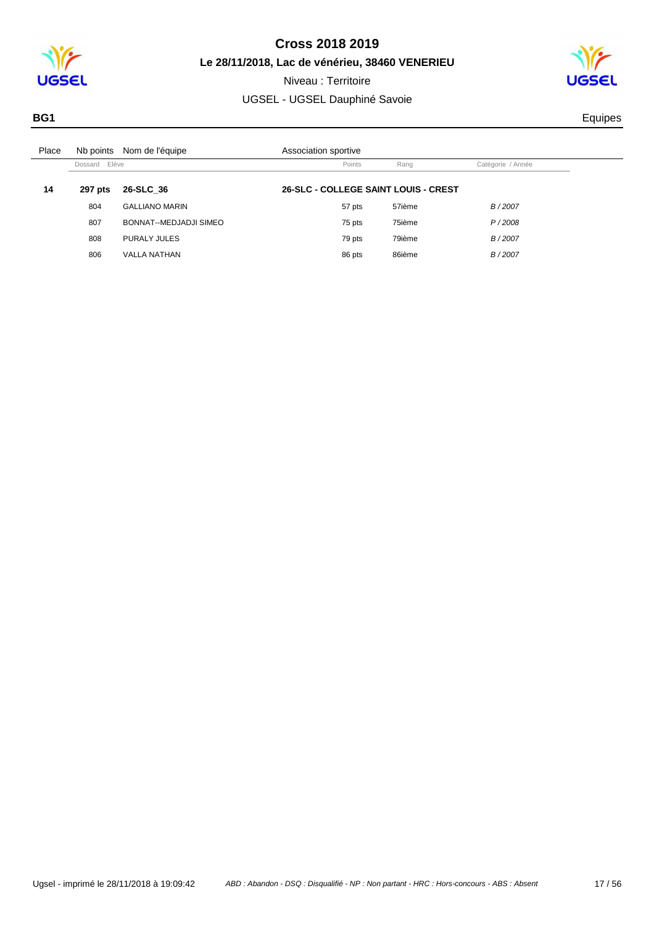

**Le 28/11/2018, Lac de vénérieu, 38460 VENERIEU** Niveau : Territoire

UGSEL - UGSEL Dauphiné Savoie



**BG1** Equipes

| Place | Nb points     | Nom de l'équipe        | Association sportive                 |        |                   |
|-------|---------------|------------------------|--------------------------------------|--------|-------------------|
|       | Dossard Elève |                        | Points                               | Rang   | Catégorie / Année |
| 14    | 297 pts       | 26-SLC 36              | 26-SLC - COLLEGE SAINT LOUIS - CREST |        |                   |
|       | 804           | <b>GALLIANO MARIN</b>  | 57 pts                               | 57ième | B/2007            |
|       | 807           | BONNAT--MEDJADJI SIMEO | 75 pts                               | 75ième | P/2008            |
|       | 808           | PURALY JULES           | 79 pts                               | 79ième | B/2007            |
|       | 806           | <b>VALLA NATHAN</b>    | 86 pts                               | 86ième | B/2007            |
|       |               |                        |                                      |        |                   |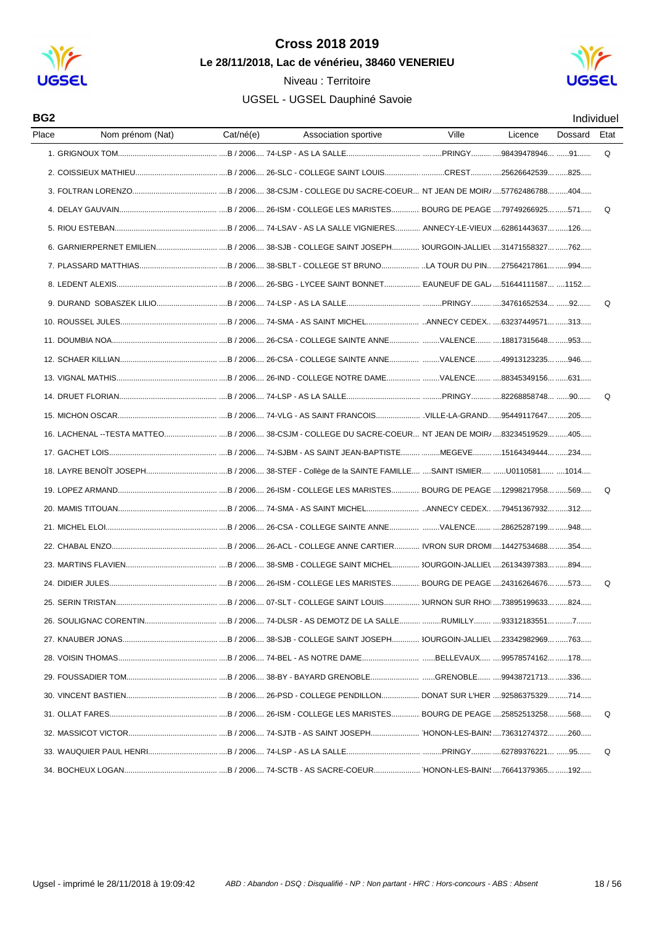

### Niveau : Territoire



| BG <sub>2</sub> |                                                                                                                        |           |                      |       |         |         | Individuel |
|-----------------|------------------------------------------------------------------------------------------------------------------------|-----------|----------------------|-------|---------|---------|------------|
| Place           | Nom prénom (Nat)                                                                                                       | Cat/né(e) | Association sportive | Ville | Licence | Dossard | Etat       |
|                 |                                                                                                                        |           |                      |       |         |         | Q          |
|                 |                                                                                                                        |           |                      |       |         |         |            |
|                 |                                                                                                                        |           |                      |       |         |         |            |
|                 |                                                                                                                        |           |                      |       |         |         | Q          |
|                 |                                                                                                                        |           |                      |       |         |         |            |
|                 |                                                                                                                        |           |                      |       |         |         |            |
|                 |                                                                                                                        |           |                      |       |         |         |            |
|                 |                                                                                                                        |           |                      |       |         |         |            |
|                 |                                                                                                                        |           |                      |       |         |         | Q          |
|                 |                                                                                                                        |           |                      |       |         |         |            |
|                 |                                                                                                                        |           |                      |       |         |         |            |
|                 |                                                                                                                        |           |                      |       |         |         |            |
|                 |                                                                                                                        |           |                      |       |         |         |            |
|                 |                                                                                                                        |           |                      |       |         |         | Q          |
|                 |                                                                                                                        |           |                      |       |         |         |            |
|                 | 16. LACHENAL --TESTA MATTEOB / 2006 38-CSJM - COLLEGE DU SACRE-COEUR NT JEAN DE MOIR/ 83234519529 405                  |           |                      |       |         |         |            |
|                 |                                                                                                                        |           |                      |       |         |         |            |
|                 |                                                                                                                        |           |                      |       |         |         |            |
|                 |                                                                                                                        |           |                      |       |         |         | Q          |
|                 |                                                                                                                        |           |                      |       |         |         |            |
|                 |                                                                                                                        |           |                      |       |         |         |            |
|                 |                                                                                                                        |           |                      |       |         |         |            |
|                 |                                                                                                                        |           |                      |       |         |         |            |
|                 |                                                                                                                        |           |                      |       |         |         | Q          |
|                 |                                                                                                                        |           |                      |       |         |         |            |
|                 |                                                                                                                        |           |                      |       |         |         |            |
|                 | 27. KNAUBER JONAS…………………………………………B / 2006…. 38-SJB - COLLEGE SAINT JOSEPH…………. 3OURGOIN-JALLIEL ….23342982969… ……763…… |           |                      |       |         |         |            |
|                 |                                                                                                                        |           |                      |       |         |         |            |
|                 |                                                                                                                        |           |                      |       |         |         |            |
|                 |                                                                                                                        |           |                      |       |         |         |            |
|                 |                                                                                                                        |           |                      |       |         |         | Q          |
|                 |                                                                                                                        |           |                      |       |         |         |            |
|                 |                                                                                                                        |           |                      |       |         |         | Q          |
|                 |                                                                                                                        |           |                      |       |         |         |            |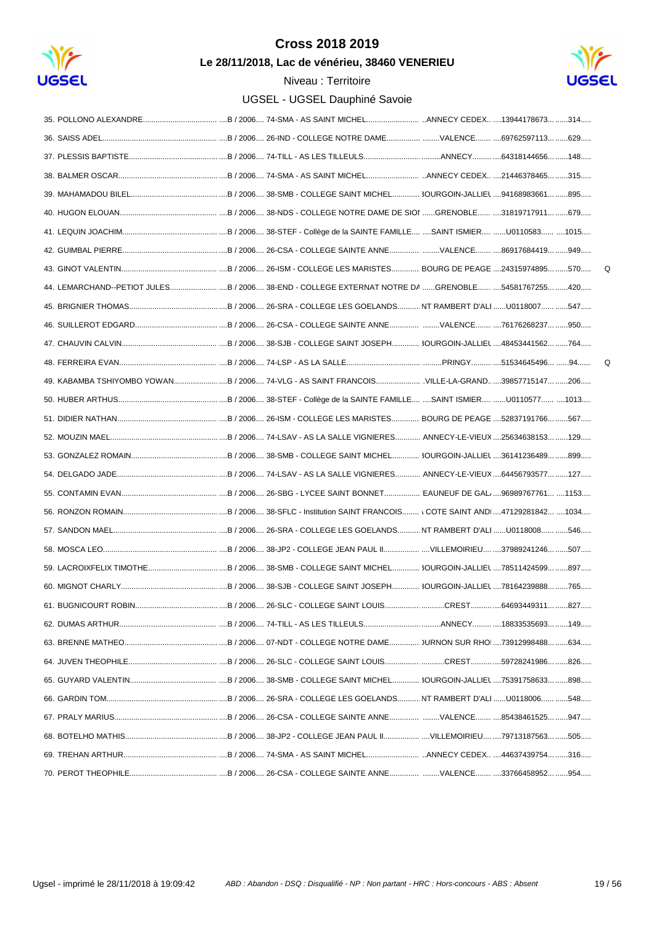

Le 28/11/2018, Lac de vénérieu, 38460 VENERIEU



 $\mathsf Q$ 

 $\Omega$ 

| 44. LEMARCHAND--PETIOT JULES B / 2006 38-END - COLLEGE EXTERNAT NOTRE DA GRENOBLE 54581767255 420 |  |
|---------------------------------------------------------------------------------------------------|--|
|                                                                                                   |  |
|                                                                                                   |  |
|                                                                                                   |  |
|                                                                                                   |  |
| 49. KABAMBA TSHIYOMBO YOWAN B/2006 74-VLG - AS SAINT FRANCOISVILLE-LA-GRAND 39857715147 206       |  |
|                                                                                                   |  |
|                                                                                                   |  |
|                                                                                                   |  |
|                                                                                                   |  |
|                                                                                                   |  |
|                                                                                                   |  |
|                                                                                                   |  |
|                                                                                                   |  |
|                                                                                                   |  |
|                                                                                                   |  |
|                                                                                                   |  |
|                                                                                                   |  |
|                                                                                                   |  |
|                                                                                                   |  |
|                                                                                                   |  |
|                                                                                                   |  |
|                                                                                                   |  |
|                                                                                                   |  |
|                                                                                                   |  |
|                                                                                                   |  |
|                                                                                                   |  |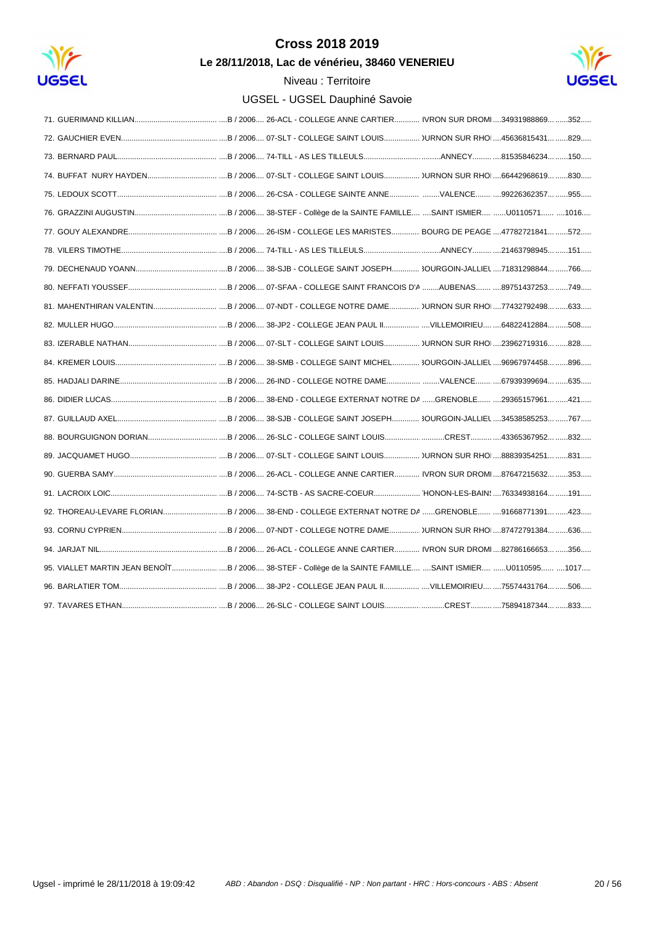

Le 28/11/2018, Lac de vénérieu, 38460 VENERIEU



| 95. VIALLET MARTIN JEAN BENOÎT B / 2006 38-STEF - Collège de la SAINTE FAMILLE SAINT ISMIER U0110595 1017 |
|-----------------------------------------------------------------------------------------------------------|
|                                                                                                           |
|                                                                                                           |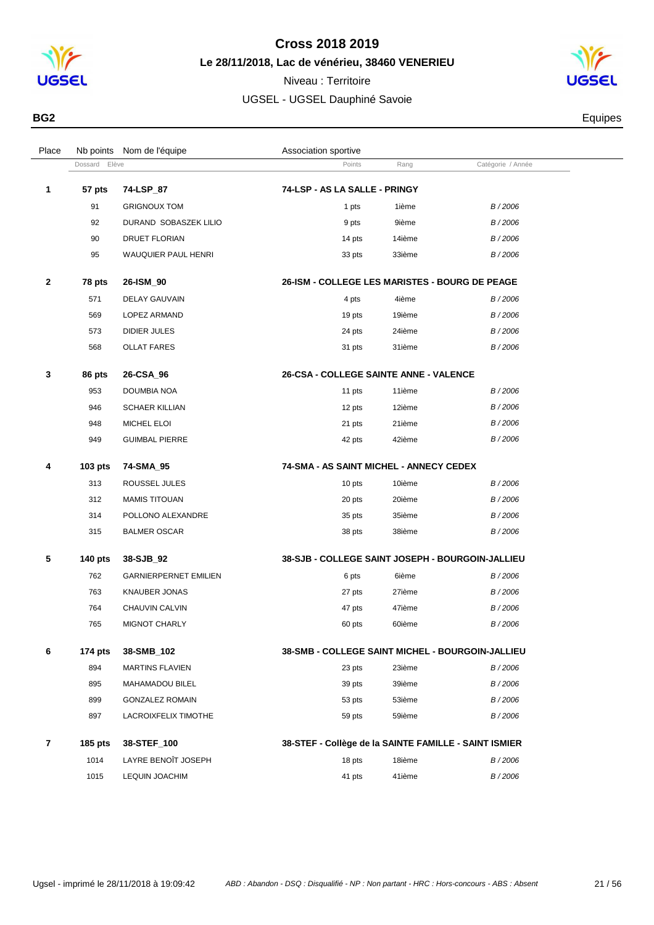

**Le 28/11/2018, Lac de vénérieu, 38460 VENERIEU**



| BG <sub>2</sub> | Equipes |
|-----------------|---------|
|                 |         |

| Place        |                | Nb points Nom de l'équipe    | Association sportive                                  |        |                   |  |
|--------------|----------------|------------------------------|-------------------------------------------------------|--------|-------------------|--|
|              | Dossard Elève  |                              | Points                                                | Rang   | Catégorie / Année |  |
| 1            | 57 pts         | 74-LSP_87                    | 74-LSP - AS LA SALLE - PRINGY                         |        |                   |  |
|              | 91             | <b>GRIGNOUX TOM</b>          | 1 pts                                                 | 1ième  | B/2006            |  |
|              | 92             | DURAND SOBASZEK LILIO        | 9 pts                                                 | 9ième  | B/2006            |  |
|              | 90             | <b>DRUET FLORIAN</b>         | 14 pts                                                | 14ième | B/2006            |  |
|              | 95             | WAUQUIER PAUL HENRI          | 33 pts                                                | 33ième | B/2006            |  |
| $\mathbf{2}$ | 78 pts         | 26-ISM_90                    | <b>26-ISM - COLLEGE LES MARISTES - BOURG DE PEAGE</b> |        |                   |  |
|              | 571            | <b>DELAY GAUVAIN</b>         | 4 pts                                                 | 4ième  | B/2006            |  |
|              | 569            | LOPEZ ARMAND                 | 19 pts                                                | 19ième | B/2006            |  |
|              | 573            | DIDIER JULES                 | 24 pts                                                | 24ième | B/2006            |  |
|              | 568            | <b>OLLAT FARES</b>           | 31 pts                                                | 31ième | B/2006            |  |
| 3            | 86 pts         | 26-CSA 96                    | <b>26-CSA - COLLEGE SAINTE ANNE - VALENCE</b>         |        |                   |  |
|              | 953            | DOUMBIA NOA                  | 11 pts                                                | 11ième | B/2006            |  |
|              | 946            | <b>SCHAER KILLIAN</b>        | 12 pts                                                | 12ième | B/2006            |  |
|              | 948            | MICHEL ELOI                  | 21 pts                                                | 21ième | B/2006            |  |
|              | 949            | <b>GUIMBAL PIERRE</b>        | 42 pts                                                | 42ième | B/2006            |  |
|              |                |                              |                                                       |        |                   |  |
| 4            | <b>103 pts</b> | 74-SMA_95                    | 74-SMA - AS SAINT MICHEL - ANNECY CEDEX               |        |                   |  |
|              | 313            | ROUSSEL JULES                | 10 pts                                                | 10ième | B/2006            |  |
|              | 312            | <b>MAMIS TITOUAN</b>         | 20 pts                                                | 20ième | B/2006            |  |
|              | 314            | POLLONO ALEXANDRE            | 35 pts                                                | 35ième | B/2006            |  |
|              | 315            | <b>BALMER OSCAR</b>          | 38 pts                                                | 38ième | B/2006            |  |
| 5            | <b>140 pts</b> | 38-SJB_92                    | 38-SJB - COLLEGE SAINT JOSEPH - BOURGOIN-JALLIEU      |        |                   |  |
|              | 762            | <b>GARNIERPERNET EMILIEN</b> | 6 pts                                                 | 6ième  | B/2006            |  |
|              | 763            | <b>KNAUBER JONAS</b>         | 27 pts                                                | 27ième | B/2006            |  |
|              | 764            | CHAUVIN CALVIN               | 47 pts                                                | 47ième | B/2006            |  |
|              | 765            | MIGNOT CHARLY                | 60 pts                                                | 60ième | B/2006            |  |
| 6            | 174 pts        | 38-SMB_102                   | 38-SMB - COLLEGE SAINT MICHEL - BOURGOIN-JALLIEU      |        |                   |  |
|              | 894            | <b>MARTINS FLAVIEN</b>       | 23 pts                                                | 23ième | B/2006            |  |
|              | 895            | MAHAMADOU BILEL              | 39 pts                                                | 39ième | B/2006            |  |
|              | 899            | <b>GONZALEZ ROMAIN</b>       | 53 pts                                                | 53ième | B/2006            |  |
|              | 897            | LACROIXFELIX TIMOTHE         | 59 pts                                                | 59ième | B/2006            |  |
| 7            | 185 pts        | 38-STEF_100                  | 38-STEF - Collège de la SAINTE FAMILLE - SAINT ISMIER |        |                   |  |
|              | 1014           | LAYRE BENOIT JOSEPH          | 18 pts                                                | 18ième | B/2006            |  |
|              | 1015           | <b>LEQUIN JOACHIM</b>        | 41 pts                                                | 41ième | B/2006            |  |
|              |                |                              |                                                       |        |                   |  |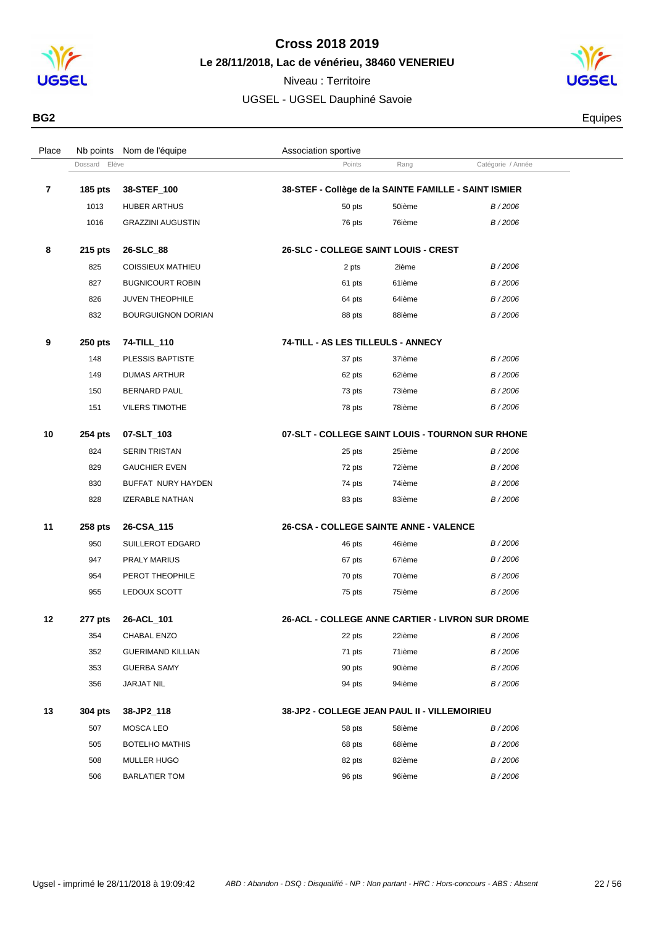

**Le 28/11/2018, Lac de vénérieu, 38460 VENERIEU**

Dossard Elève **Catégorie / Année**<br>
Points Rang Catégorie / Année

Place Nb points Nom de l'équipe  $\blacksquare$  Association sportive

Niveau : Territoire UGSEL - UGSEL Dauphiné Savoie



**BG2** Equipes

| $\overline{\mathbf{r}}$ | <b>185 pts</b> | 38-STEF_100               | 38-STEF - Collège de la SAINTE FAMILLE - SAINT ISMIER |        |        |
|-------------------------|----------------|---------------------------|-------------------------------------------------------|--------|--------|
|                         | 1013           | <b>HUBER ARTHUS</b>       | 50 pts                                                | 50ième | B/2006 |
|                         | 1016           | <b>GRAZZINI AUGUSTIN</b>  | 76 pts                                                | 76ième | B/2006 |
| 8                       | $215$ pts      | 26-SLC_88                 | 26-SLC - COLLEGE SAINT LOUIS - CREST                  |        |        |
|                         | 825            | <b>COISSIEUX MATHIEU</b>  | 2 pts                                                 | 2ième  | B/2006 |
|                         | 827            | <b>BUGNICOURT ROBIN</b>   | 61 pts                                                | 61ième | B/2006 |
|                         | 826            | <b>JUVEN THEOPHILE</b>    | 64 pts                                                | 64ième | B/2006 |
|                         | 832            | <b>BOURGUIGNON DORIAN</b> | 88 pts                                                | 88ième | B/2006 |
| 9                       | 250 pts        | 74-TILL_110               | 74-TILL - AS LES TILLEULS - ANNECY                    |        |        |
|                         | 148            | PLESSIS BAPTISTE          | 37 pts                                                | 37ième | B/2006 |
|                         | 149            | <b>DUMAS ARTHUR</b>       | 62 pts                                                | 62ième | B/2006 |
|                         | 150            | <b>BERNARD PAUL</b>       | 73 pts                                                | 73ième | B/2006 |
|                         | 151            | <b>VILERS TIMOTHE</b>     | 78 pts                                                | 78ième | B/2006 |
| 10                      | 254 pts        | 07-SLT_103                | 07-SLT - COLLEGE SAINT LOUIS - TOURNON SUR RHONE      |        |        |
|                         | 824            | <b>SERIN TRISTAN</b>      | 25 pts                                                | 25ième | B/2006 |
|                         | 829            | <b>GAUCHIER EVEN</b>      | 72 pts                                                | 72ième | B/2006 |
|                         | 830            | BUFFAT NURY HAYDEN        | 74 pts                                                | 74ième | B/2006 |
|                         | 828            | <b>IZERABLE NATHAN</b>    | 83 pts                                                | 83ième | B/2006 |
| 11                      | 258 pts        | 26-CSA_115                | 26-CSA - COLLEGE SAINTE ANNE - VALENCE                |        |        |
|                         | 950            | SUILLEROT EDGARD          | 46 pts                                                | 46ième | B/2006 |
|                         | 947            | <b>PRALY MARIUS</b>       | 67 pts                                                | 67ième | B/2006 |
|                         | 954            | PEROT THEOPHILE           | 70 pts                                                | 70ième | B/2006 |
|                         | 955            | LEDOUX SCOTT              | 75 pts                                                | 75ième | B/2006 |

| $12 \,$ | 277 pts | 26-ACL 101               | <b>26-ACL - COLLEGE ANNE CARTIER - LIVRON SUR DROME</b> |
|---------|---------|--------------------------|---------------------------------------------------------|
|         | 354     | CHABAL ENZO              | 22ième<br>B/2006<br>22 pts                              |
|         | 352     | <b>GUERIMAND KILLIAN</b> | 71ième<br>B/2006<br>71 pts                              |
|         | 353     | <b>GUERBA SAMY</b>       | 90ième<br>B/2006<br>90 pts                              |
|         | 356     | <b>JARJAT NIL</b>        | 94ième<br>B/2006<br>94 pts                              |
| 13      | 304 pts | 38-JP2 118               | 38-JP2 - COLLEGE JEAN PAUL II - VILLEMOIRIEU            |
|         |         |                          |                                                         |
|         | 507     | MOSCA LEO                | 58ième<br>B/2006<br>58 pts                              |
|         | 505     | <b>BOTELHO MATHIS</b>    | 68ième<br>B/2006<br>68 pts                              |
|         | 508     | <b>MULLER HUGO</b>       | 82ième<br>B/2006<br>82 pts                              |

BARLATIER TOM 96 pts 96ième B / 2006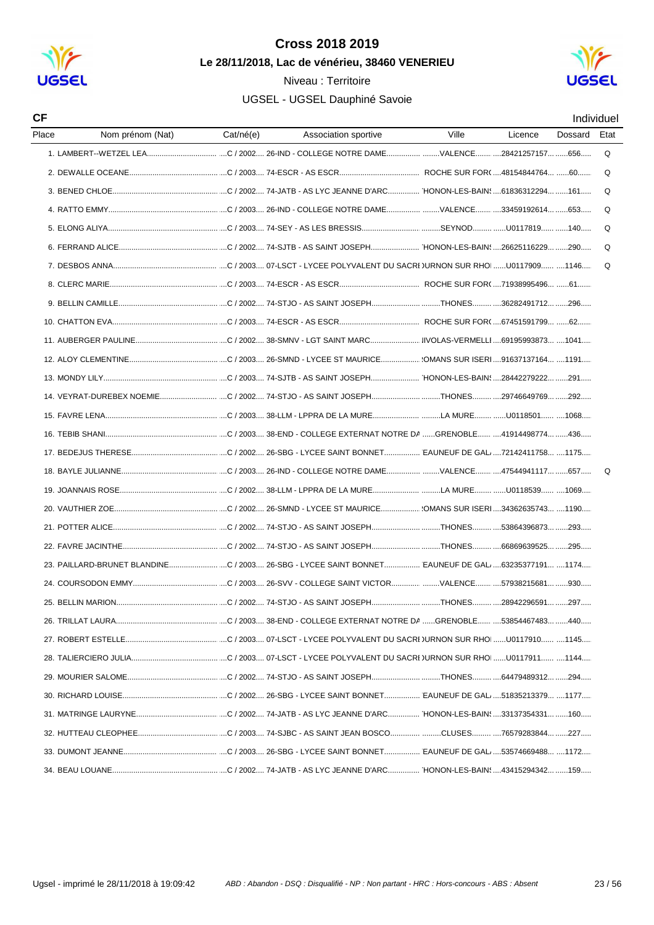

#### Niveau : Territoire



| Place<br>Association sportive<br>Licence<br>Dossard<br>Etat<br>Q<br>Q<br>Q<br>Q<br>Q<br>Q<br>Q<br>14. VEYRAT-DUREBEX NOEMIEC / 2002 74-STJO - AS SAINT JOSEPHTHONES29746649769 292<br>Q<br>23. PAILLARD-BRUNET BLANDINEC / 2003 26-SBG - LYCEE SAINT BONNET EAUNEUF DE GAL 63235377191 1174 | СF |                  |           |       |  | Individuel |
|---------------------------------------------------------------------------------------------------------------------------------------------------------------------------------------------------------------------------------------------------------------------------------------------|----|------------------|-----------|-------|--|------------|
|                                                                                                                                                                                                                                                                                             |    | Nom prénom (Nat) | Cat/né(e) | Ville |  |            |
|                                                                                                                                                                                                                                                                                             |    |                  |           |       |  |            |
|                                                                                                                                                                                                                                                                                             |    |                  |           |       |  |            |
|                                                                                                                                                                                                                                                                                             |    |                  |           |       |  |            |
|                                                                                                                                                                                                                                                                                             |    |                  |           |       |  |            |
|                                                                                                                                                                                                                                                                                             |    |                  |           |       |  |            |
|                                                                                                                                                                                                                                                                                             |    |                  |           |       |  |            |
|                                                                                                                                                                                                                                                                                             |    |                  |           |       |  |            |
|                                                                                                                                                                                                                                                                                             |    |                  |           |       |  |            |
|                                                                                                                                                                                                                                                                                             |    |                  |           |       |  |            |
|                                                                                                                                                                                                                                                                                             |    |                  |           |       |  |            |
|                                                                                                                                                                                                                                                                                             |    |                  |           |       |  |            |
|                                                                                                                                                                                                                                                                                             |    |                  |           |       |  |            |
|                                                                                                                                                                                                                                                                                             |    |                  |           |       |  |            |
|                                                                                                                                                                                                                                                                                             |    |                  |           |       |  |            |
|                                                                                                                                                                                                                                                                                             |    |                  |           |       |  |            |
|                                                                                                                                                                                                                                                                                             |    |                  |           |       |  |            |
|                                                                                                                                                                                                                                                                                             |    |                  |           |       |  |            |
|                                                                                                                                                                                                                                                                                             |    |                  |           |       |  |            |
|                                                                                                                                                                                                                                                                                             |    |                  |           |       |  |            |
|                                                                                                                                                                                                                                                                                             |    |                  |           |       |  |            |
|                                                                                                                                                                                                                                                                                             |    |                  |           |       |  |            |
|                                                                                                                                                                                                                                                                                             |    |                  |           |       |  |            |
|                                                                                                                                                                                                                                                                                             |    |                  |           |       |  |            |
|                                                                                                                                                                                                                                                                                             |    |                  |           |       |  |            |
|                                                                                                                                                                                                                                                                                             |    |                  |           |       |  |            |
|                                                                                                                                                                                                                                                                                             |    |                  |           |       |  |            |
|                                                                                                                                                                                                                                                                                             |    |                  |           |       |  |            |
|                                                                                                                                                                                                                                                                                             |    |                  |           |       |  |            |
|                                                                                                                                                                                                                                                                                             |    |                  |           |       |  |            |
|                                                                                                                                                                                                                                                                                             |    |                  |           |       |  |            |
|                                                                                                                                                                                                                                                                                             |    |                  |           |       |  |            |
|                                                                                                                                                                                                                                                                                             |    |                  |           |       |  |            |
|                                                                                                                                                                                                                                                                                             |    |                  |           |       |  |            |
|                                                                                                                                                                                                                                                                                             |    |                  |           |       |  |            |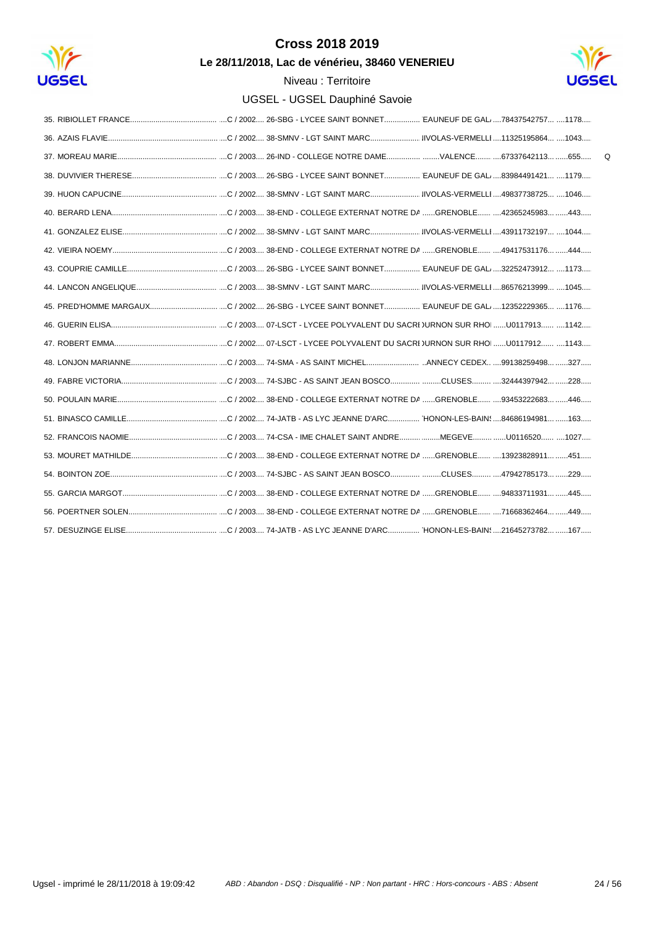

Le 28/11/2018, Lac de vénérieu, 38460 VENERIEU



| $\Omega$ |
|----------|
|          |
|          |
|          |
|          |
|          |
|          |
|          |
|          |
|          |
|          |
|          |
|          |
|          |
|          |
|          |
|          |
|          |
|          |
|          |
|          |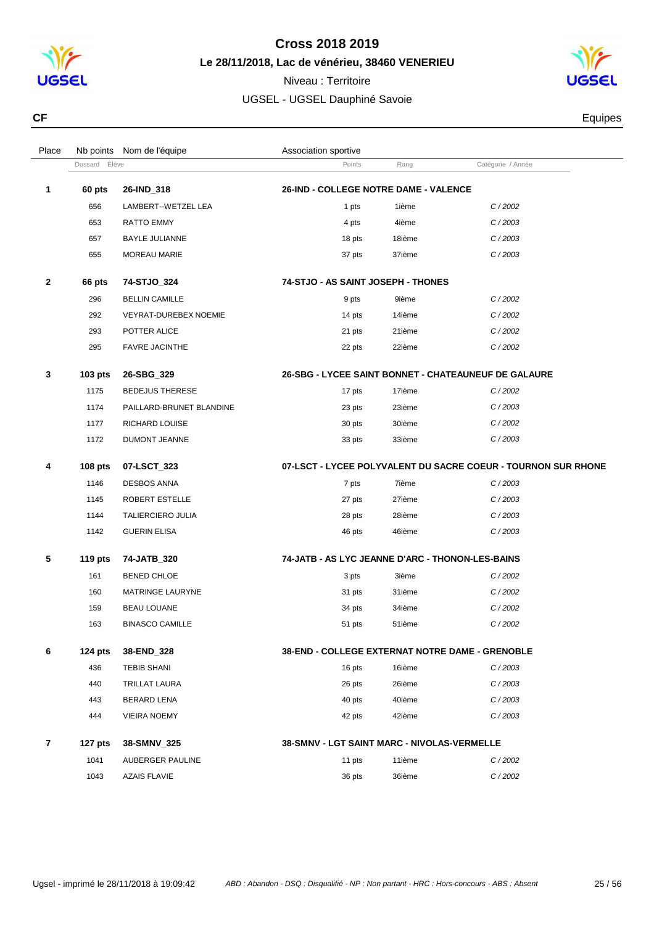

**Le 28/11/2018, Lac de vénérieu, 38460 VENERIEU**

Niveau : Territoire UGSEL - UGSEL Dauphiné Savoie



**CF** Equipes **CF** Equipes **CF** 

| Place        |                | Nb points Nom de l'équipe    | Association sportive                             |        |                                                               |  |
|--------------|----------------|------------------------------|--------------------------------------------------|--------|---------------------------------------------------------------|--|
|              | Dossard Elève  |                              | Points                                           | Rang   | Catégorie / Année                                             |  |
| 1            | 60 pts         | 26-IND_318                   | <b>26-IND - COLLEGE NOTRE DAME - VALENCE</b>     |        |                                                               |  |
|              | 656            | LAMBERT--WETZEL LEA          | 1 pts                                            | 1ième  | C/2002                                                        |  |
|              | 653            | RATTO EMMY                   | 4 pts                                            | 4ième  | C/2003                                                        |  |
|              | 657            | <b>BAYLE JULIANNE</b>        | 18 pts                                           | 18ième | C/2003                                                        |  |
|              | 655            | MOREAU MARIE                 | 37 pts                                           | 37ième | C/2003                                                        |  |
| $\mathbf{2}$ | 66 pts         | 74-STJO_324                  | 74-STJO - AS SAINT JOSEPH - THONES               |        |                                                               |  |
|              | 296            | <b>BELLIN CAMILLE</b>        | 9 pts                                            | 9ième  | C/2002                                                        |  |
|              | 292            | <b>VEYRAT-DUREBEX NOEMIE</b> | 14 pts                                           | 14ième | C/2002                                                        |  |
|              | 293            | POTTER ALICE                 | 21 pts                                           | 21ième | C/2002                                                        |  |
|              | 295            | <b>FAVRE JACINTHE</b>        | 22 pts                                           | 22ième | C/2002                                                        |  |
| 3            | $103$ pts      | 26-SBG_329                   |                                                  |        | <b>26-SBG - LYCEE SAINT BONNET - CHATEAUNEUF DE GALAURE</b>   |  |
|              | 1175           | <b>BEDEJUS THERESE</b>       | 17 pts                                           | 17ième | C/2002                                                        |  |
|              | 1174           | PAILLARD-BRUNET BLANDINE     | 23 pts                                           | 23ième | C/2003                                                        |  |
|              | 1177           | RICHARD LOUISE               | 30 pts                                           | 30ième | C/2002                                                        |  |
|              | 1172           | DUMONT JEANNE                | 33 pts                                           | 33ième | C/2003                                                        |  |
| 4            | 108 pts        | 07-LSCT_323                  |                                                  |        | 07-LSCT - LYCEE POLYVALENT DU SACRE COEUR - TOURNON SUR RHONE |  |
|              | 1146           | <b>DESBOS ANNA</b>           | 7 pts                                            | 7ième  | C/2003                                                        |  |
|              | 1145           | ROBERT ESTELLE               | 27 pts                                           | 27ième | C/2003                                                        |  |
|              | 1144           | <b>TALIERCIERO JULIA</b>     | 28 pts                                           | 28ième | C/2003                                                        |  |
|              | 1142           | <b>GUERIN ELISA</b>          | 46 pts                                           | 46ième | C/2003                                                        |  |
| 5            | <b>119 pts</b> | 74-JATB_320                  | 74-JATB - AS LYC JEANNE D'ARC - THONON-LES-BAINS |        |                                                               |  |
|              | 161            | <b>BENED CHLOE</b>           | 3 pts                                            | 3ième  | C/2002                                                        |  |
|              | 160            | MATRINGE LAURYNE             | 31 pts                                           | 31ième | C/2002                                                        |  |
|              | 159            | <b>BEAU LOUANE</b>           | 34 pts                                           | 34ième | C/2002                                                        |  |
|              | 163            | <b>BINASCO CAMILLE</b>       | 51 pts                                           | 51ième | C/2002                                                        |  |
| 6            | 124 $pts$      | 38-END_328                   | 38-END - COLLEGE EXTERNAT NOTRE DAME - GRENOBLE  |        |                                                               |  |
|              | 436            | <b>TEBIB SHANI</b>           | 16 pts                                           | 16ième | C/2003                                                        |  |
|              | 440            | <b>TRILLAT LAURA</b>         | 26 pts                                           | 26ième | C/2003                                                        |  |
|              | 443            | BERARD LENA                  | 40 pts                                           | 40ième | C/2003                                                        |  |
|              | 444            | <b>VIEIRA NOEMY</b>          | 42 pts                                           | 42ième | C/2003                                                        |  |
| 7            | 127 pts        | 38-SMNV_325                  | 38-SMNV - LGT SAINT MARC - NIVOLAS-VERMELLE      |        |                                                               |  |
|              | 1041           | AUBERGER PAULINE             | 11 pts                                           | 11ième | C/2002                                                        |  |
|              | 1043           | <b>AZAIS FLAVIE</b>          | 36 pts                                           | 36ième | C/2002                                                        |  |
|              |                |                              |                                                  |        |                                                               |  |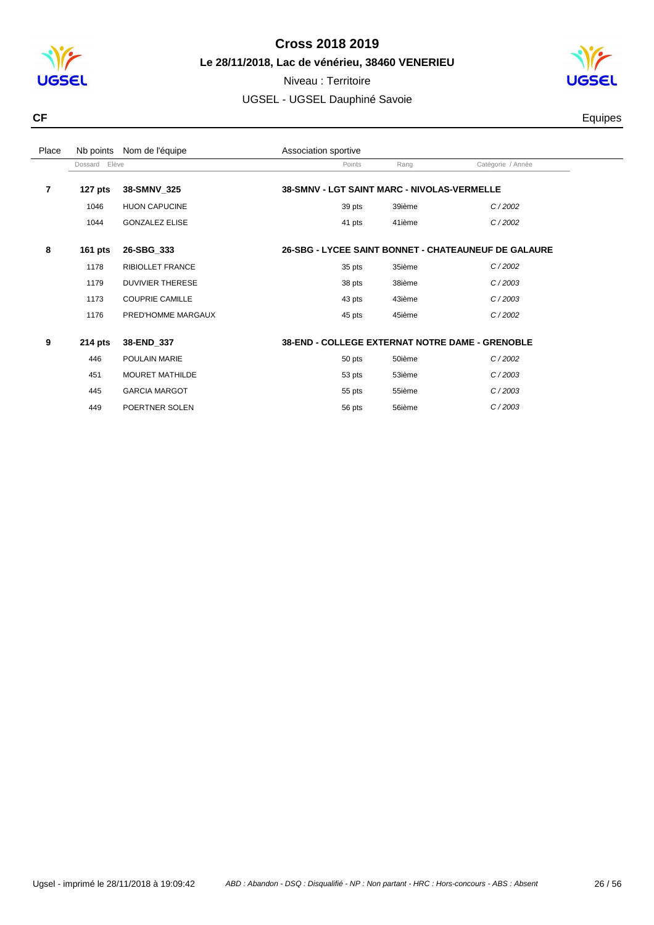

Niveau : Territoire UGSEL - UGSEL Dauphiné Savoie



**CF** Equipes **CF** Equipes **CF** 

| Place |               | Nb points Nom de l'équipe | Association sportive                            |        |                                                             |  |
|-------|---------------|---------------------------|-------------------------------------------------|--------|-------------------------------------------------------------|--|
|       | Dossard Elève |                           | Points                                          | Rang   | Catégorie / Année                                           |  |
| 7     | 127 $pts$     | 38-SMNV_325               | 38-SMNV - LGT SAINT MARC - NIVOLAS-VERMELLE     |        |                                                             |  |
|       | 1046          | <b>HUON CAPUCINE</b>      | 39 pts                                          | 39ième | C/2002                                                      |  |
|       | 1044          | <b>GONZALEZ ELISE</b>     | 41 pts                                          | 41ième | C/2002                                                      |  |
| 8     | 161 pts       | 26-SBG_333                |                                                 |        | <b>26-SBG - LYCEE SAINT BONNET - CHATEAUNEUF DE GALAURE</b> |  |
|       | 1178          | <b>RIBIOLLET FRANCE</b>   | 35 pts                                          | 35ième | C/2002                                                      |  |
|       | 1179          | <b>DUVIVIER THERESE</b>   | 38 pts                                          | 38ième | C/2003                                                      |  |
|       | 1173          | <b>COUPRIE CAMILLE</b>    | 43 pts                                          | 43ième | C/2003                                                      |  |
|       | 1176          | PRED'HOMME MARGAUX        | 45 pts                                          | 45ième | C/2002                                                      |  |
| 9     | $214$ pts     | 38-END_337                | 38-END - COLLEGE EXTERNAT NOTRE DAME - GRENOBLE |        |                                                             |  |
|       | 446           | POULAIN MARIE             | 50 pts                                          | 50ième | C/2002                                                      |  |
|       | 451           | <b>MOURET MATHILDE</b>    | 53 pts                                          | 53ième | C/2003                                                      |  |
|       | 445           | <b>GARCIA MARGOT</b>      | 55 pts                                          | 55ième | C/2003                                                      |  |
|       | 449           | POERTNER SOLEN            | 56 pts                                          | 56ième | C/2003                                                      |  |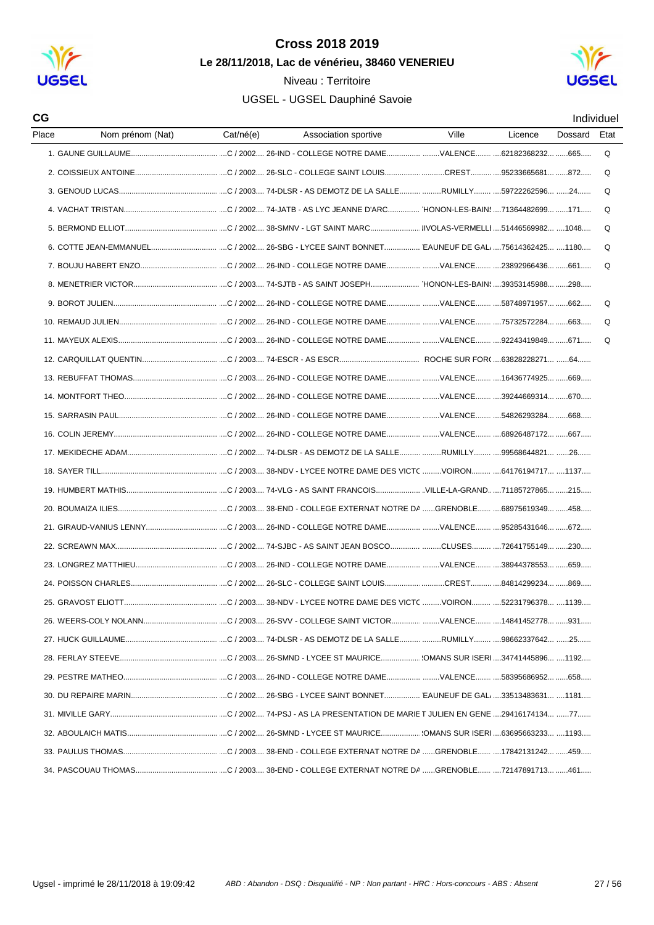

CG

#### Cross 2018 2019 Le 28/11/2018. Lac de vénérieu, 38460 VENERIEU

Niveau: Territoire

### UGSEL - UGSEL Dauphiné Savoie



Individuel Place Nom prénom (Nat) Cat/né(e) Ville Licence Dossard Etat Association sportive 1 GAUNE GUILLAUME .... ....C / 2002.... 26-IND - COLLEGE NOTRE DAME.......................VALENCE....... ....62182368232... ......665.....  $\Omega$ Q 3 GENOUD LUCAS ..... ...C / 2003.... 74-DLSR - AS DEMOTZ DE LA SALLE.......... ........RUMILLY........ ...59722262596... ......24.  $\Omega$  $\Omega$ 5 BERMOND FILIOT  $\Omega$  $\Omega$  $\Omega$  $\Omega$ 10 REMAUD JULIEN  $\Omega$  $\Omega$ 12 CAROUILLAT OUENTIN C / 2003 74-ESCR - AS ESCR BOCHE SUR FOR 63828228271 64 14 MONTEORT THEO 15. SARRASIN PAUL. 16 COLIN JEREMY ...............................C / 2002.... 26-IND - COLLEGE NOTRE DAME......................VALENCE...........68926487172... ......667.... C / 2003 26-SMND - I YCEE ST MAURICE (OMANS SUR ISERI 34741445896 1192 28 FERLAY STEEVE 30 DU REPAIRE MARIN 32 ABOULAICH MATIS 33. PAULUS THOMAS ...................................C / 2003.... 38-END - COLLEGE EXTERNAT NOTRE DA ......GRENOBLE...... ....17842131242... ......459.....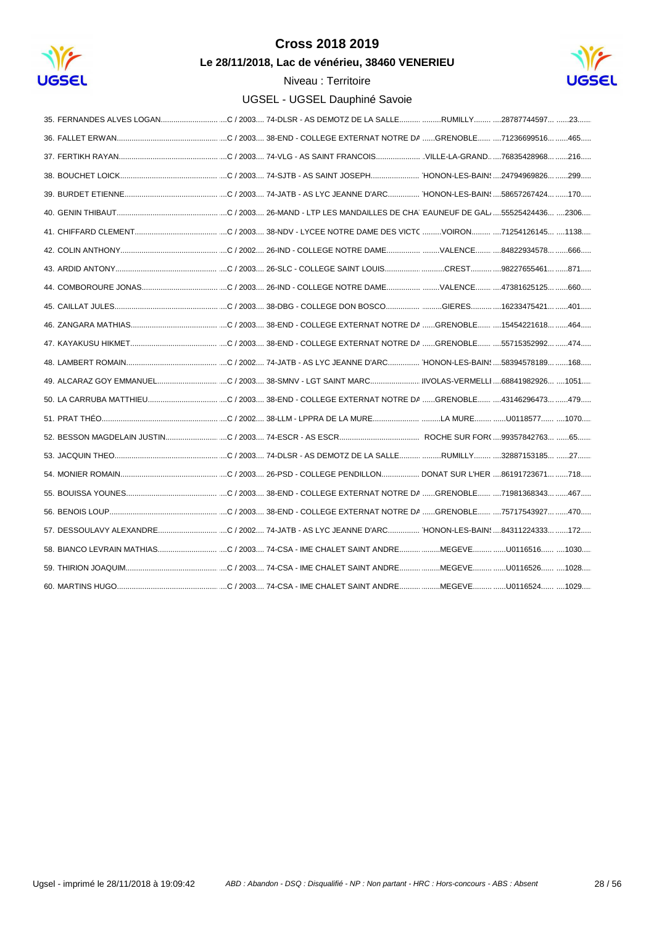

Le 28/11/2018, Lac de vénérieu, 38460 VENERIEU

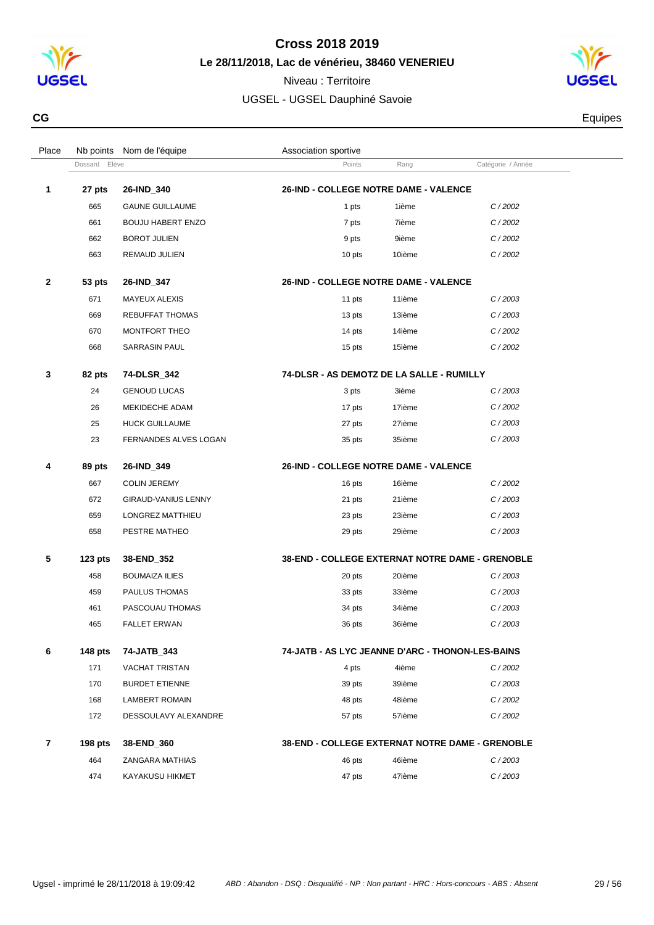

**Le 28/11/2018, Lac de vénérieu, 38460 VENERIEU**

Niveau : Territoire UGSEL - UGSEL Dauphiné Savoie



**CG** Equipes **CG** Equipes **CG** 

| Place          |                  | Nb points Nom de l'équipe | Association sportive                             |        |                   |  |
|----------------|------------------|---------------------------|--------------------------------------------------|--------|-------------------|--|
|                | Elève<br>Dossard |                           | Points                                           | Rang   | Catégorie / Année |  |
| 1              | 27 pts           | 26-IND_340                | 26-IND - COLLEGE NOTRE DAME - VALENCE            |        |                   |  |
|                | 665              | <b>GAUNE GUILLAUME</b>    | 1 pts                                            | 1ième  | C/2002            |  |
|                | 661              | <b>BOUJU HABERT ENZO</b>  | 7 pts                                            | 7ième  | C/2002            |  |
|                | 662              | <b>BOROT JULIEN</b>       | 9 pts                                            | 9ième  | C/2002            |  |
|                | 663              | REMAUD JULIEN             | 10 pts                                           | 10ième | C/2002            |  |
| $\mathbf{2}$   | 53 pts           | 26-IND_347                | 26-IND - COLLEGE NOTRE DAME - VALENCE            |        |                   |  |
|                | 671              | MAYEUX ALEXIS             | 11 pts                                           | 11ième | C/2003            |  |
|                | 669              | <b>REBUFFAT THOMAS</b>    | 13 pts                                           | 13ième | C/2003            |  |
|                | 670              | MONTFORT THEO             | 14 pts                                           | 14ième | C/2002            |  |
|                | 668              | <b>SARRASIN PAUL</b>      | 15 pts                                           | 15ième | C/2002            |  |
| 3              | 82 pts           | 74-DLSR_342               | 74-DLSR - AS DEMOTZ DE LA SALLE - RUMILLY        |        |                   |  |
|                | 24               | <b>GENOUD LUCAS</b>       | 3 pts                                            | 3ième  | C/2003            |  |
|                | 26               | MEKIDECHE ADAM            | 17 pts                                           | 17ième | C/2002            |  |
|                | 25               | <b>HUCK GUILLAUME</b>     | 27 pts                                           | 27ième | C/2003            |  |
|                | 23               | FERNANDES ALVES LOGAN     | 35 pts                                           | 35ième | C/2003            |  |
| 4              | 89 pts           | 26-IND_349                | 26-IND - COLLEGE NOTRE DAME - VALENCE            |        |                   |  |
|                | 667              | <b>COLIN JEREMY</b>       | 16 pts                                           | 16ième | C/2002            |  |
|                | 672              | GIRAUD-VANIUS LENNY       | 21 pts                                           | 21ième | C/2003            |  |
|                | 659              | LONGREZ MATTHIEU          | 23 pts                                           | 23ième | C/2003            |  |
|                | 658              | PESTRE MATHEO             | 29 pts                                           | 29ième | C/2003            |  |
| 5              | $123$ pts        | 38-END_352                | 38-END - COLLEGE EXTERNAT NOTRE DAME - GRENOBLE  |        |                   |  |
|                | 458              | <b>BOUMAIZA ILIES</b>     | 20 pts                                           | 20ième | C/2003            |  |
|                | 459              | PAULUS THOMAS             | 33 pts                                           | 33ième | C/2003            |  |
|                | 461              | PASCOUAU THOMAS           | 34 pts                                           | 34ième | C/2003            |  |
|                | 465              | <b>FALLET ERWAN</b>       | 36 pts                                           | 36ième | C/2003            |  |
| 6              | <b>148 pts</b>   | 74-JATB_343               | 74-JATB - AS LYC JEANNE D'ARC - THONON-LES-BAINS |        |                   |  |
|                | 171              | <b>VACHAT TRISTAN</b>     | 4 pts                                            | 4ième  | C/2002            |  |
|                | 170              | <b>BURDET ETIENNE</b>     | 39 pts                                           | 39ième | C/2003            |  |
|                | 168              | <b>LAMBERT ROMAIN</b>     | 48 pts                                           | 48ième | C/2002            |  |
|                | 172              | DESSOULAVY ALEXANDRE      | 57 pts                                           | 57ième | C/2002            |  |
| $\overline{7}$ | 198 $pts$        | 38-END_360                | 38-END - COLLEGE EXTERNAT NOTRE DAME - GRENOBLE  |        |                   |  |
|                | 464              | ZANGARA MATHIAS           | 46 pts                                           | 46ième | C/2003            |  |
|                | 474              | KAYAKUSU HIKMET           | 47 pts                                           | 47ième | C/2003            |  |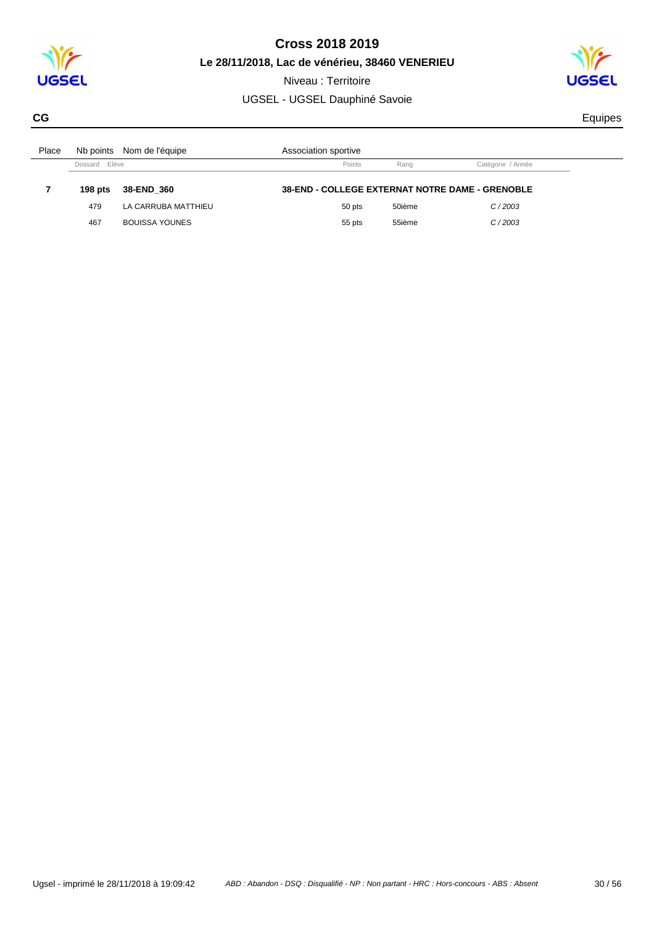

**Le 28/11/2018, Lac de vénérieu, 38460 VENERIEU** Niveau : Territoire

UGSEL - UGSEL Dauphiné Savoie



**CG** Equipes **CG** Equipes **CG** 

| Place |               | Nb points Nom de l'équipe | Association sportive                                   |        |                   |  |
|-------|---------------|---------------------------|--------------------------------------------------------|--------|-------------------|--|
|       | Dossard Elève |                           | Points                                                 | Rang   | Catégorie / Année |  |
|       |               |                           |                                                        |        |                   |  |
|       | 198 pts       | 38-END 360                | <b>38-END - COLLEGE EXTERNAT NOTRE DAME - GRENOBLE</b> |        |                   |  |
|       | 479           | LA CARRUBA MATTHIEU       | 50 pts                                                 | 50ième | C/2003            |  |
|       | 467           | <b>BOUISSA YOUNES</b>     | 55 pts                                                 | 55ième | C/2003            |  |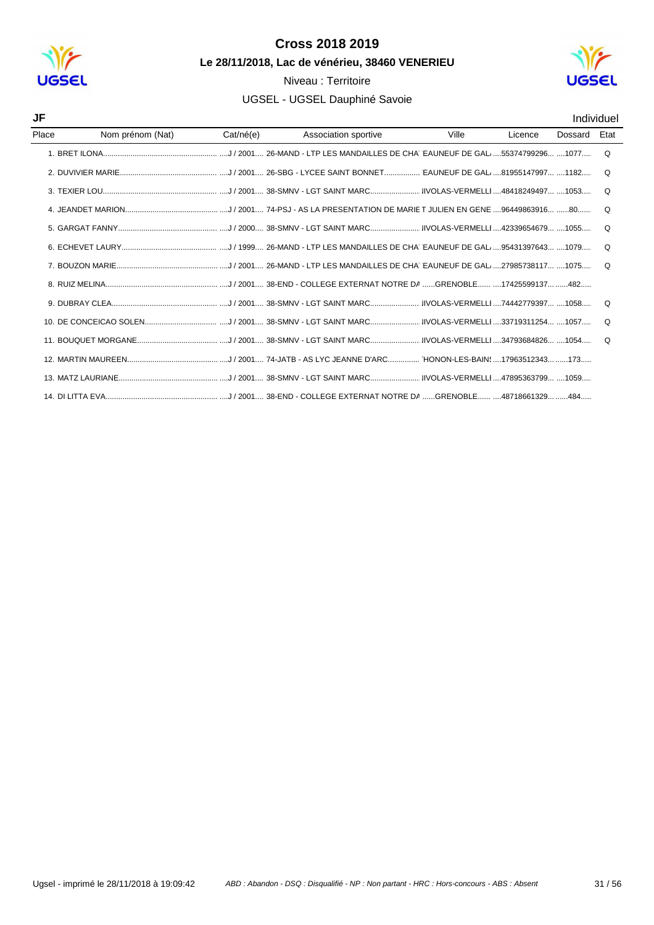

## Niveau : Territoire

#### UGSEL - UGSEL Dauphiné Savoie



#### Individuel

| JF    |                  |           |                      |       |         |         | Individuel |
|-------|------------------|-----------|----------------------|-------|---------|---------|------------|
| Place | Nom prénom (Nat) | Cat/né(e) | Association sportive | Ville | Licence | Dossard | Etat       |
|       |                  |           |                      |       |         |         | ∩          |
|       |                  |           |                      |       |         |         | O          |
|       |                  |           |                      |       |         |         | $\Omega$   |
|       |                  |           |                      |       |         |         | O          |
|       |                  |           |                      |       |         |         | $\Omega$   |
|       |                  |           |                      |       |         |         | $\Omega$   |
|       |                  |           |                      |       |         |         | O          |
|       |                  |           |                      |       |         |         |            |
|       |                  |           |                      |       |         |         | $\Omega$   |
|       |                  |           |                      |       |         |         | $\Omega$   |
|       |                  |           |                      |       |         |         | $\Omega$   |
|       |                  |           |                      |       |         |         |            |
|       |                  |           |                      |       |         |         |            |
|       |                  |           |                      |       |         |         |            |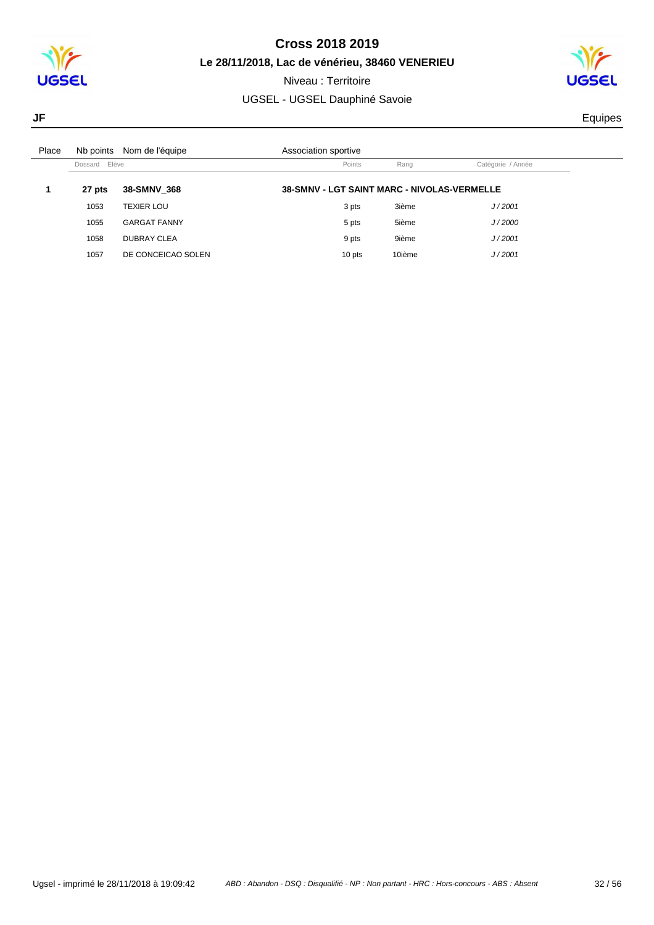

Niveau : Territoire

### UGSEL - UGSEL Dauphiné Savoie



**JF** Equipes

| Place |               | Nb points Nom de l'équipe | Association sportive                        |        |                   |
|-------|---------------|---------------------------|---------------------------------------------|--------|-------------------|
|       | Dossard Elève |                           | Points                                      | Rang   | Catégorie / Année |
|       | 27 pts        | 38-SMNV 368               | 38-SMNV - LGT SAINT MARC - NIVOLAS-VERMELLE |        |                   |
|       | 1053          | <b>TEXIER LOU</b>         | 3 pts                                       | 3ième  | J/2001            |
|       | 1055          | <b>GARGAT FANNY</b>       | 5 pts                                       | 5ième  | J/2000            |
|       | 1058          | <b>DUBRAY CLEA</b>        | 9 pts                                       | 9ième  | J/2001            |
|       | 1057          | DE CONCEICAO SOLEN        | 10 pts                                      | 10ième | J/2001            |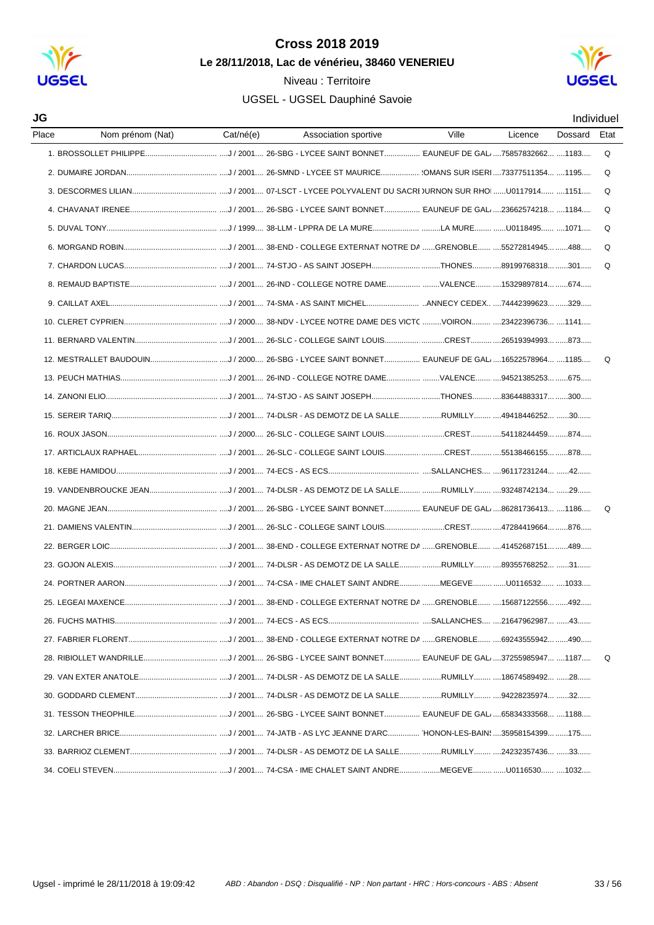

#### Niveau : Territoire



| JG    |                  |           |                      |       |         |         | Individuel |
|-------|------------------|-----------|----------------------|-------|---------|---------|------------|
| Place | Nom prénom (Nat) | Cat/né(e) | Association sportive | Ville | Licence | Dossard | Etat       |
|       |                  |           |                      |       |         |         | Q          |
|       |                  |           |                      |       |         |         | Q          |
|       |                  |           |                      |       |         |         | Q          |
|       |                  |           |                      |       |         |         | $\Omega$   |
|       |                  |           |                      |       |         |         | Q          |
|       |                  |           |                      |       |         |         | $\Omega$   |
|       |                  |           |                      |       |         |         | Q          |
|       |                  |           |                      |       |         |         |            |
|       |                  |           |                      |       |         |         |            |
|       |                  |           |                      |       |         |         |            |
|       |                  |           |                      |       |         |         |            |
|       |                  |           |                      |       |         |         | Q          |
|       |                  |           |                      |       |         |         |            |
|       |                  |           |                      |       |         |         |            |
|       |                  |           |                      |       |         |         |            |
|       |                  |           |                      |       |         |         |            |
|       |                  |           |                      |       |         |         |            |
|       |                  |           |                      |       |         |         |            |
|       |                  |           |                      |       |         |         |            |
|       |                  |           |                      |       |         |         | $\Omega$   |
|       |                  |           |                      |       |         |         |            |
|       |                  |           |                      |       |         |         |            |
|       |                  |           |                      |       |         |         |            |
|       |                  |           |                      |       |         |         |            |
|       |                  |           |                      |       |         |         |            |
|       |                  |           |                      |       |         |         |            |
|       |                  |           |                      |       |         |         |            |
|       |                  |           |                      |       |         |         | Q          |
|       |                  |           |                      |       |         |         |            |
|       |                  |           |                      |       |         |         |            |
|       |                  |           |                      |       |         |         |            |
|       |                  |           |                      |       |         |         |            |
|       |                  |           |                      |       |         |         |            |
|       |                  |           |                      |       |         |         |            |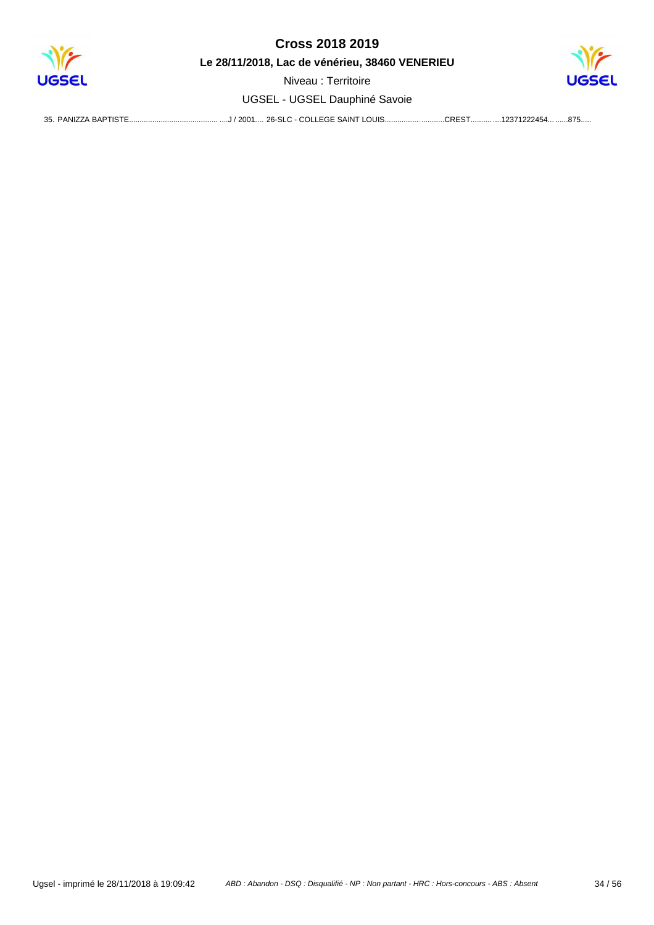

**Le 28/11/2018, Lac de vénérieu, 38460 VENERIEU**

Niveau : Territoire UGSEL - UGSEL Dauphiné Savoie



35. PANIZZA BAPTISTE................................... ..............................................J / 2 ................................................. 001.............................................. 26-SLC - COLLEGE SAINT LOUIS....................... ................................................CRE .............................................123712 ................................................. ST............................................... .................................................87 22454............................................ 5................................................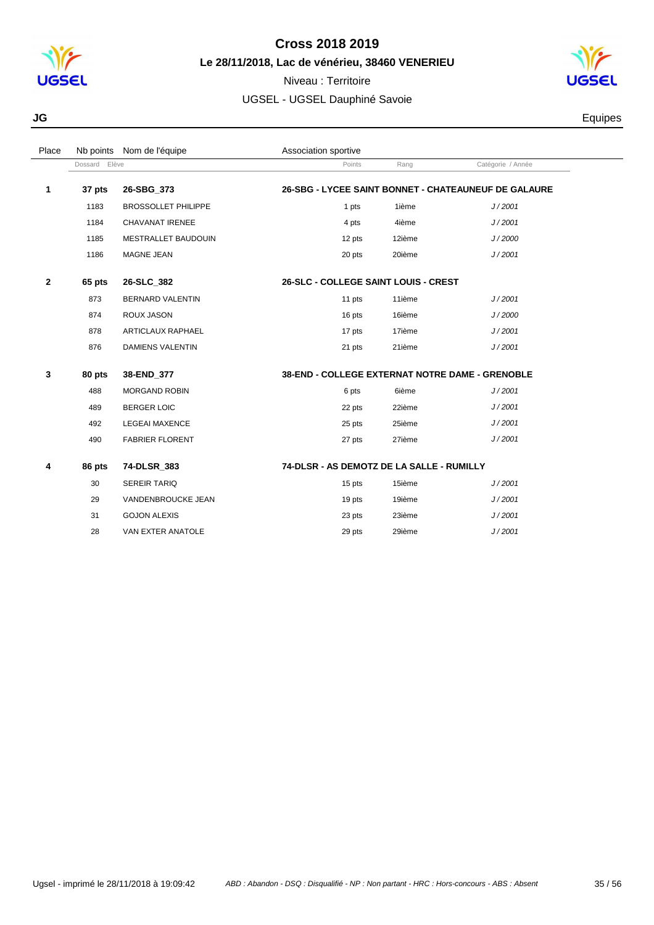

Niveau : Territoire

UGSEL - UGSEL Dauphiné Savoie



**JG** Equipes

| Place        |               | Nb points Nom de l'équipe  | Association sportive                                   |        |                                                      |  |
|--------------|---------------|----------------------------|--------------------------------------------------------|--------|------------------------------------------------------|--|
|              | Dossard Elève |                            | Points                                                 | Rang   | Catégorie / Année                                    |  |
| 1            | 37 pts        | 26-SBG 373                 |                                                        |        | 26-SBG - LYCEE SAINT BONNET - CHATEAUNEUF DE GALAURE |  |
|              | 1183          | <b>BROSSOLLET PHILIPPE</b> | 1 pts                                                  | 1ième  | J/2001                                               |  |
|              | 1184          | CHAVANAT IRENEE            | 4 pts                                                  | 4ième  | J/2001                                               |  |
|              | 1185          | <b>MESTRALLET BAUDOUIN</b> | 12 pts                                                 | 12ième | J/2000                                               |  |
|              | 1186          | MAGNE JEAN                 | 20 pts                                                 | 20ième | J/2001                                               |  |
| $\mathbf{2}$ | 65 pts        | 26-SLC 382                 | <b>26-SLC - COLLEGE SAINT LOUIS - CREST</b>            |        |                                                      |  |
|              | 873           | <b>BERNARD VALENTIN</b>    | 11 pts                                                 | 11ième | J/2001                                               |  |
|              | 874           | <b>ROUX JASON</b>          | 16 pts                                                 | 16ième | J/2000                                               |  |
|              | 878           | ARTICLAUX RAPHAEL          | 17 pts                                                 | 17ième | J/2001                                               |  |
|              | 876           | <b>DAMIENS VALENTIN</b>    | 21 pts                                                 | 21ième | J/2001                                               |  |
| 3            | 80 pts        | 38-END 377                 | <b>38-END - COLLEGE EXTERNAT NOTRE DAME - GRENOBLE</b> |        |                                                      |  |
|              | 488           | <b>MORGAND ROBIN</b>       | 6 pts                                                  | 6ième  | J/2001                                               |  |
|              | 489           | <b>BERGER LOIC</b>         | 22 pts                                                 | 22ième | J/2001                                               |  |
|              | 492           | <b>LEGEAI MAXENCE</b>      | 25 pts                                                 | 25ième | J/2001                                               |  |
|              | 490           | <b>FABRIER FLORENT</b>     | 27 pts                                                 | 27ième | J/2001                                               |  |
| 4            | 86 pts        | 74-DLSR_383                | 74-DLSR - AS DEMOTZ DE LA SALLE - RUMILLY              |        |                                                      |  |
|              | 30            | <b>SEREIR TARIQ</b>        | 15 pts                                                 | 15ième | J/2001                                               |  |
|              | 29            | VANDENBROUCKE JEAN         | 19 pts                                                 | 19ième | J/2001                                               |  |
|              | 31            | <b>GOJON ALEXIS</b>        | 23 pts                                                 | 23ième | J/2001                                               |  |
|              | 28            | VAN EXTER ANATOLE          | 29 pts                                                 | 29ième | J/2001                                               |  |
|              |               |                            |                                                        |        |                                                      |  |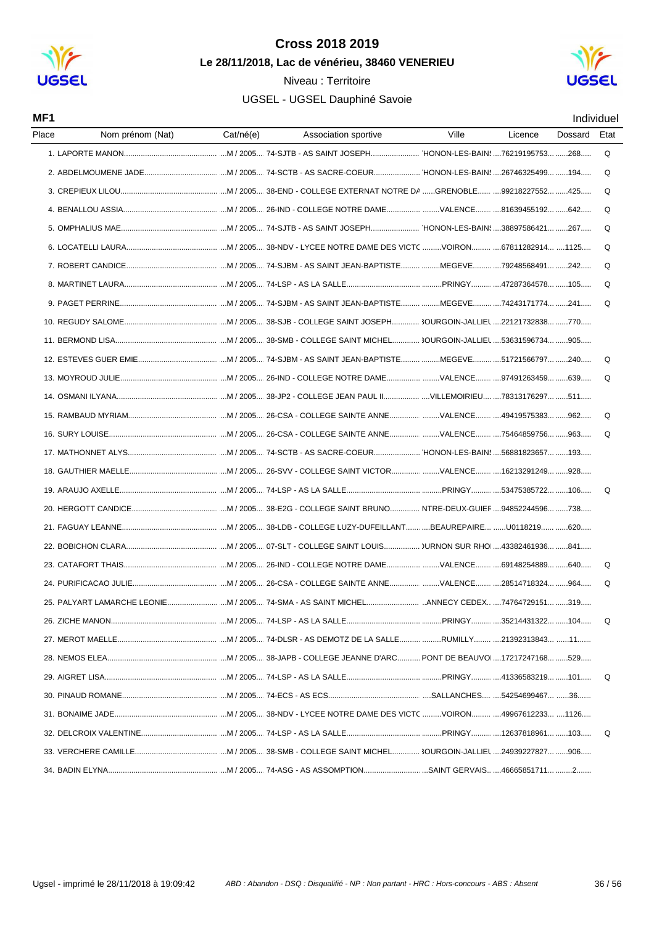

#### Niveau : Territoire UGSEL - UGSEL Dauphiné Savoie



Individuel

#### MF1

| Place | Nom prénom (Nat) | Cat/né(e) | Association sportive | Ville | Licence | Dossard | Etat |
|-------|------------------|-----------|----------------------|-------|---------|---------|------|
|       |                  |           |                      |       |         |         | Q    |
|       |                  |           |                      |       |         |         | Q    |
|       |                  |           |                      |       |         |         | Q    |
|       |                  |           |                      |       |         |         | Q    |
|       |                  |           |                      |       |         |         | Q    |
|       |                  |           |                      |       |         |         | Q    |
|       |                  |           |                      |       |         |         | Q    |
|       |                  |           |                      |       |         |         | Q    |
|       |                  |           |                      |       |         |         | Q    |
|       |                  |           |                      |       |         |         |      |
|       |                  |           |                      |       |         |         |      |
|       |                  |           |                      |       |         |         | Q    |
|       |                  |           |                      |       |         |         | Q    |
|       |                  |           |                      |       |         |         |      |
|       |                  |           |                      |       |         |         | Q    |
|       |                  |           |                      |       |         |         | Q    |
|       |                  |           |                      |       |         |         |      |
|       |                  |           |                      |       |         |         |      |
|       |                  |           |                      |       |         |         | Q    |
|       |                  |           |                      |       |         |         |      |
|       |                  |           |                      |       |         |         |      |
|       |                  |           |                      |       |         |         |      |
|       |                  |           |                      |       |         |         | Q    |
|       |                  |           |                      |       |         |         | Q    |
|       |                  |           |                      |       |         |         |      |
|       |                  |           |                      |       |         |         | Q    |
|       |                  |           |                      |       |         |         |      |
|       |                  |           |                      |       |         |         |      |
|       |                  |           |                      |       |         |         | Q    |
|       |                  |           |                      |       |         |         |      |
|       |                  |           |                      |       |         |         |      |
|       |                  |           |                      |       |         |         | Q    |
|       |                  |           |                      |       |         |         |      |
|       |                  |           |                      |       |         |         |      |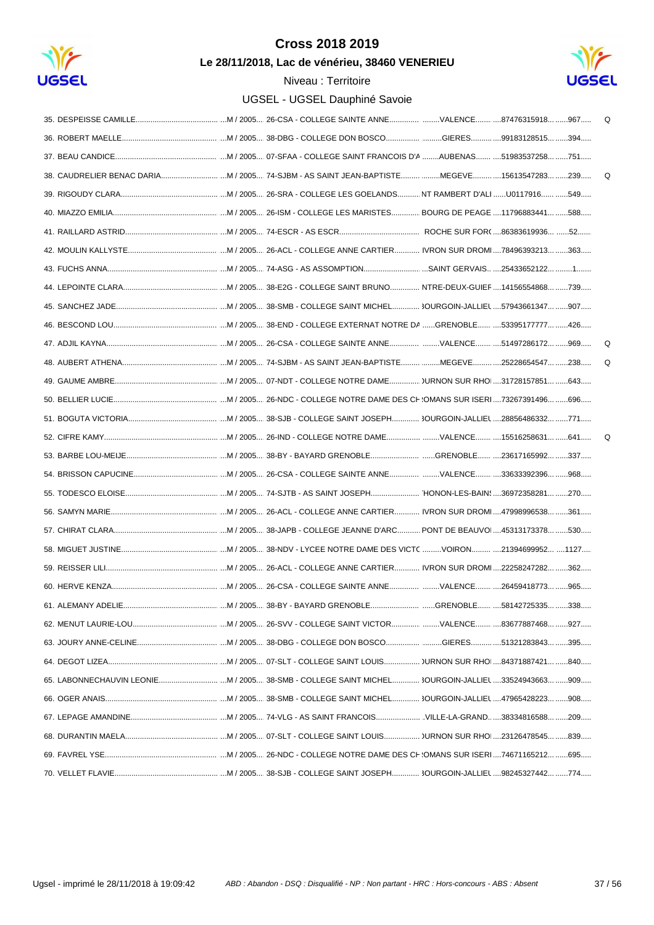

Le 28/11/2018, Lac de vénérieu, 38460 VENERIEU



|  | Q |
|--|---|
|  |   |
|  |   |
|  | Q |
|  |   |
|  |   |
|  |   |
|  |   |
|  |   |
|  |   |
|  |   |
|  |   |
|  | Q |
|  | Q |
|  |   |
|  |   |
|  |   |
|  |   |
|  |   |
|  |   |
|  |   |
|  |   |
|  |   |
|  |   |
|  |   |
|  |   |
|  |   |
|  |   |
|  |   |
|  |   |
|  |   |
|  |   |
|  |   |
|  |   |
|  |   |
|  |   |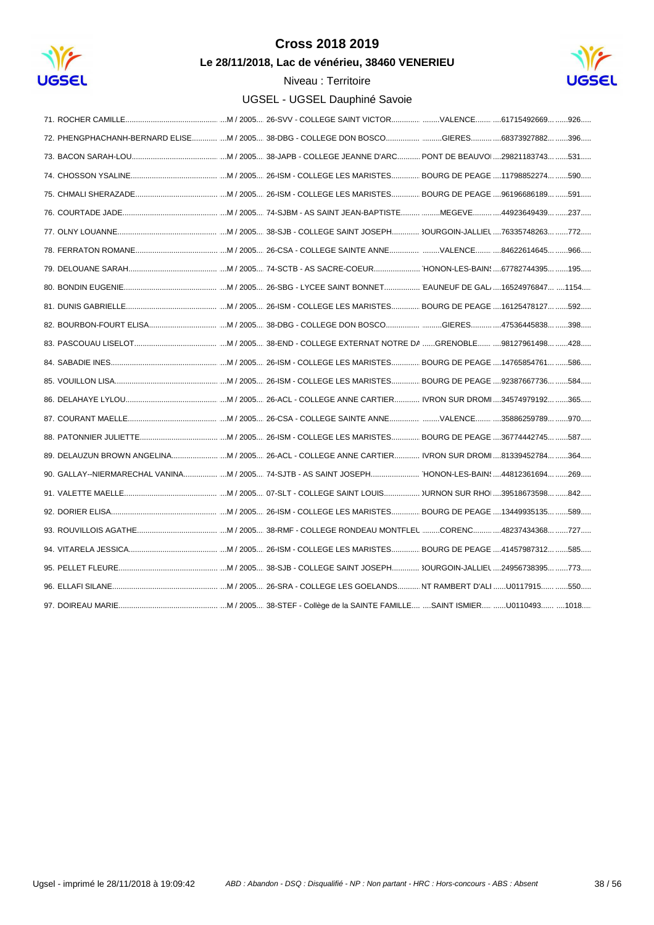

Le 28/11/2018, Lac de vénérieu, 38460 VENERIEU



| 72. PHENGPHACHANH-BERNARD ELISEM / 2005 38-DBG - COLLEGE DON BOSCOGIERES68373927882 396           |  |  |  |
|---------------------------------------------------------------------------------------------------|--|--|--|
|                                                                                                   |  |  |  |
|                                                                                                   |  |  |  |
|                                                                                                   |  |  |  |
|                                                                                                   |  |  |  |
|                                                                                                   |  |  |  |
|                                                                                                   |  |  |  |
|                                                                                                   |  |  |  |
|                                                                                                   |  |  |  |
|                                                                                                   |  |  |  |
|                                                                                                   |  |  |  |
|                                                                                                   |  |  |  |
|                                                                                                   |  |  |  |
|                                                                                                   |  |  |  |
|                                                                                                   |  |  |  |
|                                                                                                   |  |  |  |
|                                                                                                   |  |  |  |
| 89. DELAUZUN BROWN ANGELINA M / 2005 26-ACL - COLLEGE ANNE CARTIER IVRON SUR DROM 81339452784 364 |  |  |  |
| 90. GALLAY--NIERMARECHAL VANINAM / 2005 74-SJTB - AS SAINT JOSEPH HONON-LES-BAIN! 44812361694 269 |  |  |  |
|                                                                                                   |  |  |  |
|                                                                                                   |  |  |  |
|                                                                                                   |  |  |  |
|                                                                                                   |  |  |  |
|                                                                                                   |  |  |  |
|                                                                                                   |  |  |  |
|                                                                                                   |  |  |  |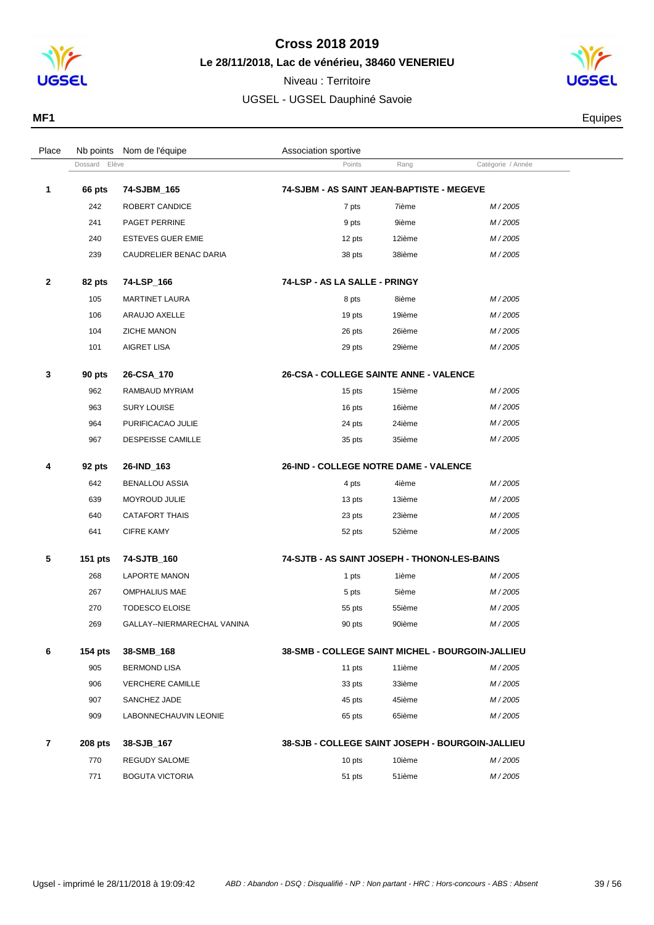



| MF <sub>1</sub> | Equipes |
|-----------------|---------|
|                 |         |

| Place          |                  | Nb points Nom de l'équipe   | Association sportive                             |        |                   |  |
|----------------|------------------|-----------------------------|--------------------------------------------------|--------|-------------------|--|
|                | Elève<br>Dossard |                             | Points                                           | Rang   | Catégorie / Année |  |
| 1              | 66 pts           | 74-SJBM_165                 | 74-SJBM - AS SAINT JEAN-BAPTISTE - MEGEVE        |        |                   |  |
|                | 242              | ROBERT CANDICE              | 7 pts                                            | 7ième  | M/2005            |  |
|                | 241              | PAGET PERRINE               | 9 pts                                            | 9ième  | M/2005            |  |
|                | 240              | <b>ESTEVES GUER EMIE</b>    | 12 pts                                           | 12ième | M/2005            |  |
|                | 239              | CAUDRELIER BENAC DARIA      | 38 pts                                           | 38ième | M/2005            |  |
| $\mathbf{2}$   | 82 pts           | 74-LSP_166                  | 74-LSP - AS LA SALLE - PRINGY                    |        |                   |  |
|                | 105              | <b>MARTINET LAURA</b>       | 8 pts                                            | 8ième  | M/2005            |  |
|                | 106              | ARAUJO AXELLE               | 19 pts                                           | 19ième | M/2005            |  |
|                | 104              | ZICHE MANON                 | 26 pts                                           | 26ième | M/2005            |  |
|                | 101              | AIGRET LISA                 | 29 pts                                           | 29ième | M/2005            |  |
| 3              | 90 pts           | 26-CSA_170                  | <b>26-CSA - COLLEGE SAINTE ANNE - VALENCE</b>    |        |                   |  |
|                | 962              | RAMBAUD MYRIAM              | 15 pts                                           | 15ième | M/2005            |  |
|                | 963              | <b>SURY LOUISE</b>          | 16 pts                                           | 16ième | M/2005            |  |
|                | 964              | PURIFICACAO JULIE           | 24 pts                                           | 24ième | M/2005            |  |
|                | 967              | <b>DESPEISSE CAMILLE</b>    | 35 pts                                           | 35ième | M/2005            |  |
| 4              | 92 pts           | 26-IND_163                  | <b>26-IND - COLLEGE NOTRE DAME - VALENCE</b>     |        |                   |  |
|                | 642              | <b>BENALLOU ASSIA</b>       | 4 pts                                            | 4ième  | M/2005            |  |
|                | 639              | MOYROUD JULIE               | 13 pts                                           | 13ième | M/2005            |  |
|                | 640              | <b>CATAFORT THAIS</b>       | 23 pts                                           | 23ième | M/2005            |  |
|                | 641              | <b>CIFRE KAMY</b>           | 52 pts                                           | 52ième | M/2005            |  |
| 5              | 151 pts          | 74-SJTB_160                 | 74-SJTB - AS SAINT JOSEPH - THONON-LES-BAINS     |        |                   |  |
|                | 268              | LAPORTE MANON               | 1 pts                                            | 1ième  | M/2005            |  |
|                | 267              | <b>OMPHALIUS MAE</b>        | 5 pts                                            | 5ième  | M/2005            |  |
|                | 270              | <b>TODESCO ELOISE</b>       | 55 pts                                           | 55ième | M/2005            |  |
|                | 269              | GALLAY--NIERMARECHAL VANINA | 90 pts                                           | 90ième | M/2005            |  |
| 6              | <b>154 pts</b>   | 38-SMB_168                  | 38-SMB - COLLEGE SAINT MICHEL - BOURGOIN-JALLIEU |        |                   |  |
|                | 905              | <b>BERMOND LISA</b>         | 11 pts                                           | 11ième | M/2005            |  |
|                | 906              | <b>VERCHERE CAMILLE</b>     | 33 pts                                           | 33ième | M/2005            |  |
|                | 907              | SANCHEZ JADE                | 45 pts                                           | 45ième | M/2005            |  |
|                | 909              | LABONNECHAUVIN LEONIE       | 65 pts                                           | 65ième | M/2005            |  |
| $\overline{7}$ | <b>208 pts</b>   | 38-SJB_167                  | 38-SJB - COLLEGE SAINT JOSEPH - BOURGOIN-JALLIEU |        |                   |  |
|                | 770              | REGUDY SALOME               | 10 pts                                           | 10ième | M/2005            |  |
|                | 771              | <b>BOGUTA VICTORIA</b>      | 51 pts                                           | 51ième | M/2005            |  |
|                |                  |                             |                                                  |        |                   |  |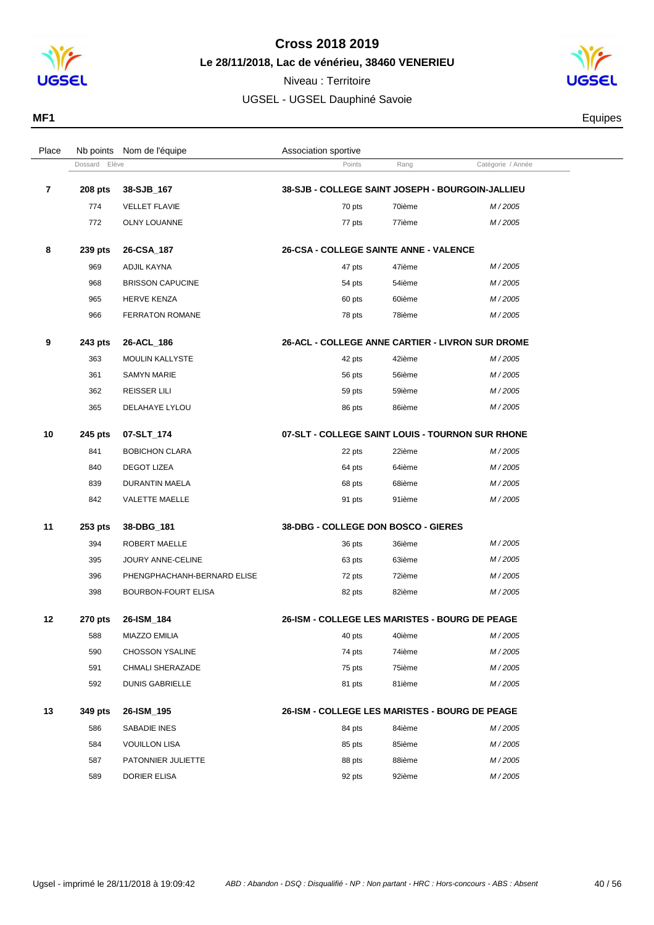

Niveau : Territoire UGSEL - UGSEL Dauphiné Savoie



**MF1** Equipes

| Place |                  | Nb points Nom de l'équipe   | Association sportive                             |        |                   |  |
|-------|------------------|-----------------------------|--------------------------------------------------|--------|-------------------|--|
|       | Elève<br>Dossard |                             | Points                                           | Rang   | Catégorie / Année |  |
| 7     | <b>208 pts</b>   | 38-SJB_167                  | 38-SJB - COLLEGE SAINT JOSEPH - BOURGOIN-JALLIEU |        |                   |  |
|       | 774              | <b>VELLET FLAVIE</b>        | 70 pts                                           | 70ième | M/2005            |  |
|       | 772              | <b>OLNY LOUANNE</b>         | 77 pts                                           | 77ième | M/2005            |  |
| 8     | 239 pts          | 26-CSA_187                  | <b>26-CSA - COLLEGE SAINTE ANNE - VALENCE</b>    |        |                   |  |
|       | 969              | ADJIL KAYNA                 | 47 pts                                           | 47ième | M/2005            |  |
|       | 968              | <b>BRISSON CAPUCINE</b>     | 54 pts                                           | 54ième | M/2005            |  |
|       | 965              | <b>HERVE KENZA</b>          | 60 pts                                           | 60ième | M/2005            |  |
|       | 966              | <b>FERRATON ROMANE</b>      | 78 pts                                           | 78ième | M/2005            |  |
| 9     | 243 pts          | 26-ACL_186                  | 26-ACL - COLLEGE ANNE CARTIER - LIVRON SUR DROME |        |                   |  |
|       | 363              | <b>MOULIN KALLYSTE</b>      | 42 pts                                           | 42ième | M/2005            |  |
|       | 361              | <b>SAMYN MARIE</b>          | 56 pts                                           | 56ième | M/2005            |  |
|       | 362              | <b>REISSER LILI</b>         | 59 pts                                           | 59ième | M/2005            |  |
|       | 365              | DELAHAYE LYLOU              | 86 pts                                           | 86ième | M/2005            |  |
|       |                  |                             |                                                  |        |                   |  |
| 10    | 245 pts          | 07-SLT_174                  | 07-SLT - COLLEGE SAINT LOUIS - TOURNON SUR RHONE |        |                   |  |
|       | 841              | <b>BOBICHON CLARA</b>       | 22 pts                                           | 22ième | M/2005            |  |
|       | 840              | <b>DEGOT LIZEA</b>          | 64 pts                                           | 64ième | M/2005            |  |
|       | 839              | DURANTIN MAELA              | 68 pts                                           | 68ième | M/2005            |  |
|       | 842              | VALETTE MAELLE              | 91 pts                                           | 91ième | M/2005            |  |
| 11    | 253 pts          | 38-DBG_181                  | 38-DBG - COLLEGE DON BOSCO - GIERES              |        |                   |  |
|       | 394              | ROBERT MAELLE               | 36 pts                                           | 36ième | M/2005            |  |
|       | 395              | JOURY ANNE-CELINE           | 63 pts                                           | 63ième | M/2005            |  |
|       | 396              | PHENGPHACHANH-BERNARD ELISE | 72 pts                                           | 72ième | M/2005            |  |
|       | 398              | <b>BOURBON-FOURT ELISA</b>  | 82 pts                                           | 82ième | M/2005            |  |
| 12    | <b>270 pts</b>   | 26-ISM_184                  | 26-ISM - COLLEGE LES MARISTES - BOURG DE PEAGE   |        |                   |  |
|       | 588              | <b>MIAZZO EMILIA</b>        | 40 pts                                           | 40ième | M/2005            |  |
|       | 590              | <b>CHOSSON YSALINE</b>      | 74 pts                                           | 74ième | M/2005            |  |
|       | 591              | <b>CHMALI SHERAZADE</b>     | 75 pts                                           | 75ième | M/2005            |  |
|       | 592              | <b>DUNIS GABRIELLE</b>      | 81 pts                                           | 81ième | M/2005            |  |
| 13    | 349 pts          | 26-ISM_195                  | 26-ISM - COLLEGE LES MARISTES - BOURG DE PEAGE   |        |                   |  |
|       | 586              | SABADIE INES                | 84 pts                                           | 84ième | M/2005            |  |
|       | 584              | <b>VOUILLON LISA</b>        | 85 pts                                           | 85ième | M/2005            |  |
|       | 587              | PATONNIER JULIETTE          | 88 pts                                           | 88ième | M/2005            |  |
|       | 589              | DORIER ELISA                | 92 pts                                           | 92ième | M/2005            |  |
|       |                  |                             |                                                  |        |                   |  |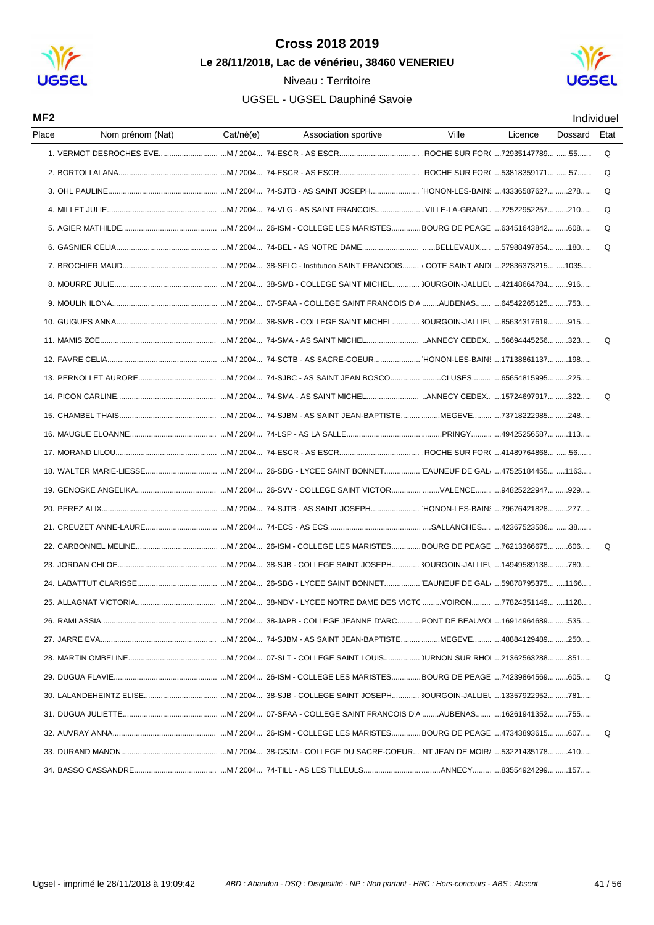



| MF2   |                       |           |                                                                        |       |         |         | Individuel |
|-------|-----------------------|-----------|------------------------------------------------------------------------|-------|---------|---------|------------|
| Place | Nom prénom (Nat)      | Cat/né(e) | Association sportive                                                   | Ville | Licence | Dossard | Etat       |
|       |                       |           |                                                                        |       |         |         | Q          |
|       |                       |           |                                                                        |       |         |         | Q          |
|       |                       |           |                                                                        |       |         |         | Q          |
|       |                       |           |                                                                        |       |         |         | Q          |
|       |                       |           |                                                                        |       |         |         | Q          |
|       |                       |           |                                                                        |       |         |         | O          |
|       |                       |           |                                                                        |       |         |         |            |
|       |                       |           |                                                                        |       |         |         |            |
|       |                       |           |                                                                        |       |         |         |            |
|       |                       |           |                                                                        |       |         |         |            |
|       |                       |           |                                                                        |       |         |         | Q          |
|       |                       |           |                                                                        |       |         |         |            |
|       |                       |           |                                                                        |       |         |         |            |
|       |                       |           |                                                                        |       |         |         | $\Omega$   |
|       |                       |           |                                                                        |       |         |         |            |
|       |                       |           |                                                                        |       |         |         |            |
|       |                       |           |                                                                        |       |         |         |            |
|       |                       |           |                                                                        |       |         |         |            |
|       |                       |           |                                                                        |       |         |         |            |
|       |                       |           |                                                                        |       |         |         |            |
|       |                       |           |                                                                        |       |         |         |            |
|       |                       |           |                                                                        |       |         |         | Q          |
|       |                       |           |                                                                        |       |         |         |            |
|       |                       |           |                                                                        |       |         |         |            |
|       | 25. ALLAGNAT VICTORIA |           | .M / 2004 38-NDV - LYCEE NOTRE DAME DES VICTC VOIRON 77824351149 1128. |       |         |         |            |
|       |                       |           |                                                                        |       |         |         |            |
|       |                       |           |                                                                        |       |         |         |            |
|       |                       |           |                                                                        |       |         |         |            |
|       |                       |           |                                                                        |       |         |         | Q          |
|       |                       |           |                                                                        |       |         |         |            |
|       |                       |           |                                                                        |       |         |         |            |
|       |                       |           |                                                                        |       |         |         | Q          |
|       |                       |           |                                                                        |       |         |         |            |
|       |                       |           |                                                                        |       |         |         |            |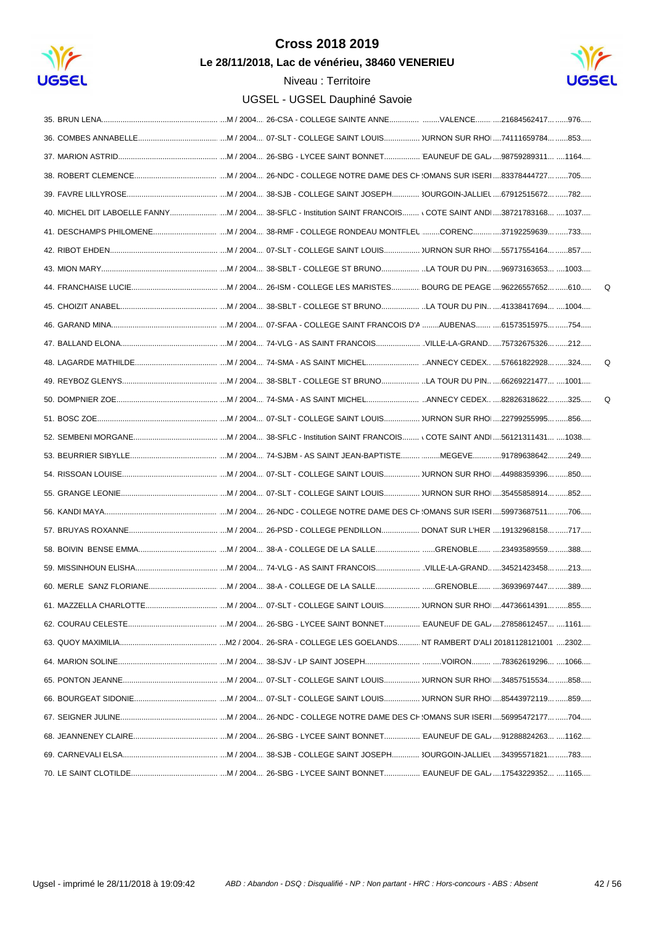

Le 28/11/2018, Lac de vénérieu, 38460 VENERIEU



 $\mathsf Q$ 

 $\Omega$ 

 $\mathsf Q$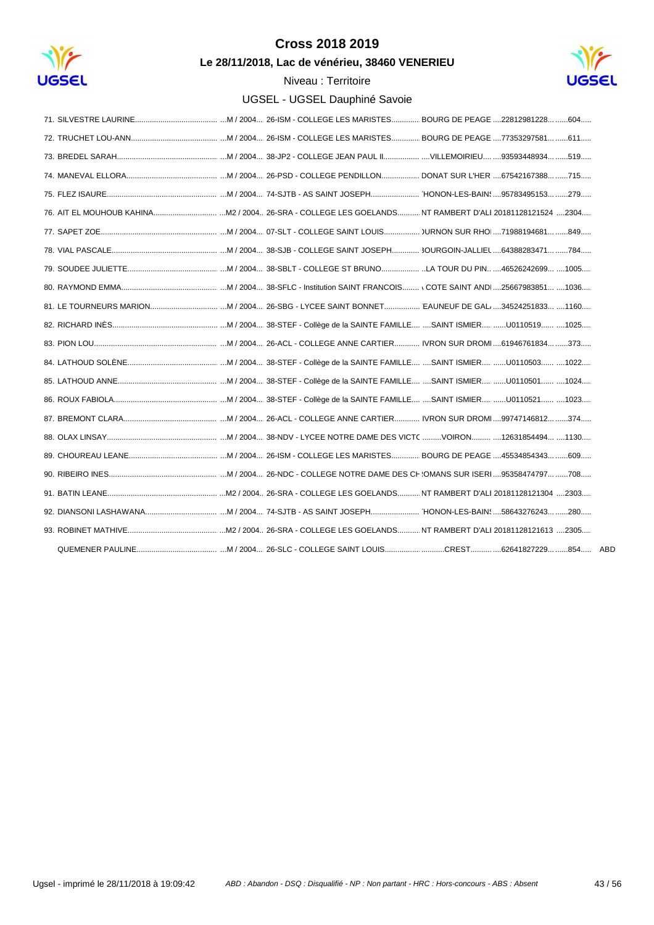

Le 28/11/2018, Lac de vénérieu, 38460 VENERIEU

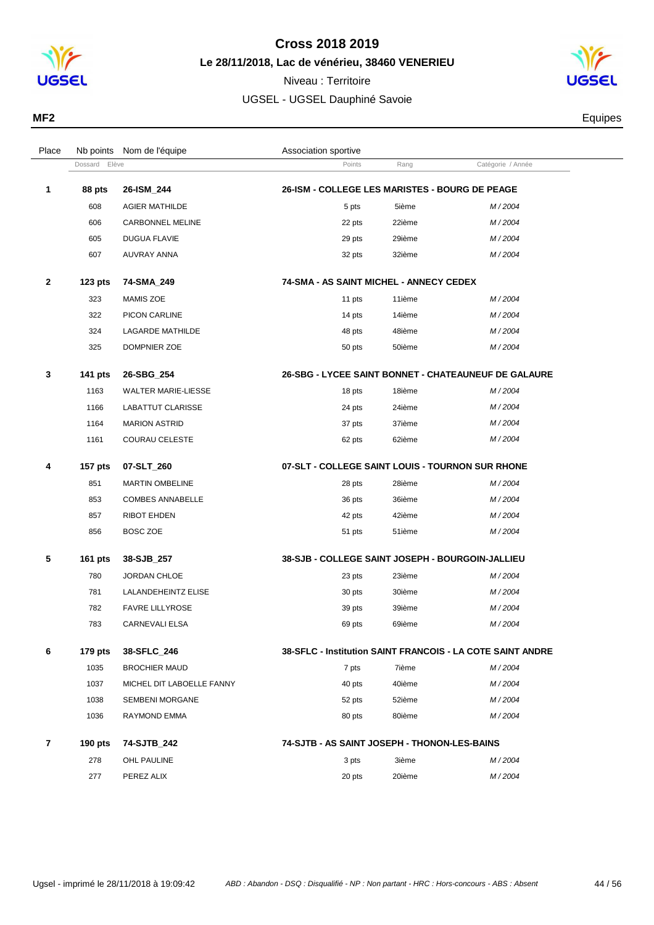

#### **Cross 2018 2019 Le 28/11/2018, Lac de vénérieu, 38460 VENERIEU**

Niveau : Territoire UGSEL - UGSEL Dauphiné Savoie

Dossard Elève **Points** Rang Catégorie / Année

Place Nb points Nom de l'équipe  $\blacksquare$  Association sportive



**MF2** Equipes

| 1 | 88 pts         | 26-ISM_244                 | 26-ISM - COLLEGE LES MARISTES - BOURG DE PEAGE   |        |                                                      |
|---|----------------|----------------------------|--------------------------------------------------|--------|------------------------------------------------------|
|   | 608            | <b>AGIER MATHILDE</b>      | 5 pts                                            | 5ième  | M/2004                                               |
|   | 606            | <b>CARBONNEL MELINE</b>    | 22 pts                                           | 22ième | M/2004                                               |
|   | 605            | <b>DUGUA FLAVIE</b>        | 29 pts                                           | 29ième | M/2004                                               |
|   | 607            | <b>AUVRAY ANNA</b>         | 32 pts                                           | 32ième | M/2004                                               |
| 2 | $123$ pts      | 74-SMA_249                 | 74-SMA - AS SAINT MICHEL - ANNECY CEDEX          |        |                                                      |
|   | 323            | <b>MAMIS ZOE</b>           | 11 pts                                           | 11ième | M/2004                                               |
|   | 322            | PICON CARLINE              | 14 pts                                           | 14ième | M/2004                                               |
|   | 324            | <b>LAGARDE MATHILDE</b>    | 48 pts                                           | 48ième | M/2004                                               |
|   | 325            | DOMPNIER ZOE               | 50 pts                                           | 50ième | M/2004                                               |
|   | <b>141 pts</b> | 26-SBG 254                 |                                                  |        | 26-SBG - LYCEE SAINT BONNET - CHATEAUNEUF DE GALAURE |
|   | 1163           | <b>WALTER MARIE-LIESSE</b> | 18 pts                                           | 18ième | M/2004                                               |
|   | 1166           | LABATTUT CLARISSE          | 24 pts                                           | 24ième | M/2004                                               |
|   | 1164           | <b>MARION ASTRID</b>       | 37 pts                                           | 37ième | M/2004                                               |
|   | 1161           | <b>COURAU CELESTE</b>      | 62 pts                                           | 62ième | M/2004                                               |
|   | <b>157 pts</b> | 07-SLT 260                 | 07-SLT - COLLEGE SAINT LOUIS - TOURNON SUR RHONE |        |                                                      |
|   | 851            | <b>MARTIN OMBELINE</b>     | 28 pts                                           | 28ième | M/2004                                               |
|   | 853            | <b>COMBES ANNABELLE</b>    | 36 pts                                           | 36ième | M/2004                                               |
|   | 857            | <b>RIBOT EHDEN</b>         | 42 pts                                           | 42ième | M/2004                                               |
|   | 856            | BOSC ZOE                   | 51 pts                                           | 51ième | M/2004                                               |
|   | <b>161 pts</b> | 38-SJB_257                 | 38-SJB - COLLEGE SAINT JOSEPH - BOURGOIN-JALLIEU |        |                                                      |
|   | 780            | JORDAN CHLOE               | 23 pts                                           | 23ième | M/2004                                               |
|   | 781            | LALANDEHEINTZ ELISE        | 30 pts                                           | 30ième | M/2004                                               |
|   | 782            | <b>FAVRE LILLYROSE</b>     | 39 pts                                           | 39ième | M/2004                                               |
|   | 783            | CARNEVALI ELSA             | 69 pts                                           | 69ième | M/2004                                               |
|   |                |                            |                                                  |        |                                                      |

#### **6 179 pts 38-SFLC\_246 38-SFLC - Institution SAINT FRANCOIS - LA COTE SAINT ANDRE**

| 1035      | <b>BROCHIER MAUD</b>      | 7 pts                                        | 7ième  | M/2004 |
|-----------|---------------------------|----------------------------------------------|--------|--------|
| 1037      | MICHEL DIT LABOELLE FANNY | 40 pts                                       | 40ième | M/2004 |
| 1038      | <b>SEMBENI MORGANE</b>    | 52 pts                                       | 52ième | M/2004 |
| 1036      | RAYMOND EMMA              | 80 pts                                       | 80ième | M/2004 |
| 190 $pts$ | 74-SJTB 242               | 74-SJTB - AS SAINT JOSEPH - THONON-LES-BAINS |        |        |
| 278       | OHL PAULINE               | 3 pts                                        | 3ième  | M/2004 |

277 PEREZ ALIX 20 pts 20 pts 20ième M / 2004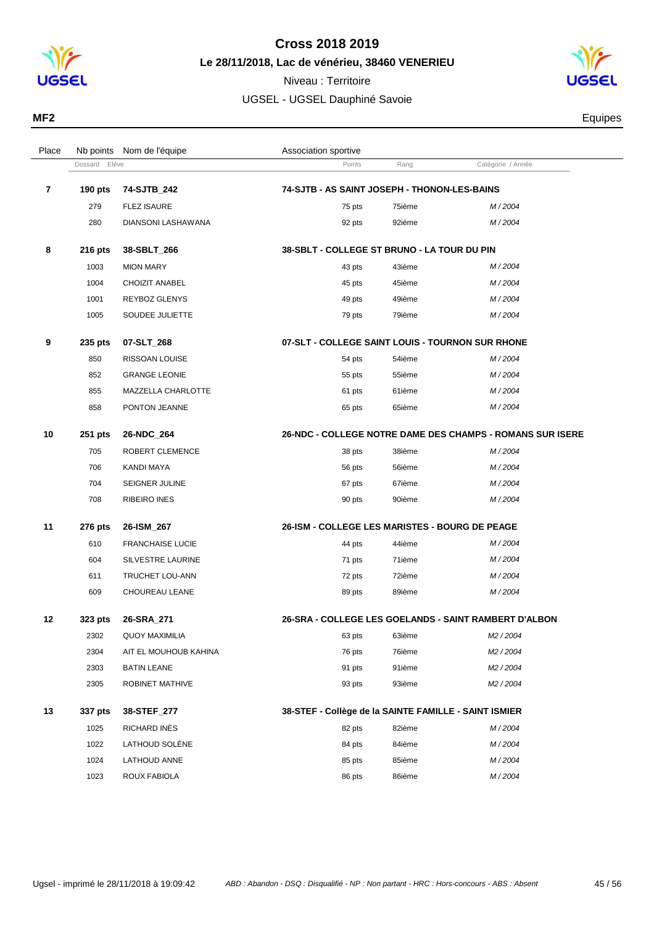

**Le 28/11/2018, Lac de vénérieu, 38460 VENERIEU**

Dossard Elève **Catégorie / Année**<br>
Points Rang Catégorie / Année

Place Nb points Nom de l'équipe  $\blacksquare$  Association sportive

Niveau : Territoire UGSEL - UGSEL Dauphiné Savoie



**MF2** Equipes

| 7  | 190 pts | 74-SJTB_242             | 74-SJTB - AS SAINT JOSEPH - THONON-LES-BAINS          |        |                                                           |  |  |
|----|---------|-------------------------|-------------------------------------------------------|--------|-----------------------------------------------------------|--|--|
|    | 279     | <b>FLEZ ISAURE</b>      | 75 pts                                                | 75ième | M/2004                                                    |  |  |
|    | 280     | DIANSONI LASHAWANA      | 92 pts                                                | 92ième | M/2004                                                    |  |  |
| 8  | 216 pts | 38-SBLT_266             | 38-SBLT - COLLEGE ST BRUNO - LA TOUR DU PIN           |        |                                                           |  |  |
|    | 1003    | <b>MION MARY</b>        | 43 pts                                                | 43ième | M/2004                                                    |  |  |
|    | 1004    | <b>CHOIZIT ANABEL</b>   | 45 pts                                                | 45ième | M/2004                                                    |  |  |
|    | 1001    | REYBOZ GLENYS           | 49 pts                                                | 49ième | M/2004                                                    |  |  |
|    | 1005    | SOUDEE JULIETTE         | 79 pts                                                | 79ième | M/2004                                                    |  |  |
| 9  | 235 pts | 07-SLT_268              | 07-SLT - COLLEGE SAINT LOUIS - TOURNON SUR RHONE      |        |                                                           |  |  |
|    | 850     | RISSOAN LOUISE          | 54 pts                                                | 54ième | M/2004                                                    |  |  |
|    | 852     | <b>GRANGE LEONIE</b>    | 55 pts                                                | 55ième | M/2004                                                    |  |  |
|    | 855     | MAZZELLA CHARLOTTE      | 61 pts                                                | 61ième | M/2004                                                    |  |  |
|    | 858     | PONTON JEANNE           | 65 pts                                                | 65ième | M/2004                                                    |  |  |
| 10 | 251 pts | 26-NDC_264              |                                                       |        | 26-NDC - COLLEGE NOTRE DAME DES CHAMPS - ROMANS SUR ISERE |  |  |
|    | 705     | ROBERT CLEMENCE         | 38 pts                                                | 38ième | M/2004                                                    |  |  |
|    | 706     | KANDI MAYA              | 56 pts                                                | 56ième | M/2004                                                    |  |  |
|    | 704     | SEIGNER JULINE          | 67 pts                                                | 67ième | M/2004                                                    |  |  |
|    | 708     | RIBEIRO INES            | 90 pts                                                | 90ième | M/2004                                                    |  |  |
| 11 | 276 pts | 26-ISM_267              | 26-ISM - COLLEGE LES MARISTES - BOURG DE PEAGE        |        |                                                           |  |  |
|    | 610     | <b>FRANCHAISE LUCIE</b> | 44 pts                                                | 44ième | M/2004                                                    |  |  |
|    | 604     | SILVESTRE LAURINE       | 71 pts                                                | 71ième | M/2004                                                    |  |  |
|    | 611     | TRUCHET LOU-ANN         | 72 pts                                                | 72ième | M/2004                                                    |  |  |
|    | 609     | CHOUREAU LEANE          | 89 pts                                                | 89ième | M/2004                                                    |  |  |
| 12 | 323 pts | 26-SRA_271              |                                                       |        | 26-SRA - COLLEGE LES GOELANDS - SAINT RAMBERT D'ALBON     |  |  |
|    | 2302    | <b>QUOY MAXIMILIA</b>   | 63 pts                                                | 63ième | M <sub>2</sub> / 2004                                     |  |  |
|    | 2304    | AIT EL MOUHOUB KAHINA   | 76 pts                                                | 76ième | M <sub>2</sub> / 2004                                     |  |  |
|    | 2303    | <b>BATIN LEANE</b>      | 91 pts                                                | 91ième | M <sub>2</sub> / 2004                                     |  |  |
|    | 2305    | ROBINET MATHIVE         | 93 pts                                                | 93ième | M <sub>2</sub> / 2004                                     |  |  |
| 13 | 337 pts | 38-STEF_277             | 38-STEF - Collège de la SAINTE FAMILLE - SAINT ISMIER |        |                                                           |  |  |
|    | 1025    | RICHARD INÈS            | 82 pts                                                | 82ième | M/2004                                                    |  |  |
|    | 1022    | LATHOUD SOLÈNE          | 84 pts                                                | 84ième | M/2004                                                    |  |  |
|    | 1024    | LATHOUD ANNE            | 85 pts                                                | 85ième | M/2004                                                    |  |  |
|    | 1023    | ROUX FABIOLA            | 86 pts                                                | 86ième | M/2004                                                    |  |  |
|    |         |                         |                                                       |        |                                                           |  |  |
|    |         |                         |                                                       |        |                                                           |  |  |
|    |         |                         |                                                       |        |                                                           |  |  |
|    |         |                         |                                                       |        |                                                           |  |  |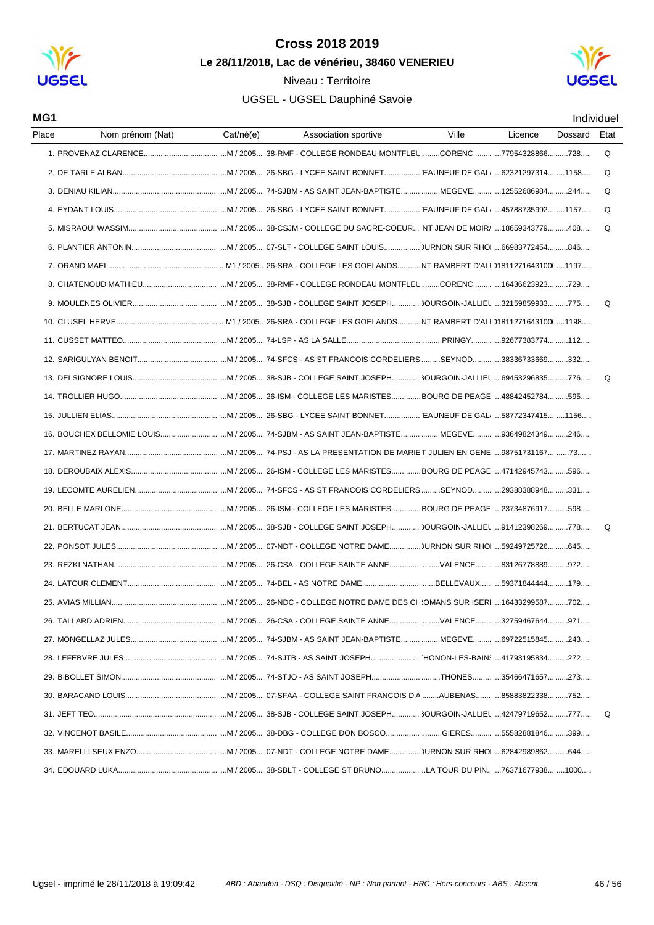





| MG1   |                  |           |                      |       |         |         | Individuel |
|-------|------------------|-----------|----------------------|-------|---------|---------|------------|
| Place | Nom prénom (Nat) | Cat/né(e) | Association sportive | Ville | Licence | Dossard | Etat       |
|       |                  |           |                      |       |         |         | Q          |
|       |                  |           |                      |       |         |         | Q          |
|       |                  |           |                      |       |         |         | Q          |
|       |                  |           |                      |       |         |         | Q          |
|       |                  |           |                      |       |         |         | Q          |
|       |                  |           |                      |       |         |         |            |
|       |                  |           |                      |       |         |         |            |
|       |                  |           |                      |       |         |         |            |
|       |                  |           |                      |       |         |         | Q          |
|       |                  |           |                      |       |         |         |            |
|       |                  |           |                      |       |         |         |            |
|       |                  |           |                      |       |         |         |            |
|       |                  |           |                      |       |         |         | Q          |
|       |                  |           |                      |       |         |         |            |
|       |                  |           |                      |       |         |         |            |
|       |                  |           |                      |       |         |         |            |
|       |                  |           |                      |       |         |         |            |
|       |                  |           |                      |       |         |         |            |
|       |                  |           |                      |       |         |         |            |
|       |                  |           |                      |       |         |         |            |
|       |                  |           |                      |       |         |         | Q          |
|       |                  |           |                      |       |         |         |            |
|       |                  |           |                      |       |         |         |            |
|       |                  |           |                      |       |         |         |            |
|       |                  |           |                      |       |         |         |            |
|       |                  |           |                      |       |         |         |            |
|       |                  |           |                      |       |         |         |            |
|       |                  |           |                      |       |         |         |            |
|       |                  |           |                      |       |         |         |            |
|       |                  |           |                      |       |         |         |            |
|       |                  |           |                      |       |         |         | Q          |
|       |                  |           |                      |       |         |         |            |
|       |                  |           |                      |       |         |         |            |
|       |                  |           |                      |       |         |         |            |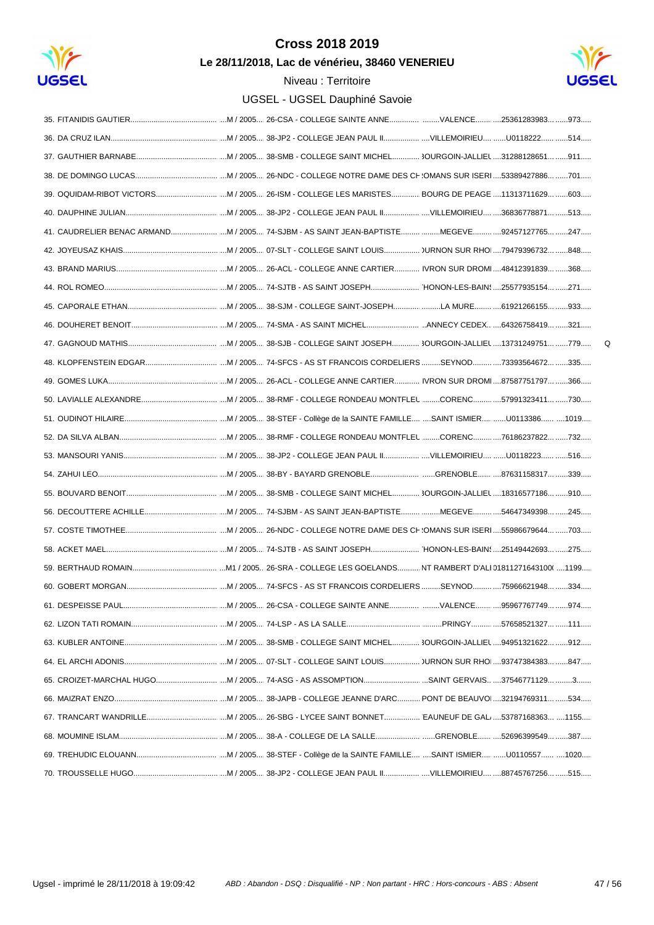

Le 28/11/2018, Lac de vénérieu, 38460 VENERIEU



 $\mathsf Q$ 

|                   | 39. OQUIDAM-RIBOT VICTORS M / 2005 26-ISM - COLLEGE LES MARISTES BOURG DE PEAGE 11313711629 603 |
|-------------------|-------------------------------------------------------------------------------------------------|
|                   |                                                                                                 |
|                   | 41. CAUDRELIER BENAC ARMAND M / 2005 74-SJBM - AS SAINT JEAN-BAPTISTE MEGEVE 92457127765 247    |
|                   |                                                                                                 |
|                   |                                                                                                 |
|                   |                                                                                                 |
|                   |                                                                                                 |
|                   |                                                                                                 |
|                   |                                                                                                 |
|                   |                                                                                                 |
|                   |                                                                                                 |
|                   |                                                                                                 |
|                   |                                                                                                 |
|                   |                                                                                                 |
|                   |                                                                                                 |
|                   |                                                                                                 |
|                   |                                                                                                 |
|                   |                                                                                                 |
|                   |                                                                                                 |
|                   |                                                                                                 |
|                   |                                                                                                 |
|                   |                                                                                                 |
| 61 DESPEISSE PAUL | .974<br>95967767749                                                                             |
|                   |                                                                                                 |
|                   |                                                                                                 |
|                   |                                                                                                 |
|                   |                                                                                                 |
|                   |                                                                                                 |
|                   |                                                                                                 |
|                   |                                                                                                 |
|                   |                                                                                                 |
|                   |                                                                                                 |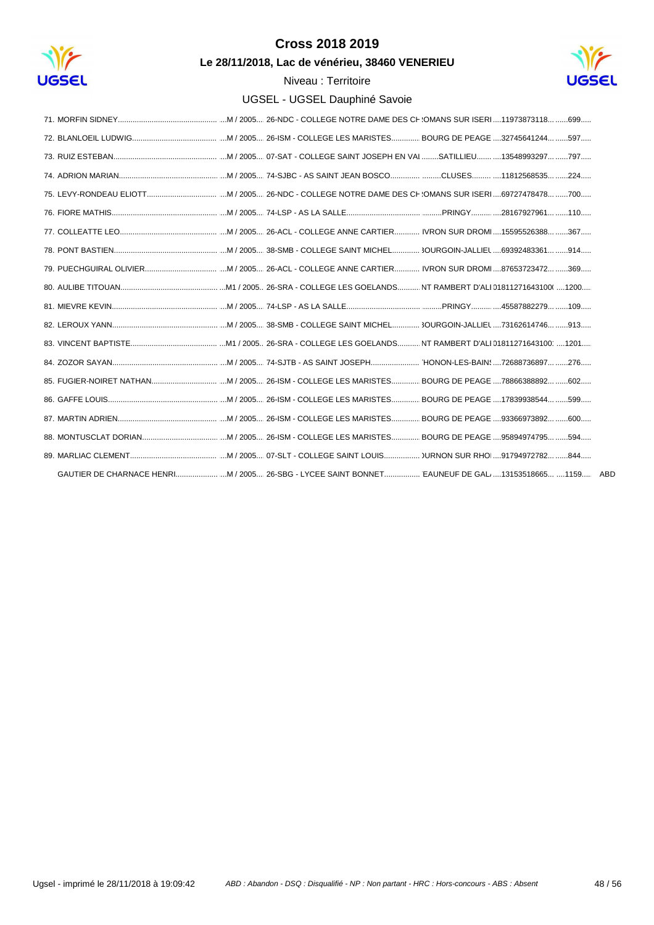

Le 28/11/2018, Lac de vénérieu, 38460 VENERIEU

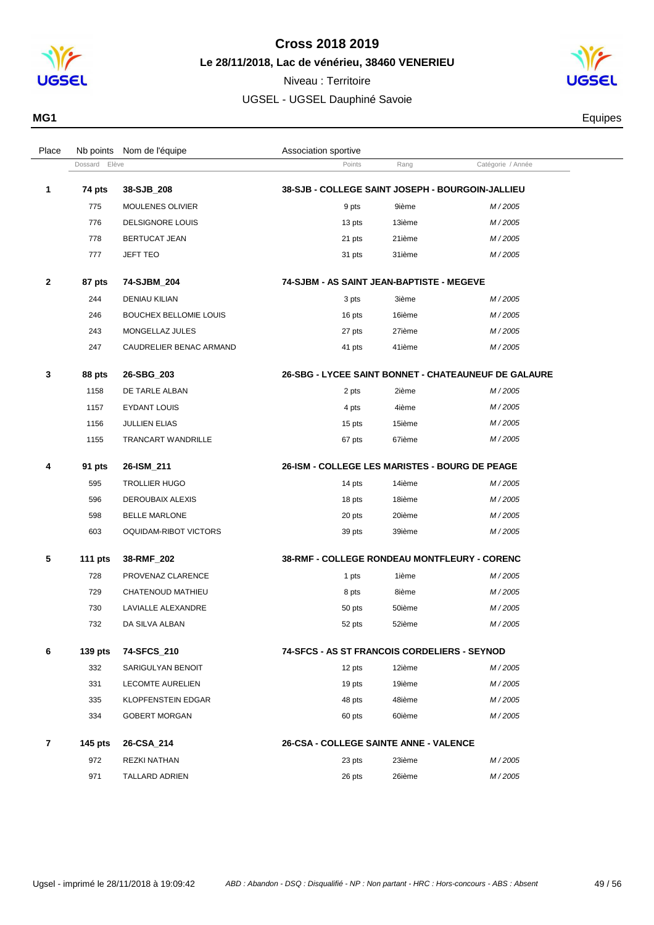

**Le 28/11/2018, Lac de vénérieu, 38460 VENERIEU**



| MG1 | Equipes |
|-----|---------|
|     |         |

| Place        |               | Nb points Nom de l'équipe     | Association sportive                             |        |                                                      |  |
|--------------|---------------|-------------------------------|--------------------------------------------------|--------|------------------------------------------------------|--|
|              | Dossard Elève |                               | Points                                           | Rang   | Catégorie / Année                                    |  |
| 1            | 74 pts        | 38-SJB_208                    | 38-SJB - COLLEGE SAINT JOSEPH - BOURGOIN-JALLIEU |        |                                                      |  |
|              | 775           | <b>MOULENES OLIVIER</b>       | 9 pts                                            | 9ième  | M/2005                                               |  |
|              | 776           | <b>DELSIGNORE LOUIS</b>       | 13 pts                                           | 13ième | M/2005                                               |  |
|              | 778           | BERTUCAT JEAN                 | 21 pts                                           | 21ième | M/2005                                               |  |
|              | 777           | JEFT TEO                      | 31 pts                                           | 31ième | M/2005                                               |  |
| $\mathbf{2}$ | 87 pts        | 74-SJBM_204                   | 74-SJBM - AS SAINT JEAN-BAPTISTE - MEGEVE        |        |                                                      |  |
|              | 244           | <b>DENIAU KILIAN</b>          | 3 pts                                            | 3ième  | M/2005                                               |  |
|              | 246           | <b>BOUCHEX BELLOMIE LOUIS</b> | 16 pts                                           | 16ième | M/2005                                               |  |
|              | 243           | MONGELLAZ JULES               | 27 pts                                           | 27ième | M/2005                                               |  |
|              | 247           | CAUDRELIER BENAC ARMAND       | 41 pts                                           | 41ième | M/2005                                               |  |
| 3            | 88 pts        | 26-SBG_203                    |                                                  |        | 26-SBG - LYCEE SAINT BONNET - CHATEAUNEUF DE GALAURE |  |
|              | 1158          | DE TARLE ALBAN                | 2 pts                                            | 2ième  | M/2005                                               |  |
|              | 1157          | <b>EYDANT LOUIS</b>           | 4 pts                                            | 4ième  | M/2005                                               |  |
|              | 1156          | <b>JULLIEN ELIAS</b>          | 15 pts                                           | 15ième | M/2005                                               |  |
|              | 1155          | <b>TRANCART WANDRILLE</b>     | 67 pts                                           | 67ième | M/2005                                               |  |
| 4            | 91 pts        | 26-ISM_211                    | 26-ISM - COLLEGE LES MARISTES - BOURG DE PEAGE   |        |                                                      |  |
|              | 595           | <b>TROLLIER HUGO</b>          | 14 pts                                           | 14ième | M/2005                                               |  |
|              | 596           | DEROUBAIX ALEXIS              | 18 pts                                           | 18ième | M/2005                                               |  |
|              | 598           | <b>BELLE MARLONE</b>          | 20 pts                                           | 20ième | M/2005                                               |  |
|              | 603           | OQUIDAM-RIBOT VICTORS         | 39 pts                                           | 39ième | M/2005                                               |  |
| 5            | 111 $pts$     | 38-RMF_202                    | 38-RMF - COLLEGE RONDEAU MONTFLEURY - CORENC     |        |                                                      |  |
|              | 728           | PROVENAZ CLARENCE             | 1 pts                                            | 1ième  | M/2005                                               |  |
|              | 729           | CHATENOUD MATHIEU             | 8 pts                                            | 8ième  | M/2005                                               |  |
|              | 730           | LAVIALLE ALEXANDRE            | 50 pts                                           | 50ième | M/2005                                               |  |
|              | 732           | DA SILVA ALBAN                | 52 pts                                           | 52ième | M/2005                                               |  |
| 6            | $139$ pts     | 74-SFCS_210                   | 74-SFCS - AS ST FRANCOIS CORDELIERS - SEYNOD     |        |                                                      |  |
|              | 332           | SARIGULYAN BENOIT             | 12 pts                                           | 12ième | M/2005                                               |  |
|              | 331           | <b>LECOMTE AURELIEN</b>       | 19 pts                                           | 19ième | M/2005                                               |  |
|              | 335           | <b>KLOPFENSTEIN EDGAR</b>     | 48 pts                                           | 48ième | M/2005                                               |  |
|              | 334           | <b>GOBERT MORGAN</b>          | 60 pts                                           | 60ième | M/2005                                               |  |
| 7            | 145 pts       | 26-CSA_214                    | 26-CSA - COLLEGE SAINTE ANNE - VALENCE           |        |                                                      |  |
|              | 972           | REZKI NATHAN                  | 23 pts                                           | 23ième | M/2005                                               |  |
|              | 971           | <b>TALLARD ADRIEN</b>         | 26 pts                                           | 26ième | M/2005                                               |  |
|              |               |                               |                                                  |        |                                                      |  |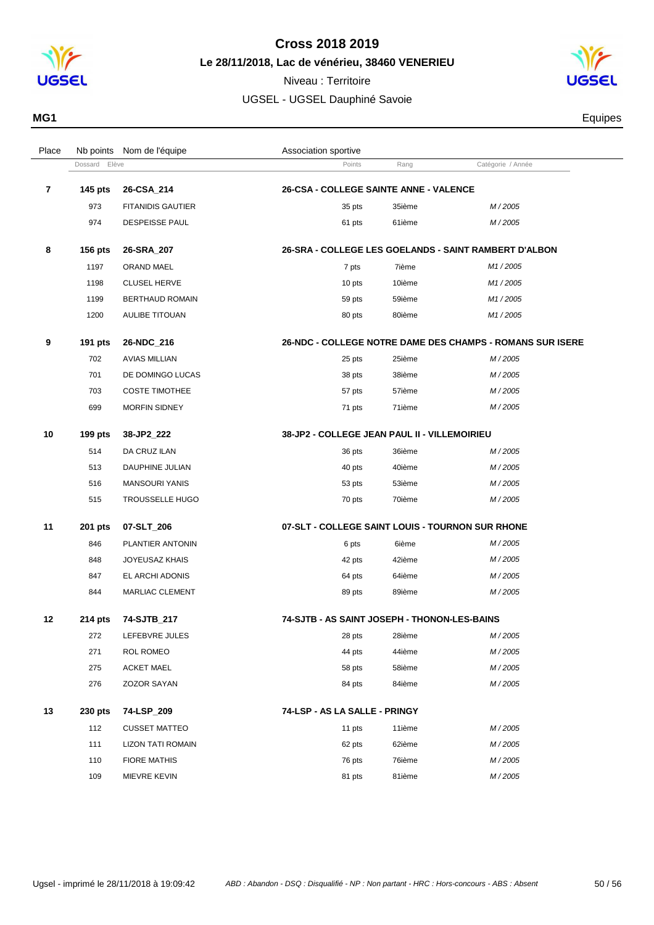

**Le 28/11/2018, Lac de vénérieu, 38460 VENERIEU**

Niveau : Territoire



| MG1 | Equipes<br>and the control of the control of |
|-----|----------------------------------------------|
|-----|----------------------------------------------|

| Place | Nb points      | Nom de l'équipe          | Association sportive                             |        |                                                           |  |
|-------|----------------|--------------------------|--------------------------------------------------|--------|-----------------------------------------------------------|--|
|       | Dossard Elève  |                          | Points                                           | Rang   | Catégorie / Année                                         |  |
| 7     | <b>145 pts</b> | 26-CSA_214               | <b>26-CSA - COLLEGE SAINTE ANNE - VALENCE</b>    |        |                                                           |  |
|       | 973            | <b>FITANIDIS GAUTIER</b> | 35 pts                                           | 35ième | M/2005                                                    |  |
|       | 974            | <b>DESPEISSE PAUL</b>    | 61 pts                                           | 61ième | M/2005                                                    |  |
| 8     | <b>156 pts</b> | 26-SRA_207               |                                                  |        | 26-SRA - COLLEGE LES GOELANDS - SAINT RAMBERT D'ALBON     |  |
|       | 1197           | ORAND MAEL               | 7 pts                                            | 7ième  | M1/2005                                                   |  |
|       | 1198           | <b>CLUSEL HERVE</b>      | 10 pts                                           | 10ième | M1/2005                                                   |  |
|       | 1199           | <b>BERTHAUD ROMAIN</b>   | 59 pts                                           | 59ième | M1/2005                                                   |  |
|       | 1200           | AULIBE TITOUAN           | 80 pts                                           | 80ième | M1/2005                                                   |  |
| 9     | 191 pts        | 26-NDC_216               |                                                  |        | 26-NDC - COLLEGE NOTRE DAME DES CHAMPS - ROMANS SUR ISERE |  |
|       | 702            | <b>AVIAS MILLIAN</b>     | 25 pts                                           | 25ième | M/2005                                                    |  |
|       | 701            | DE DOMINGO LUCAS         | 38 pts                                           | 38ième | M/2005                                                    |  |
|       | 703            | <b>COSTE TIMOTHEE</b>    | 57 pts                                           | 57ième | M/2005                                                    |  |
|       | 699            | <b>MORFIN SIDNEY</b>     | 71 pts                                           | 71ième | M/2005                                                    |  |
|       |                |                          |                                                  |        |                                                           |  |
| 10    | 199 pts        | 38-JP2_222               | 38-JP2 - COLLEGE JEAN PAUL II - VILLEMOIRIEU     |        |                                                           |  |
|       | 514            | DA CRUZ ILAN             | 36 pts                                           | 36ième | M/2005                                                    |  |
|       | 513            | DAUPHINE JULIAN          | 40 pts                                           | 40ième | M/2005                                                    |  |
|       | 516            | <b>MANSOURI YANIS</b>    | 53 pts                                           | 53ième | M/2005                                                    |  |
|       | 515            | <b>TROUSSELLE HUGO</b>   | 70 pts                                           | 70ième | M/2005                                                    |  |
| 11    | 201 pts        | 07-SLT_206               | 07-SLT - COLLEGE SAINT LOUIS - TOURNON SUR RHONE |        |                                                           |  |
|       | 846            | PLANTIER ANTONIN         | 6 pts                                            | 6ième  | M/2005                                                    |  |
|       | 848            | <b>JOYEUSAZ KHAIS</b>    | 42 pts                                           | 42ième | M/2005                                                    |  |
|       | 847            | EL ARCHI ADONIS          | 64 pts                                           | 64ième | M/2005                                                    |  |
|       | 844            | MARLIAC CLEMENT          | 89 pts                                           | 89ième | M/2005                                                    |  |
| 12    | 214 pts        | 74-SJTB_217              | 74-SJTB - AS SAINT JOSEPH - THONON-LES-BAINS     |        |                                                           |  |
|       | 272            | LEFEBVRE JULES           | 28 pts                                           | 28ième | M/2005                                                    |  |
|       | 271            | ROL ROMEO                | 44 pts                                           | 44ième | M/2005                                                    |  |
|       | 275            | <b>ACKET MAEL</b>        | 58 pts                                           | 58ième | M/2005                                                    |  |
|       | 276            | ZOZOR SAYAN              | 84 pts                                           | 84ième | M/2005                                                    |  |
| 13    | 230 pts        | 74-LSP_209               | 74-LSP - AS LA SALLE - PRINGY                    |        |                                                           |  |
|       | 112            | <b>CUSSET MATTEO</b>     | 11 pts                                           | 11ième | M/2005                                                    |  |
|       | 111            | <b>LIZON TATI ROMAIN</b> | 62 pts                                           | 62ième | M/2005                                                    |  |
|       | 110            | <b>FIORE MATHIS</b>      | 76 pts                                           | 76ième | M/2005                                                    |  |
|       | 109            | MIEVRE KEVIN             | 81 pts                                           | 81ième | M/2005                                                    |  |
|       |                |                          |                                                  |        |                                                           |  |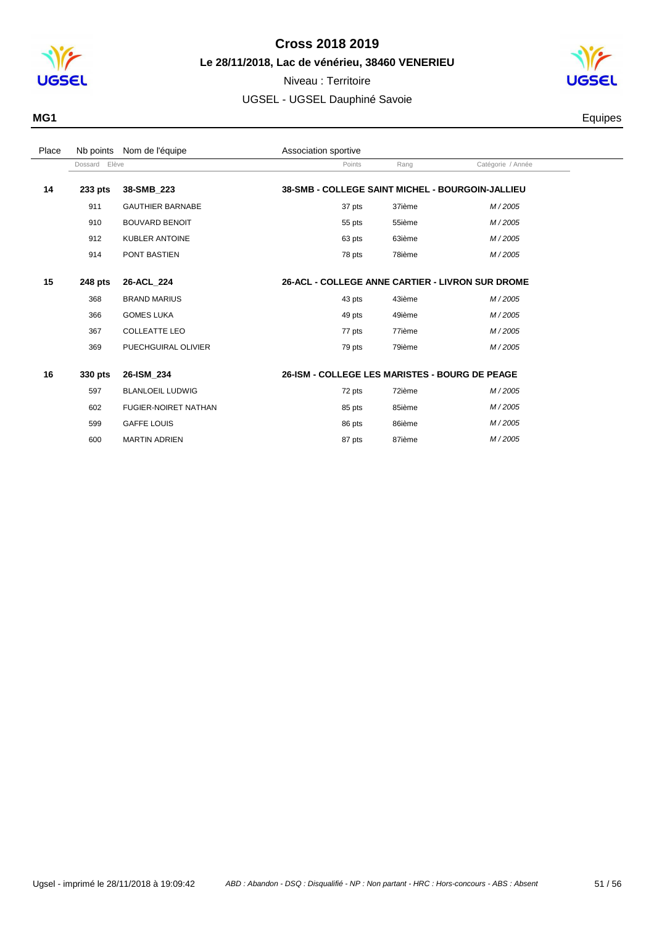

Niveau : Territoire



| MG1 | quipes |
|-----|--------|
|     |        |

| Place |               | Nb points Nom de l'équipe   | Association sportive                             |        |                   |  |
|-------|---------------|-----------------------------|--------------------------------------------------|--------|-------------------|--|
|       | Dossard Elève |                             | Points                                           | Rang   | Catégorie / Année |  |
| 14    | 233 pts       | 38-SMB 223                  | 38-SMB - COLLEGE SAINT MICHEL - BOURGOIN-JALLIEU |        |                   |  |
|       | 911           | <b>GAUTHIER BARNABE</b>     | 37 pts                                           | 37ième | M/2005            |  |
|       | 910           | <b>BOUVARD BENOIT</b>       | 55 pts                                           | 55ième | M/2005            |  |
|       | 912           | <b>KUBLER ANTOINE</b>       | 63 pts                                           | 63ième | M/2005            |  |
|       | 914           | PONT BASTIEN                | 78 pts                                           | 78ième | M/2005            |  |
|       |               |                             |                                                  |        |                   |  |
| 15    | 248 pts       | 26-ACL 224                  | 26-ACL - COLLEGE ANNE CARTIER - LIVRON SUR DROME |        |                   |  |
|       | 368           | <b>BRAND MARIUS</b>         | 43 pts                                           | 43ième | M/2005            |  |
|       | 366           | <b>GOMES LUKA</b>           | 49 pts                                           | 49ième | M/2005            |  |
|       | 367           | <b>COLLEATTE LEO</b>        | 77 pts                                           | 77ième | M/2005            |  |
|       | 369           | PUECHGUIRAL OLIVIER         | 79 pts                                           | 79ième | M/2005            |  |
|       |               |                             |                                                  |        |                   |  |
| 16    | 330 pts       | 26-ISM 234                  | 26-ISM - COLLEGE LES MARISTES - BOURG DE PEAGE   |        |                   |  |
|       | 597           | <b>BLANLOEIL LUDWIG</b>     | 72 pts                                           | 72ième | M/2005            |  |
|       | 602           | <b>FUGIER-NOIRET NATHAN</b> | 85 pts                                           | 85ième | M/2005            |  |
|       | 599           | <b>GAFFE LOUIS</b>          | 86 pts                                           | 86ième | M/2005            |  |
|       | 600           | <b>MARTIN ADRIEN</b>        | 87 pts                                           | 87ième | M/2005            |  |
|       |               |                             |                                                  |        |                   |  |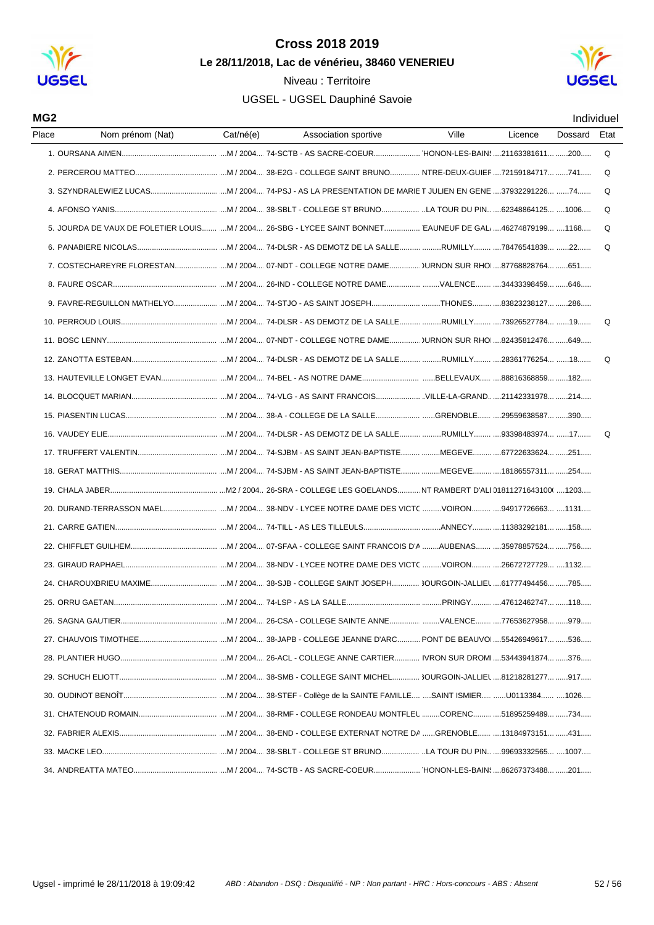

Niveau : Territoire



| MG <sub>2</sub>           |           |                                                                                                           |       |                         |         | Individuel |
|---------------------------|-----------|-----------------------------------------------------------------------------------------------------------|-------|-------------------------|---------|------------|
| Place<br>Nom prénom (Nat) | Cat/né(e) | Association sportive                                                                                      | Ville | Licence                 | Dossard | Etat       |
|                           |           |                                                                                                           |       |                         |         | Q          |
|                           |           |                                                                                                           |       |                         |         | Q          |
|                           |           |                                                                                                           |       |                         |         | Q          |
|                           |           |                                                                                                           |       |                         |         | Q          |
|                           |           | 5. JOURDA DE VAUX DE FOLETIER LOUIS M / 2004 26-SBG - LYCEE SAINT BONNET EAUNEUF DE GAL. 46274879199 1168 |       |                         |         | Q          |
|                           |           |                                                                                                           |       |                         |         | Q          |
|                           |           |                                                                                                           |       |                         |         |            |
|                           |           |                                                                                                           |       |                         |         |            |
|                           |           |                                                                                                           |       |                         |         |            |
|                           |           |                                                                                                           |       |                         |         | Q          |
|                           |           |                                                                                                           |       |                         |         |            |
|                           |           |                                                                                                           |       |                         |         | Q          |
|                           |           |                                                                                                           |       |                         |         |            |
|                           |           |                                                                                                           |       |                         |         |            |
|                           |           |                                                                                                           |       |                         |         |            |
|                           |           |                                                                                                           |       |                         |         | Q          |
|                           |           |                                                                                                           |       |                         |         |            |
|                           |           |                                                                                                           |       |                         |         |            |
|                           |           |                                                                                                           |       |                         |         |            |
|                           |           |                                                                                                           |       |                         |         |            |
|                           |           |                                                                                                           |       |                         |         |            |
|                           |           |                                                                                                           |       |                         |         |            |
|                           |           |                                                                                                           |       |                         |         |            |
|                           |           |                                                                                                           |       |                         |         |            |
| 25. ORRU GAETAN           |           |                                                                                                           |       | .PRINGY 47612462747 118 |         |            |
|                           |           |                                                                                                           |       |                         |         |            |
|                           |           |                                                                                                           |       |                         |         |            |
|                           |           |                                                                                                           |       |                         |         |            |
|                           |           |                                                                                                           |       |                         |         |            |
|                           |           |                                                                                                           |       |                         |         |            |
|                           |           |                                                                                                           |       |                         |         |            |
|                           |           |                                                                                                           |       |                         |         |            |
|                           |           |                                                                                                           |       |                         |         |            |
|                           |           |                                                                                                           |       |                         |         |            |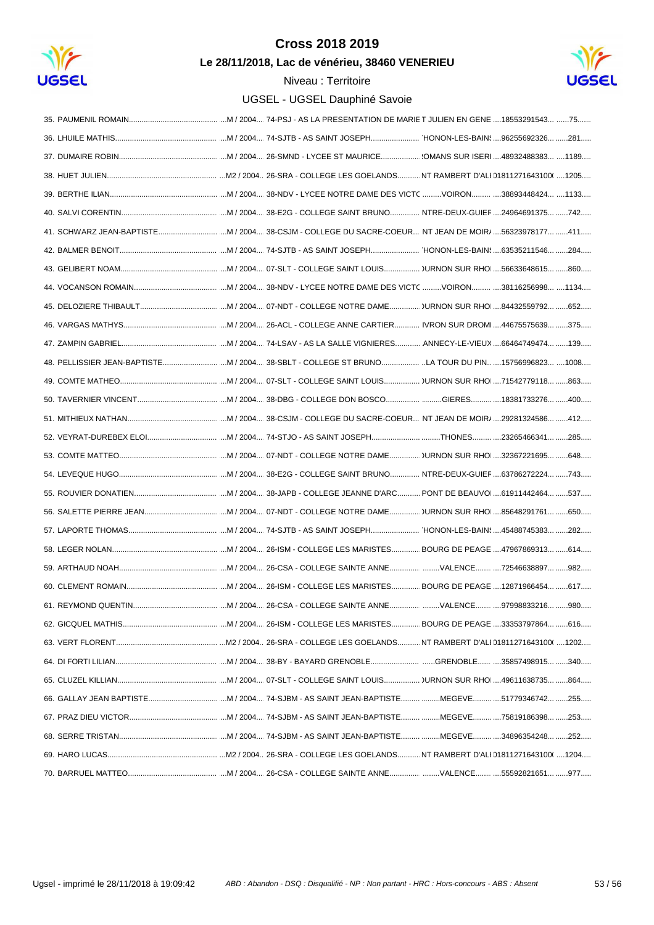

Le 28/11/2018, Lac de vénérieu, 38460 VENERIEU

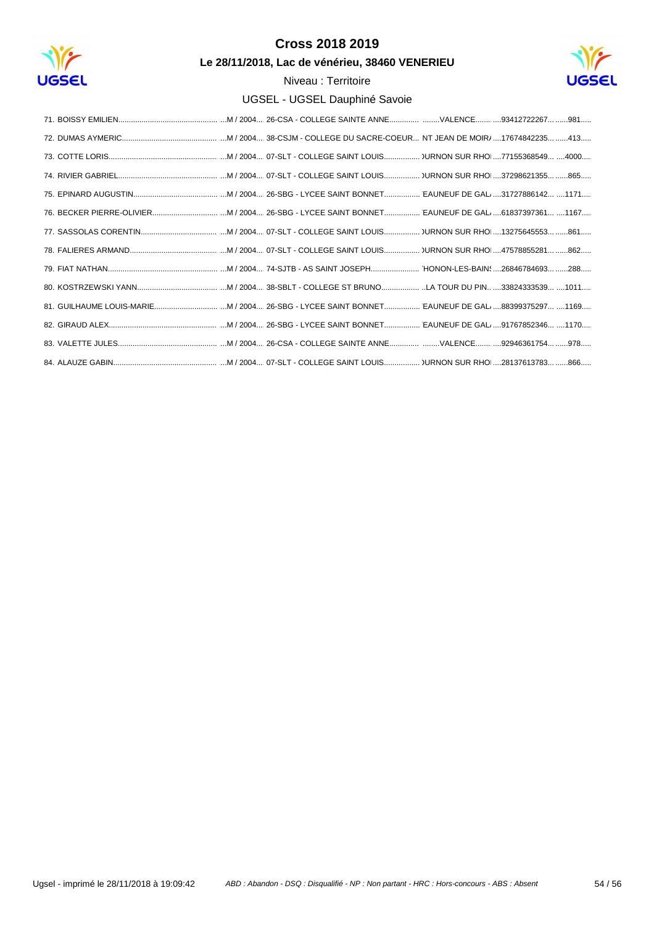

Le 28/11/2018, Lac de vénérieu, 38460 VENERIEU

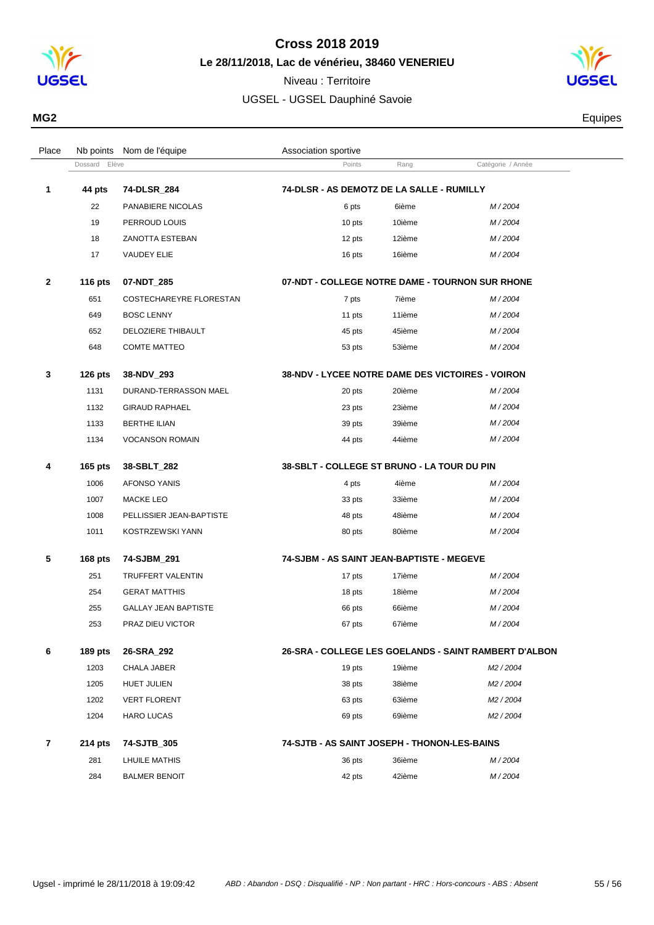

**Le 28/11/2018, Lac de vénérieu, 38460 VENERIEU**

Niveau : Territoire UGSEL - UGSEL Dauphiné Savoie



**MG2** Equipes

|   | Dossard Elève |                          | Points                                                  | Rang   | Catégorie / Année |
|---|---------------|--------------------------|---------------------------------------------------------|--------|-------------------|
| 1 | 44 pts        | 74-DLSR_284              | 74-DLSR - AS DEMOTZ DE LA SALLE - RUMILLY               |        |                   |
|   | 22            | PANABIERE NICOLAS        | 6 pts                                                   | 6ième  | M/2004            |
|   | 19            | PERROUD LOUIS            | 10 pts                                                  | 10ième | M/2004            |
|   | 18            | ZANOTTA ESTEBAN          | 12 pts                                                  | 12ième | M/2004            |
|   | 17            | <b>VAUDEY ELIE</b>       | 16 pts                                                  | 16ième | M/2004            |
| 2 | 116 pts       | 07-NDT_285               | 07-NDT - COLLEGE NOTRE DAME - TOURNON SUR RHONE         |        |                   |
|   | 651           | COSTECHAREYRE FLORESTAN  | 7 pts                                                   | 7ième  | M/2004            |
|   | 649           | <b>BOSC LENNY</b>        | 11 pts                                                  | 11ième | M/2004            |
|   | 652           | DELOZIERE THIBAULT       | 45 pts                                                  | 45ième | M/2004            |
|   | 648           | <b>COMTE MATTEO</b>      | 53 pts                                                  | 53ième | M/2004            |
| 3 | $126$ pts     | 38-NDV_293               | <b>38-NDV - LYCEE NOTRE DAME DES VICTOIRES - VOIRON</b> |        |                   |
|   | 1131          | DURAND-TERRASSON MAEL    | 20 pts                                                  | 20ième | M/2004            |
|   | 1132          | <b>GIRAUD RAPHAEL</b>    | 23 pts                                                  | 23ième | M/2004            |
|   | 1133          | <b>BERTHE ILIAN</b>      | 39 pts                                                  | 39ième | M/2004            |
|   | 1134          | <b>VOCANSON ROMAIN</b>   | 44 pts                                                  | 44ième | M/2004            |
| 4 | $165$ pts     | 38-SBLT 282              | 38-SBLT - COLLEGE ST BRUNO - LA TOUR DU PIN             |        |                   |
|   | 1006          | <b>AFONSO YANIS</b>      | 4 pts                                                   | 4ième  | M/2004            |
|   | 1007          | <b>MACKE LEO</b>         | 33 pts                                                  | 33ième | M/2004            |
|   | 1008          | PELLISSIER JEAN-BAPTISTE | 48 pts                                                  | 48ième | M/2004            |
|   | 1011          | KOSTRZEWSKI YANN         | 80 pts                                                  | 80ième | M/2004            |
| 5 | $168$ pts     | 74-SJBM 291              | 74-SJBM - AS SAINT JEAN-BAPTISTE - MEGEVE               |        |                   |
|   | 251           | TRUFFERT VALENTIN        | 17 pts                                                  | 17ième | M/2004            |

| 6 | $189$ pts | 26-SRA 292                  | 26-SRA - COLLEGE LES GOELANDS - SAINT RAMBERT D'ALBON |        |        |
|---|-----------|-----------------------------|-------------------------------------------------------|--------|--------|
|   | 253       | <b>PRAZ DIEU VICTOR</b>     | 67 pts                                                | 67ième | M/2004 |
|   | 255       | <b>GALLAY JEAN BAPTISTE</b> | 66 pts                                                | 66ième | M/2004 |
|   | 254       | <b>GERAT MATTHIS</b>        | 18 pts                                                | 18ième | M/2004 |
|   |           |                             |                                                       |        |        |

| $\cdot$ | ivy pla   | LU-VIIA LUL         | LU-UINA - UULLLUL LLU UULLANDU - UAINI INAMULINI D'ALL |
|---------|-----------|---------------------|--------------------------------------------------------|
|         | 1203      | CHALA JABER         | M <sub>2</sub> / 2004<br>19 pts<br>19ième              |
|         | 1205      | <b>HUET JULIEN</b>  | 38ième<br>M <sub>2</sub> / 2004<br>38 pts              |
|         | 1202      | <b>VERT FLORENT</b> | M <sub>2</sub> / 2004<br>63ième<br>63 pts              |
|         | 1204      | <b>HARO LUCAS</b>   | M <sub>2</sub> / 2004<br>69ième<br>69 pts              |
|         |           |                     |                                                        |
|         | $214$ pts | 74-SJTB 305         | 74-SJTB - AS SAINT JOSEPH - THONON-LES-BAINS           |
|         | 281       | LHUILE MATHIS       | 36ième<br>M/2004<br>36 pts                             |

Place Nb points Nom de l'équipe  $\blacksquare$  Association sportive

| 36ième | M/2004 |
|--------|--------|
| 42ième | M/2004 |